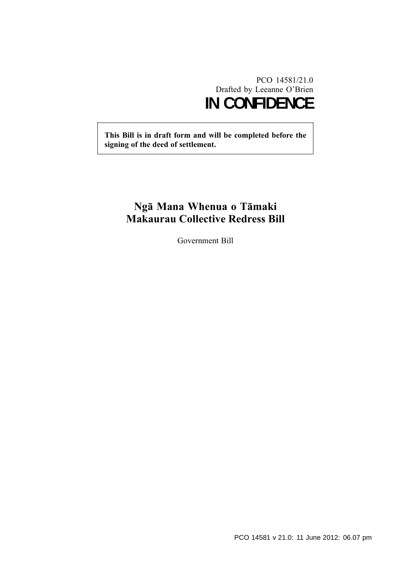# PCO 14581/21.0 Drafted by Leeanne O'Brien **IN CONFIDENCE**

**This Bill is in draft form and will be completed before the signing of the deed of settlement.**

# **Ngā Mana Whenua o Tāmaki Makaurau Collective Redress Bill**

Government Bill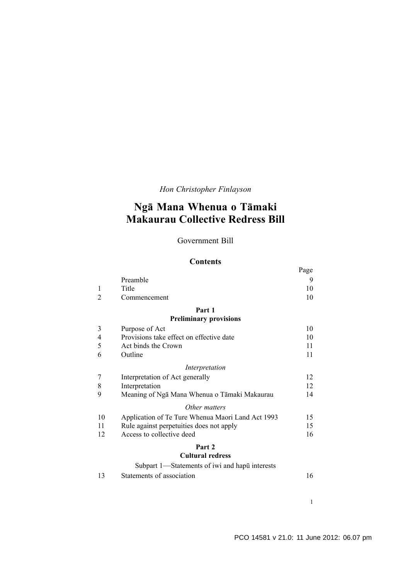*Hon Christopher Finlayson*

# **Ngā Mana Whenua o Tāmaki Makaurau Collective Redress Bill**

## Government Bill

#### **Contents**

|                |                                                   | Page |
|----------------|---------------------------------------------------|------|
|                | Preamble                                          | 9    |
| 1              | Title                                             | 10   |
| $\overline{2}$ | Commencement                                      | 10   |
|                | Part 1                                            |      |
|                | <b>Preliminary provisions</b>                     |      |
| 3              | Purpose of Act                                    | 10   |
| $\overline{4}$ | Provisions take effect on effective date          | 10   |
| 5              | Act binds the Crown                               | 11   |
| 6              | Outline                                           | 11   |
|                | Interpretation                                    |      |
| 7              | Interpretation of Act generally                   | 12   |
| 8              | Interpretation                                    | 12   |
| 9              | Meaning of Ngā Mana Whenua o Tāmaki Makaurau      | 14   |
|                | Other matters                                     |      |
| 10             | Application of Te Ture Whenua Maori Land Act 1993 | 15   |
| 11             | Rule against perpetuities does not apply          | 15   |
| 12             | Access to collective deed                         | 16   |
|                | Part 2                                            |      |
|                | <b>Cultural redress</b>                           |      |
|                | Subpart 1—Statements of iwi and hapul interests   |      |

[13 Statements of association 16](#page-17-0)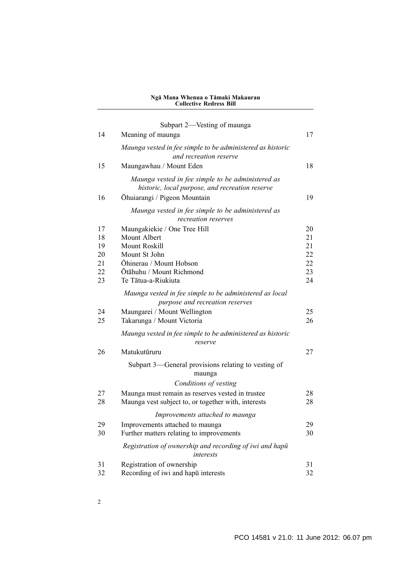|    | Subpart 2—Vesting of maunga                                                                          |          |
|----|------------------------------------------------------------------------------------------------------|----------|
| 14 | Meaning of maunga                                                                                    | 17       |
|    | Maunga vested in fee simple to be administered as historic<br>and recreation reserve                 |          |
| 15 | Maungawhau / Mount Eden                                                                              | 18       |
|    | Maunga vested in fee simple to be administered as<br>historic, local purpose, and recreation reserve |          |
| 16 | Ōhuiarangi / Pigeon Mountain                                                                         | 19       |
|    | Maunga vested in fee simple to be administered as<br>recreation reserves                             |          |
| 17 | Maungakiekie / One Tree Hill                                                                         | 20       |
| 18 | Mount Albert                                                                                         | 21       |
| 19 | Mount Roskill                                                                                        | 21       |
| 20 | Mount St John                                                                                        | 22       |
| 21 | Ōhinerau / Mount Hobson                                                                              | 22       |
| 22 | Ōtāhuhu / Mount Richmond<br>Te Tātua-a-Riukiuta                                                      | 23<br>24 |
| 23 |                                                                                                      |          |
|    | Maunga vested in fee simple to be administered as local<br>purpose and recreation reserves           |          |
| 24 | Maungarei / Mount Wellington                                                                         | 25       |
| 25 | Takarunga / Mount Victoria                                                                           | 26       |
|    | Maunga vested in fee simple to be administered as historic<br>reserve                                |          |
| 26 | Matukutūruru                                                                                         | 27       |
|    | Subpart 3—General provisions relating to vesting of<br>maunga                                        |          |
|    | Conditions of vesting                                                                                |          |
| 27 | Maunga must remain as reserves vested in trustee                                                     | 28       |
| 28 | Maunga vest subject to, or together with, interests                                                  | 28       |
|    | Improvements attached to maunga                                                                      |          |
| 29 | Improvements attached to maunga                                                                      | 29       |
| 30 | Further matters relating to improvements                                                             | 30       |
|    | Registration of ownership and recording of iwi and hapu<br>interests                                 |          |
| 31 | Registration of ownership                                                                            | 31       |
| 32 | Recording of iwi and hapū interests                                                                  | 32       |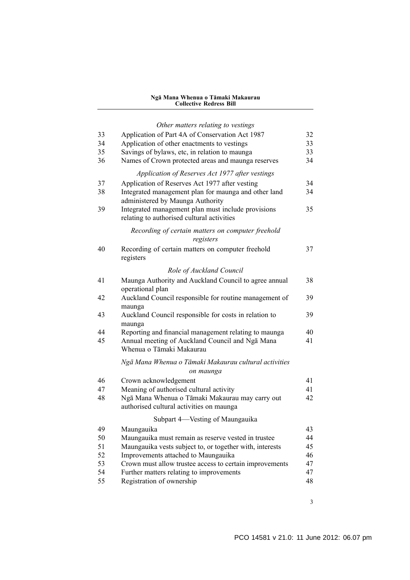|    | Other matters relating to vestings                                                               |    |
|----|--------------------------------------------------------------------------------------------------|----|
| 33 | Application of Part 4A of Conservation Act 1987                                                  | 32 |
| 34 | Application of other enactments to vestings                                                      | 33 |
| 35 | Savings of bylaws, etc, in relation to maunga                                                    | 33 |
| 36 | Names of Crown protected areas and maunga reserves                                               | 34 |
|    | Application of Reserves Act 1977 after vestings                                                  |    |
| 37 | Application of Reserves Act 1977 after vesting                                                   | 34 |
| 38 | Integrated management plan for maunga and other land<br>administered by Maunga Authority         | 34 |
| 39 | Integrated management plan must include provisions<br>relating to authorised cultural activities | 35 |
|    | Recording of certain matters on computer freehold<br>registers                                   |    |
| 40 | Recording of certain matters on computer freehold<br>registers                                   | 37 |
|    | Role of Auckland Council                                                                         |    |
| 41 | Maunga Authority and Auckland Council to agree annual<br>operational plan                        | 38 |
| 42 | Auckland Council responsible for routine management of<br>maunga                                 | 39 |
| 43 | Auckland Council responsible for costs in relation to<br>maunga                                  | 39 |
| 44 | Reporting and financial management relating to maunga                                            | 40 |
| 45 | Annual meeting of Auckland Council and Nga Mana<br>Whenua o Tāmaki Makaurau                      | 41 |
|    | Ngā Mana Whenua o Tāmaki Makaurau cultural activities<br>on maunga                               |    |
| 46 | Crown acknowledgement                                                                            | 41 |
| 47 | Meaning of authorised cultural activity                                                          | 41 |
| 48 | Ngā Mana Whenua o Tāmaki Makaurau may carry out<br>authorised cultural activities on maunga      | 42 |
|    | Subpart 4—Vesting of Maungauika                                                                  |    |
| 49 | Maungauika                                                                                       | 43 |
| 50 | Maungauika must remain as reserve vested in trustee                                              | 44 |
| 51 | Maungauika vests subject to, or together with, interests                                         | 45 |
| 52 | Improvements attached to Maungauika                                                              | 46 |
| 53 | Crown must allow trustee access to certain improvements                                          | 47 |
| 54 | Further matters relating to improvements                                                         | 47 |
| 55 | Registration of ownership                                                                        | 48 |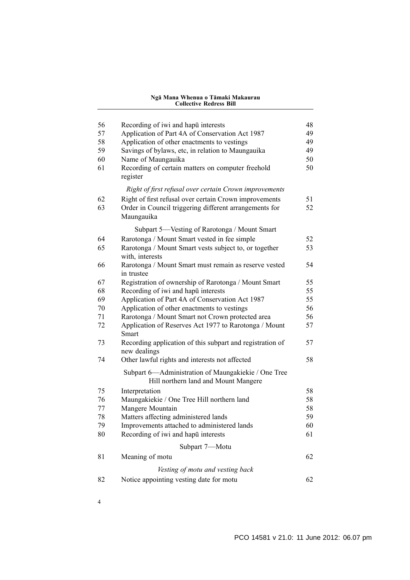| 56       | Recording of iwi and hapul interests                                                            | 48       |
|----------|-------------------------------------------------------------------------------------------------|----------|
| 57       | Application of Part 4A of Conservation Act 1987                                                 | 49       |
| 58       | Application of other enactments to vestings                                                     | 49       |
| 59       | Savings of bylaws, etc, in relation to Maungauika                                               | 49       |
| 60       | Name of Maungauika                                                                              | 50       |
| 61       | Recording of certain matters on computer freehold<br>register                                   | 50       |
|          | Right of first refusal over certain Crown improvements                                          |          |
| 62       | Right of first refusal over certain Crown improvements                                          | 51       |
| 63       | Order in Council triggering different arrangements for                                          | 52       |
|          | Maungauika                                                                                      |          |
|          | Subpart 5—Vesting of Rarotonga / Mount Smart                                                    |          |
| 64       | Rarotonga / Mount Smart vested in fee simple                                                    | 52       |
| 65       | Rarotonga / Mount Smart vests subject to, or together<br>with, interests                        | 53       |
| 66       | Rarotonga / Mount Smart must remain as reserve vested                                           | 54       |
|          | in trustee                                                                                      |          |
| 67       | Registration of ownership of Rarotonga / Mount Smart                                            | 55       |
| 68<br>69 | Recording of iwi and hapū interests                                                             | 55<br>55 |
| 70       | Application of Part 4A of Conservation Act 1987                                                 | 56       |
| 71       | Application of other enactments to vestings<br>Rarotonga / Mount Smart not Crown protected area | 56       |
| 72       | Application of Reserves Act 1977 to Rarotonga / Mount                                           | 57       |
|          | Smart                                                                                           |          |
| 73       | Recording application of this subpart and registration of<br>new dealings                       | 57       |
| 74       | Other lawful rights and interests not affected                                                  | 58       |
|          | Subpart 6—Administration of Maungakiekie / One Tree<br>Hill northern land and Mount Mangere     |          |
| 75       | Interpretation                                                                                  | 58       |
| 76       | Maungakiekie / One Tree Hill northern land                                                      | 58       |
| 77       | Mangere Mountain                                                                                | 58       |
| 78       | Matters affecting administered lands                                                            | 59       |
| 79       | Improvements attached to administered lands                                                     | 60       |
| 80       | Recording of iwi and hapū interests                                                             | 61       |
|          | Subpart 7-Motu                                                                                  |          |
| 81       | Meaning of motu                                                                                 | 62       |
|          | Vesting of motu and vesting back                                                                |          |
| 82       | Notice appointing vesting date for motu                                                         | 62       |
|          |                                                                                                 |          |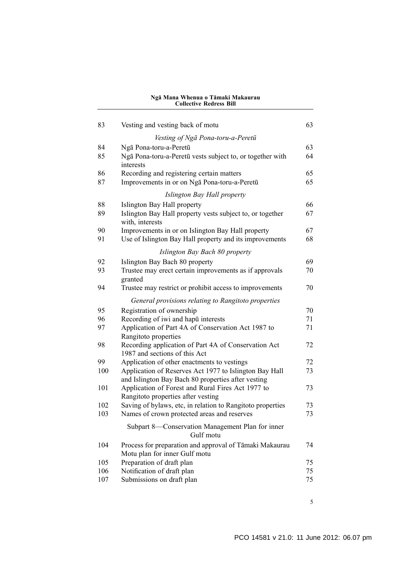| 83  | Vesting and vesting back of motu                                                                 |    |  |  |  |
|-----|--------------------------------------------------------------------------------------------------|----|--|--|--|
|     | Vesting of Nga Pona-toru-a-Peretū                                                                |    |  |  |  |
| 84  | Ngā Pona-toru-a-Peretū                                                                           | 63 |  |  |  |
| 85  | Ngā Pona-toru-a-Peretū vests subject to, or together with                                        |    |  |  |  |
|     | interests                                                                                        |    |  |  |  |
| 86  | Recording and registering certain matters                                                        | 65 |  |  |  |
| 87  | Improvements in or on Nga Pona-toru-a-Peretū                                                     | 65 |  |  |  |
|     | Islington Bay Hall property                                                                      |    |  |  |  |
| 88  | Islington Bay Hall property                                                                      | 66 |  |  |  |
| 89  | Islington Bay Hall property vests subject to, or together                                        | 67 |  |  |  |
|     | with, interests                                                                                  |    |  |  |  |
| 90  | Improvements in or on Islington Bay Hall property                                                | 67 |  |  |  |
| 91  | Use of Islington Bay Hall property and its improvements                                          | 68 |  |  |  |
|     | Islington Bay Bach 80 property                                                                   |    |  |  |  |
| 92  | Islington Bay Bach 80 property                                                                   | 69 |  |  |  |
| 93  | Trustee may erect certain improvements as if approvals                                           | 70 |  |  |  |
|     | granted                                                                                          |    |  |  |  |
| 94  | Trustee may restrict or prohibit access to improvements                                          | 70 |  |  |  |
|     | General provisions relating to Rangitoto properties                                              |    |  |  |  |
| 95  | Registration of ownership                                                                        | 70 |  |  |  |
| 96  | Recording of iwi and hapū interests                                                              | 71 |  |  |  |
| 97  | Application of Part 4A of Conservation Act 1987 to                                               | 71 |  |  |  |
|     | Rangitoto properties                                                                             |    |  |  |  |
| 98  | Recording application of Part 4A of Conservation Act                                             | 72 |  |  |  |
|     | 1987 and sections of this Act                                                                    |    |  |  |  |
| 99  | Application of other enactments to vestings                                                      | 72 |  |  |  |
| 100 | Application of Reserves Act 1977 to Islington Bay Hall                                           | 73 |  |  |  |
|     | and Islington Bay Bach 80 properties after vesting                                               |    |  |  |  |
| 101 | Application of Forest and Rural Fires Act 1977 to                                                | 73 |  |  |  |
| 102 | Rangitoto properties after vesting<br>Saving of bylaws, etc, in relation to Rangitoto properties | 73 |  |  |  |
| 103 | Names of crown protected areas and reserves                                                      | 73 |  |  |  |
|     |                                                                                                  |    |  |  |  |
|     | Subpart 8-Conservation Management Plan for inner<br>Gulf motu                                    |    |  |  |  |
| 104 | Process for preparation and approval of Tāmaki Makaurau<br>Motu plan for inner Gulf motu         | 74 |  |  |  |
| 105 | Preparation of draft plan                                                                        | 75 |  |  |  |
| 106 | Notification of draft plan                                                                       | 75 |  |  |  |
| 107 | Submissions on draft plan                                                                        | 75 |  |  |  |
|     |                                                                                                  |    |  |  |  |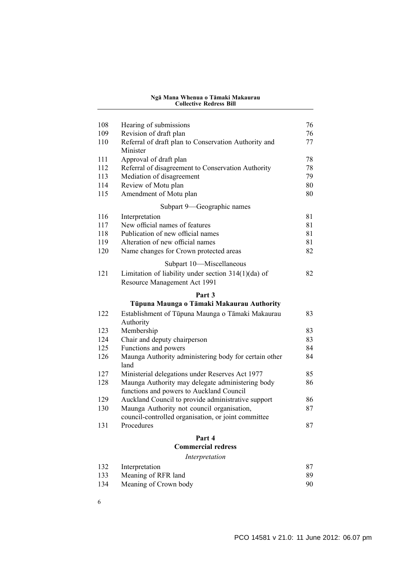| 108 | Hearing of submissions                                                                | 76     |
|-----|---------------------------------------------------------------------------------------|--------|
| 109 | Revision of draft plan                                                                | 76     |
| 110 | Referral of draft plan to Conservation Authority and<br>Minister                      | 77     |
| 111 | Approval of draft plan                                                                | 78     |
| 112 | Referral of disagreement to Conservation Authority                                    | 78     |
| 113 | Mediation of disagreement                                                             | 79     |
| 114 | Review of Motu plan                                                                   | 80     |
| 115 | Amendment of Motu plan                                                                | 80     |
|     | Subpart 9-Geographic names                                                            |        |
| 116 | Interpretation                                                                        | 81     |
| 117 | New official names of features                                                        | 81     |
| 118 | Publication of new official names                                                     | 81     |
| 119 | Alteration of new official names                                                      | 81     |
| 120 | Name changes for Crown protected areas                                                | 82     |
|     | Subpart 10-Miscellaneous                                                              |        |
| 121 | Limitation of liability under section $314(1)(da)$ of<br>Resource Management Act 1991 | 82     |
|     | Part 3                                                                                |        |
|     | Tūpuna Maunga o Tāmaki Makaurau Authority                                             |        |
| 122 | Establishment of Tūpuna Maunga o Tāmaki Makaurau                                      | 83     |
|     | Authority                                                                             |        |
| 123 | Membership                                                                            | 83     |
| 124 | Chair and deputy chairperson                                                          | 83     |
| 125 | Functions and powers                                                                  | 84     |
| 126 | Maunga Authority administering body for certain other<br>land                         | 84     |
| 127 | Ministerial delegations under Reserves Act 1977                                       | 85     |
| 128 | Maunga Authority may delegate administering body                                      | 86     |
|     | functions and powers to Auckland Council                                              |        |
| 129 | Auckland Council to provide administrative support                                    | 86     |
| 130 | Maunga Authority not council organisation,                                            | 87     |
|     | council-controlled organisation, or joint committee                                   |        |
| 131 | Procedures                                                                            | 87     |
|     | Part 4                                                                                |        |
|     | <b>Commercial redress</b>                                                             |        |
|     | Interpretation                                                                        |        |
| 132 | Interpretation                                                                        | 87     |
|     |                                                                                       | $\sim$ |

- [133 Meaning of RFR land 89](#page-90-0)<br>134 Meaning of Crown body 90 134 Meaning of Crown body
- 6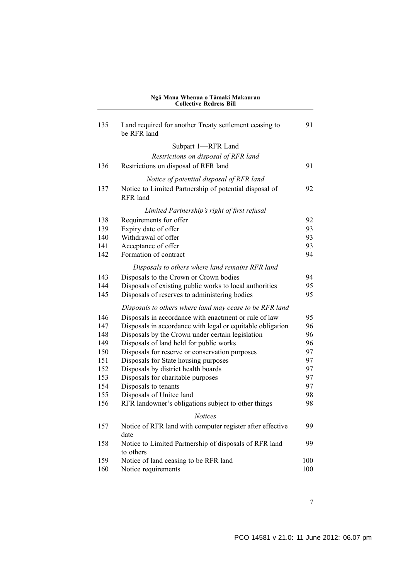| 135 | Land required for another Treaty settlement ceasing to<br>be RFR land |     |  |  |
|-----|-----------------------------------------------------------------------|-----|--|--|
|     | Subpart 1-RFR Land                                                    |     |  |  |
|     | Restrictions on disposal of RFR land                                  |     |  |  |
| 136 | Restrictions on disposal of RFR land                                  | 91  |  |  |
|     |                                                                       |     |  |  |
|     | Notice of potential disposal of RFR land                              |     |  |  |
| 137 | Notice to Limited Partnership of potential disposal of<br>RFR land    | 92  |  |  |
|     | Limited Partnership's right of first refusal                          |     |  |  |
| 138 | Requirements for offer                                                | 92  |  |  |
| 139 | Expiry date of offer                                                  | 93  |  |  |
| 140 | Withdrawal of offer                                                   | 93  |  |  |
| 141 | Acceptance of offer                                                   | 93  |  |  |
| 142 | Formation of contract                                                 | 94  |  |  |
|     | Disposals to others where land remains RFR land                       |     |  |  |
| 143 | Disposals to the Crown or Crown bodies                                | 94  |  |  |
| 144 | Disposals of existing public works to local authorities               | 95  |  |  |
| 145 | Disposals of reserves to administering bodies                         | 95  |  |  |
|     | Disposals to others where land may cease to be RFR land               |     |  |  |
| 146 | Disposals in accordance with enactment or rule of law                 | 95  |  |  |
| 147 | Disposals in accordance with legal or equitable obligation            | 96  |  |  |
| 148 | Disposals by the Crown under certain legislation                      | 96  |  |  |
| 149 | Disposals of land held for public works                               | 96  |  |  |
| 150 | Disposals for reserve or conservation purposes                        | 97  |  |  |
| 151 | Disposals for State housing purposes                                  | 97  |  |  |
| 152 | Disposals by district health boards                                   | 97  |  |  |
| 153 | Disposals for charitable purposes                                     | 97  |  |  |
| 154 | Disposals to tenants                                                  | 97  |  |  |
| 155 | Disposals of Unitec land                                              | 98  |  |  |
| 156 | RFR landowner's obligations subject to other things                   | 98  |  |  |
|     | <b>Notices</b>                                                        |     |  |  |
| 157 | Notice of RFR land with computer register after effective<br>date     | 99  |  |  |
| 158 | Notice to Limited Partnership of disposals of RFR land                | 99  |  |  |
|     | to others                                                             |     |  |  |
| 159 | Notice of land ceasing to be RFR land                                 | 100 |  |  |
| 160 | Notice requirements                                                   | 100 |  |  |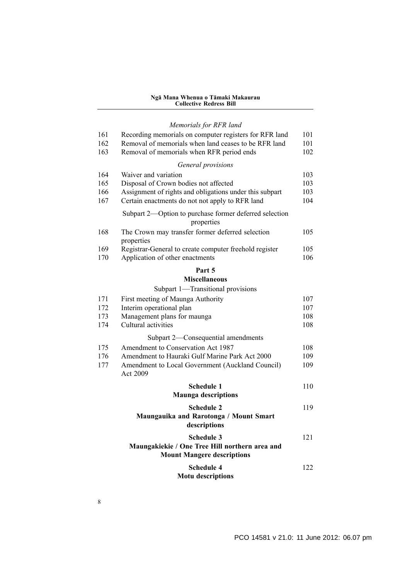#### *[Memorials for RFR land](#page-102-0)*

| 161        | Recording memorials on computer registers for RFR land                                                     | 101<br>101 |  |  |
|------------|------------------------------------------------------------------------------------------------------------|------------|--|--|
| 162        | Removal of memorials when land ceases to be RFR land                                                       |            |  |  |
| 163        | Removal of memorials when RFR period ends                                                                  | 102        |  |  |
|            | General provisions                                                                                         |            |  |  |
| 164        | Waiver and variation                                                                                       | 103        |  |  |
| 165        | Disposal of Crown bodies not affected                                                                      | 103        |  |  |
| 166<br>167 | Assignment of rights and obligations under this subpart<br>Certain enactments do not not apply to RFR land | 103<br>104 |  |  |
|            |                                                                                                            |            |  |  |
|            | Subpart 2—Option to purchase former deferred selection<br>properties                                       |            |  |  |
| 168        | The Crown may transfer former deferred selection<br>properties                                             | 105        |  |  |
| 169        | Registrar-General to create computer freehold register                                                     | 105        |  |  |
| 170        | Application of other enactments                                                                            | 106        |  |  |
|            | Part 5                                                                                                     |            |  |  |
|            | <b>Miscellaneous</b>                                                                                       |            |  |  |
|            | Subpart 1-Transitional provisions                                                                          |            |  |  |
| 171        | First meeting of Maunga Authority                                                                          | 107        |  |  |
| 172        | Interim operational plan                                                                                   | 107        |  |  |
| 173        | Management plans for maunga                                                                                | 108        |  |  |
| 174        | Cultural activities                                                                                        | 108        |  |  |
|            | Subpart 2—Consequential amendments                                                                         |            |  |  |
| 175        | Amendment to Conservation Act 1987                                                                         | 108        |  |  |
| 176        | Amendment to Hauraki Gulf Marine Park Act 2000                                                             | 109        |  |  |
| 177        | Amendment to Local Government (Auckland Council)<br>Act 2009                                               | 109        |  |  |
|            | Schedule 1                                                                                                 | 110        |  |  |
|            | <b>Maunga descriptions</b>                                                                                 |            |  |  |
|            | <b>Schedule 2</b>                                                                                          | 119        |  |  |
|            | Maungauika and Rarotonga / Mount Smart<br>descriptions                                                     |            |  |  |
|            | <b>Schedule 3</b>                                                                                          | 121        |  |  |
|            | Maungakiekie / One Tree Hill northern area and                                                             |            |  |  |
|            | <b>Mount Mangere descriptions</b>                                                                          |            |  |  |
|            | <b>Schedule 4</b>                                                                                          | 122        |  |  |
|            | <b>Motu descriptions</b>                                                                                   |            |  |  |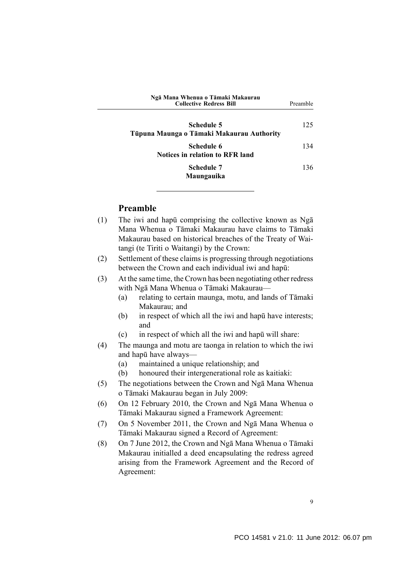<span id="page-10-0"></span>

| Ngā Mana Whenua o Tāmaki Makaurau<br><b>Collective Redress Bill</b> | Preamble |
|---------------------------------------------------------------------|----------|
| Schedule 5<br>Tūpuna Maunga o Tāmaki Makaurau Authority             | 125      |
| Schedule 6<br><b>Notices in relation to RFR land</b>                | 134      |
| Schedule 7<br>Maungauika                                            | 136      |

## **Preamble**

- (1) The iwi and hapū comprising the collective known as Ngā Mana Whenua o Tāmaki Makaurau have claims to Tāmaki Makaurau based on historical breaches of the Treaty of Waitangi (te Tiriti o Waitangi) by the Crown:
- (2) Settlement of these claims is progressing through negotiations between the Crown and each individual iwi and hapū:
- (3) At the same time, the Crown has been negotiating other redress with Ngā Mana Whenua o Tāmaki Makaurau—
	- (a) relating to certain maunga, motu, and lands of Tāmaki Makaurau; and
	- (b) in respect of which all the iwi and hapū have interests; and
	- (c) in respect of which all the iwi and hapū will share:
- (4) The maunga and motu are taonga in relation to which the iwi and hapū have always—
	- (a) maintained a unique relationship; and
	- (b) honoured their intergenerational role as kaitiaki:
- (5) The negotiations between the Crown and Ngā Mana Whenua o Tāmaki Makaurau began in July 2009:
- (6) On 12 February 2010, the Crown and Ngā Mana Whenua o Tāmaki Makaurau signed a Framework Agreement:
- (7) On 5 November 2011, the Crown and Ngā Mana Whenua o Tāmaki Makaurau signed a Record of Agreement:
- (8) On 7 June 2012, the Crown and Ngā Mana Whenua o Tāmaki Makaurau initialled a deed encapsulating the redress agreed arising from the Framework Agreement and the Record of Agreement: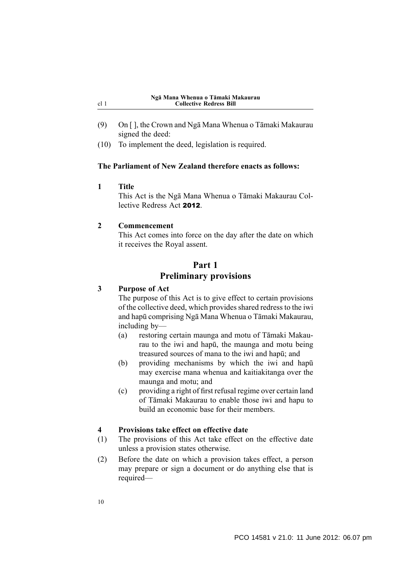- (9) On [ ], the Crown and Ngā Mana Whenua o Tāmaki Makaurau signed the deed:
- (10) To implement the deed, legislation is required.

#### **The Parliament of New Zealand therefore enacts as follows:**

**1 Title**

<span id="page-11-0"></span>cl 1

This Act is the Ngā Mana Whenua o Tāmaki Makaurau Collective Redress Act 2012.

#### **2 Commencement**

This Act comes into force on the day after the date on which it receives the Royal assent.

#### **Part 1**

## **Preliminary provisions**

## **3 Purpose of Act**

The purpose of this Act is to give effect to certain provisions of the collective deed, which provides shared redress to the iwi and hapū comprising Ngā Mana Whenua o Tāmaki Makaurau, including by—

- (a) restoring certain maunga and motu of Tāmaki Makaurau to the iwi and hapū, the maunga and motu being treasured sources of mana to the iwi and hapū; and
- (b) providing mechanisms by which the iwi and hapū may exercise mana whenua and kaitiakitanga over the maunga and motu; and
- (c) providing a right of first refusal regime over certain land of Tāmaki Makaurau to enable those iwi and hapu to build an economic base for their members.

#### **4 Provisions take effect on effective date**

- (1) The provisions of this Act take effect on the effective date unless a provision states otherwise.
- (2) Before the date on which a provision takes effect, a person may prepare or sign a document or do anything else that is required—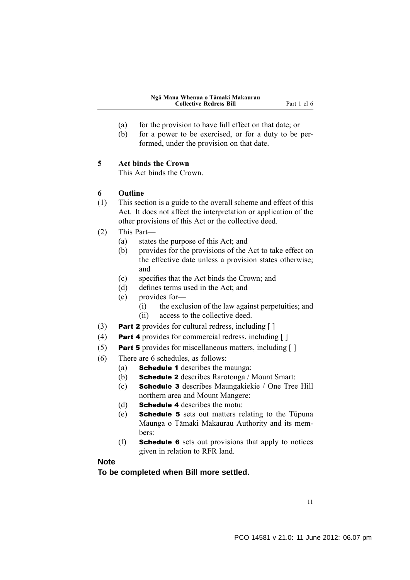- <span id="page-12-0"></span>(a) for the provision to have full effect on that date; or
- (b) for a power to be exercised, or for a duty to be performed, under the provision on that date.

#### **5 Act binds the Crown**

This Act binds the Crown.

## **6 Outline**

- (1) This section is a guide to the overall scheme and effect of this Act. It does not affect the interpretation or application of the other provisions of this Act or the collective deed.
- (2) This Part—
	- (a) states the purpose of this Act; and
	- (b) provides for the provisions of the Act to take effect on the effective date unless a provision states otherwise; and
	- (c) specifies that the Act binds the Crown; and
	- (d) defines terms used in the Act; and
	- (e) provides for—
		- (i) the exclusion of the law against perpetuities; and
		- (ii) access to the collective deed.
- (3) **Part 2** provides for cultural redress, including  $\lceil \cdot \rceil$
- (4) Part 4 provides for commercial redress, including [ ]
- (5) Part 5 provides for miscellaneous matters, including  $[ ]$
- (6) There are 6 schedules, as follows:
	- (a) Schedule 1 describes the maunga:
	- (b) Schedule 2 describes Rarotonga / Mount Smart:
	- (c) Schedule 3 describes Maungakiekie / One Tree Hill northern area and Mount Mangere:
	- (d) Schedule 4 describes the motu:
	- (e) Schedule 5 sets out matters relating to the Tūpuna Maunga o Tāmaki Makaurau Authority and its members:
	- (f) Schedule 6 sets out provisions that apply to notices given in relation to RFR land.

## **Note**

**To be completed when Bill more settled.**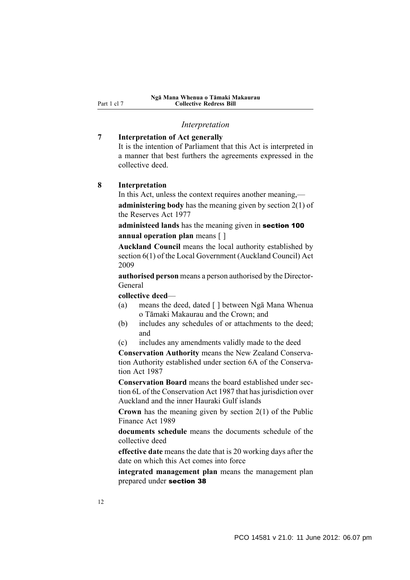<span id="page-13-0"></span>Part 1 cl 7

#### **Ngā Mana Whenua o Tāmaki Makaurau Collective Redress Bill**

#### *Interpretation*

#### **7 Interpretation of Act generally**

It is the intention of Parliament that this Act is interpreted in a manner that best furthers the agreements expressed in the collective deed.

## **8 Interpretation**

In this Act, unless the context requires another meaning, **administering body** has the meaning given by section 2(1) of the Reserves Act 1977

**administeed lands** has the meaning given in section 100 **annual operation plan** means [ ]

**Auckland Council** means the local authority established by section 6(1) of the Local Government (Auckland Council) Act 2009

**authorised person** means a person authorised by the Director-General

#### **collective deed**—

- (a) means the deed, dated [ ] between Ngā Mana Whenua o Tāmaki Makaurau and the Crown; and
- (b) includes any schedules of or attachments to the deed; and
- (c) includes any amendments validly made to the deed

**Conservation Authority** means the New Zealand Conservation Authority established under section 6A of the Conservation Act 1987

**Conservation Board** means the board established under section 6L of the Conservation Act 1987 that has jurisdiction over Auckland and the inner Hauraki Gulf islands

**Crown** has the meaning given by section 2(1) of the Public Finance Act 1989

**documents schedule** means the documents schedule of the collective deed

**effective date** means the date that is 20 working days after the date on which this Act comes into force

**integrated management plan** means the management plan prepared under section 38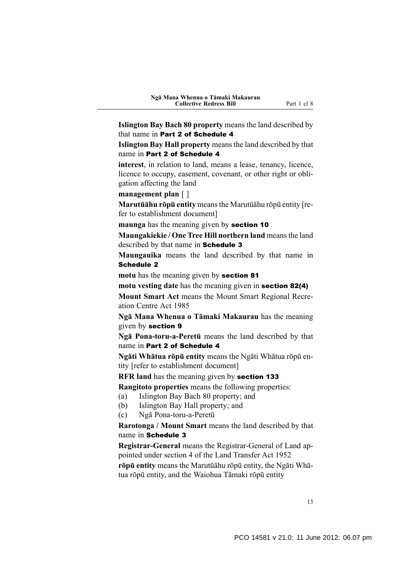**Islington Bay Bach 80 property** means the land described by that name in Part 2 of Schedule 4

**Islington Bay Hall property** means the land described by that name in Part 2 of Schedule 4

**interest**, in relation to land, means a lease, tenancy, licence, licence to occupy, easement, covenant, or other right or obligation affecting the land

**management plan** [ ]

**Marutūāhu rōpū entity** means the Marutūāhu rōpū entity [refer to establishment document]

**maunga** has the meaning given by section 10

**Maungakiekie / One Tree Hill northern land** means the land described by that name in Schedule 3

**Maungauika** means the land described by that name in Schedule 2

**motu** has the meaning given by section 81

**motu vesting date** has the meaning given in section 82(4)

**Mount Smart Act** means the Mount Smart Regional Recreation Centre Act 1985

**Ngā Mana Whenua o Tāmaki Makaurau** has the meaning given by section 9

**Ngā Pona-toru-a-Peretū** means the land described by that name in Part 2 of Schedule 4

**Ngāti Whātua rōpū entity** means the Ngāti Whātua rōpū entity [refer to establishment document]

**RFR land** has the meaning given by section 133

**Rangitoto properties** means the following properties:

- (a) Islington Bay Bach 80 property; and
- (b) Islington Bay Hall property; and
- (c) Ngā Pona-toru-a-Peretū

**Rarotonga / Mount Smart** means the land described by that name in Schedule 3

**Registrar-General** means the Registrar-General of Land appointed under section 4 of the Land Transfer Act 1952

**rōpū entity** means the Marutūāhu rōpū entity, the Ngāti Whātua rōpū entity, and the Waiohua Tāmaki rōpū entity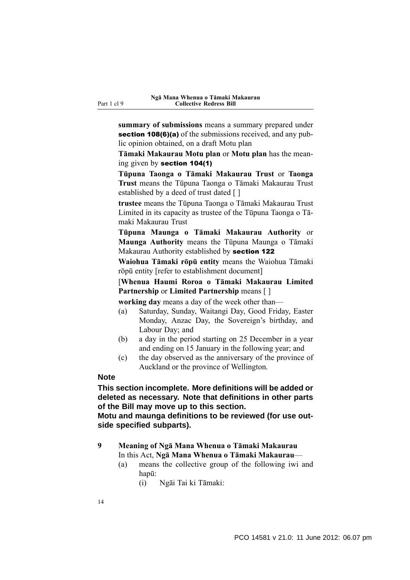<span id="page-15-0"></span>**summary of submissions** means a summary prepared under section 108(6)(a) of the submissions received, and any public opinion obtained, on a draft Motu plan

**Tāmaki Makaurau Motu plan** or **Motu plan** has the meaning given by section 104(1)

**Tūpuna Taonga o Tāmaki Makaurau Trust** or **Taonga Trust** means the Tūpuna Taonga o Tāmaki Makaurau Trust established by a deed of trust dated [ ]

**trustee** means the Tūpuna Taonga o Tāmaki Makaurau Trust Limited in its capacity as trustee of the Tūpuna Taonga o Tāmaki Makaurau Trust

**Tūpuna Maunga o Tāmaki Makaurau Authority** or **Maunga Authority** means the Tūpuna Maunga o Tāmaki Makaurau Authority established by section 122

**Waiohua Tāmaki rōpū entity** means the Waiohua Tāmaki rōpū entity [refer to establishment document]

[**Whenua Haumi Roroa o Tāmaki Makaurau Limited Partnership** or **Limited Partnership** means [ ]

**working day** means a day of the week other than—

- (a) Saturday, Sunday, Waitangi Day, Good Friday, Easter Monday, Anzac Day, the Sovereign's birthday, and Labour Day; and
- (b) a day in the period starting on 25 December in a year and ending on 15 January in the following year; and
- (c) the day observed as the anniversary of the province of Auckland or the province of Wellington.

#### **Note**

**This section incomplete. More definitions will be added or deleted as necessary. Note that definitions in other parts of the Bill may move up to this section.**

**Motu and maunga definitions to be reviewed (for use outside specified subparts).**

#### **9 Meaning of Ngā Mana Whenua o Tāmaki Makaurau** In this Act, **Ngā Mana Whenua o Tāmaki Makaurau**—

- (a) means the collective group of the following iwi and hapū:
	- (i) Ngāi Tai ki Tāmaki: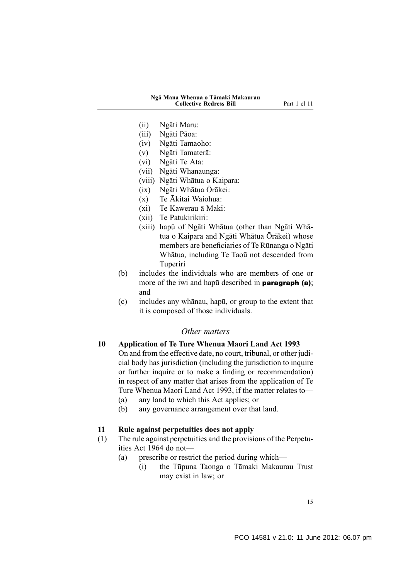- <span id="page-16-0"></span>(ii) Ngāti Maru:
- (iii) Ngāti Pāoa:
- (iv) Ngāti Tamaoho:
- (v) Ngāti Tamaterā:
- (vi) Ngāti Te Ata:
- (vii) Ngāti Whanaunga:
- (viii) Ngāti Whātua o Kaipara:
- (ix) Ngāti Whātua Ōrākei:
- (x) Te Ākitai Waiohua:
- (xi) Te Kawerau ā Maki:
- (xii) Te Patukirikiri:
- (xiii) hapū of Ngāti Whātua (other than Ngāti Whātua o Kaipara and Ngāti Whātua Ōrākei) whose members are beneficiaries of Te Rūnanga o Ngāti Whātua, including Te Taoū not descended from Tuperiri
- (b) includes the individuals who are members of one or more of the iwi and hapū described in **paragraph** (a); and
- (c) includes any whānau, hapū, or group to the extent that it is composed of those individuals.

#### *Other matters*

#### **10 Application of Te Ture Whenua Maori Land Act 1993**

On and from the effective date, no court, tribunal, or other judicial body has jurisdiction (including the jurisdiction to inquire or further inquire or to make a finding or recommendation) in respect of any matter that arises from the application of Te Ture Whenua Maori Land Act 1993, if the matter relates to—

- (a) any land to which this Act applies; or
- (b) any governance arrangement over that land.

#### **11 Rule against perpetuities does not apply**

- (1) The rule against perpetuities and the provisions of the Perpetuities Act 1964 do not—
	- (a) prescribe or restrict the period during which—
		- (i) the Tūpuna Taonga o Tāmaki Makaurau Trust may exist in law; or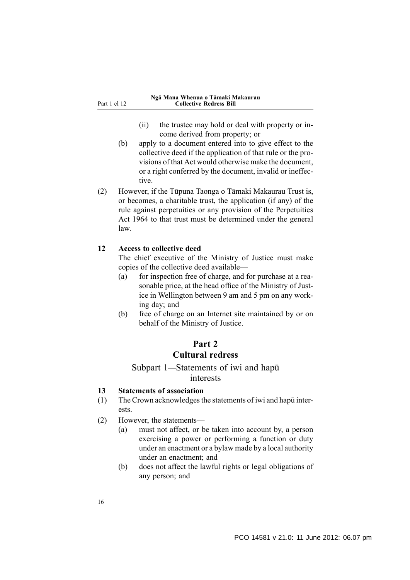- (ii) the trustee may hold or deal with property or income derived from property; or
- <span id="page-17-0"></span>(b) apply to a document entered into to give effect to the collective deed if the application of that rule or the provisions of that Act would otherwise make the document, or a right conferred by the document, invalid or ineffective.
- (2) However, if the Tūpuna Taonga o Tāmaki Makaurau Trust is, or becomes, a charitable trust, the application (if any) of the rule against perpetuities or any provision of the Perpetuities Act 1964 to that trust must be determined under the general law.

#### **12 Access to collective deed**

The chief executive of the Ministry of Justice must make copies of the collective deed available—

- (a) for inspection free of charge, and for purchase at a reasonable price, at the head office of the Ministry of Justice in Wellington between 9 am and 5 pm on any working day; and
- (b) free of charge on an Internet site maintained by or on behalf of the Ministry of Justice.

## **Part 2 Cultural redress**

## Subpart 1—Statements of iwi and hapū interests

## **13 Statements of association**

- (1) The Crown acknowledges the statements of iwi and hapū interests.
- (2) However, the statements—
	- (a) must not affect, or be taken into account by, a person exercising a power or performing a function or duty under an enactment or a bylaw made by a local authority under an enactment; and
	- (b) does not affect the lawful rights or legal obligations of any person; and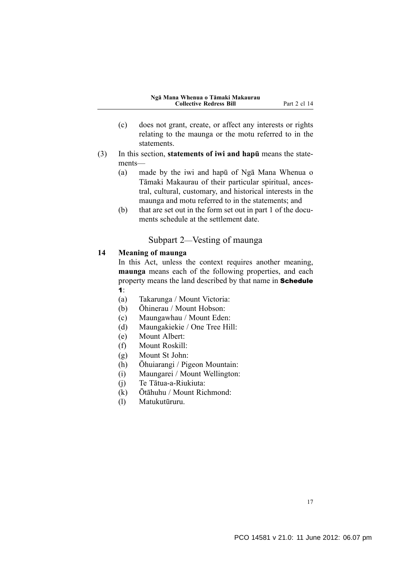- <span id="page-18-0"></span>(c) does not grant, create, or affect any interests or rights relating to the maunga or the motu referred to in the statements.
- (3) In this section, **statements of iwi and hapū** means the statements—
	- (a) made by the iwi and hapū of Ngā Mana Whenua o Tāmaki Makaurau of their particular spiritual, ancestral, cultural, customary, and historical interests in the maunga and motu referred to in the statements; and
	- (b) that are set out in the form set out in part 1 of the documents schedule at the settlement date.

## Subpart 2—Vesting of maunga

## **14 Meaning of maunga**

In this Act, unless the context requires another meaning, **maunga** means each of the following properties, and each property means the land described by that name in Schedule 1:

- (a) Takarunga / Mount Victoria:
- (b) Ōhinerau / Mount Hobson:
- (c) Maungawhau / Mount Eden:
- (d) Maungakiekie / One Tree Hill:
- (e) Mount Albert:
- (f) Mount Roskill:
- (g) Mount St John:
- (h) Ōhuiarangi / Pigeon Mountain:
- (i) Maungarei / Mount Wellington:
- (j) Te Tātua-a-Riukiuta:
- (k) Ōtāhuhu / Mount Richmond:
- (l) Matukutūruru.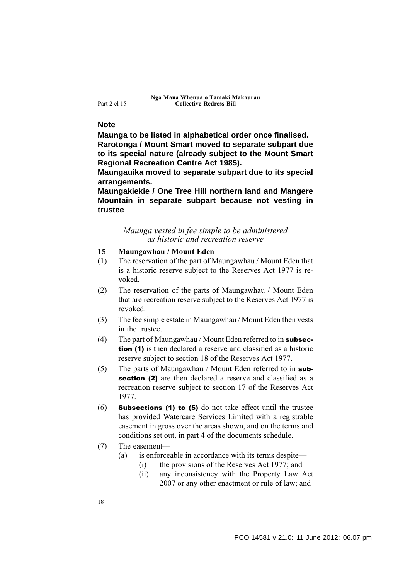#### <span id="page-19-0"></span>**Note**

**Maunga to be listed in alphabetical order once finalised. Rarotonga / Mount Smart moved to separate subpart due to its special nature (already subject to the Mount Smart Regional Recreation Centre Act 1985).**

**Maungauika moved to separate subpart due to its special arrangements.**

**Maungakiekie / One Tree Hill northern land and Mangere Mountain in separate subpart because not vesting in trustee**

#### *Maunga vested in fee simple to be administered as historic and recreation reserve*

- **15 Maungawhau / Mount Eden**
- (1) The reservation of the part of Maungawhau / Mount Eden that is a historic reserve subject to the Reserves Act 1977 is revoked.
- (2) The reservation of the parts of Maungawhau / Mount Eden that are recreation reserve subject to the Reserves Act 1977 is revoked.
- (3) The fee simple estate in Maungawhau / Mount Eden then vests in the trustee.
- (4) The part of Maungawhau / Mount Eden referred to in subsection (1) is then declared a reserve and classified as a historic reserve subject to section 18 of the Reserves Act 1977.
- (5) The parts of Maungawhau / Mount Eden referred to in subsection (2) are then declared a reserve and classified as a recreation reserve subject to section 17 of the Reserves Act 1977.
- (6) Subsections (1) to (5) do not take effect until the trustee has provided Watercare Services Limited with a registrable easement in gross over the areas shown, and on the terms and conditions set out, in part 4 of the documents schedule.
- (7) The easement—
	- (a) is enforceable in accordance with its terms despite—
		- (i) the provisions of the Reserves Act 1977; and
		- (ii) any inconsistency with the Property Law Act 2007 or any other enactment or rule of law; and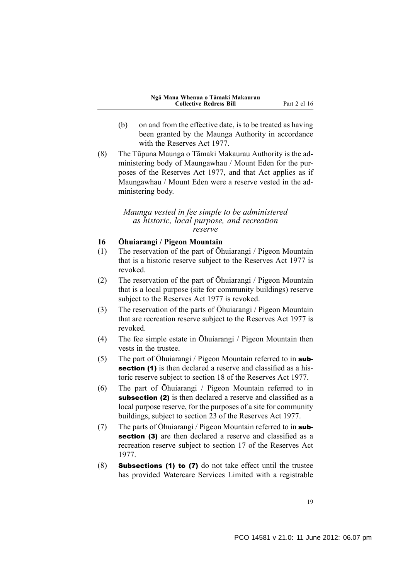- <span id="page-20-0"></span>(b) on and from the effective date, is to be treated as having been granted by the Maunga Authority in accordance with the Reserves Act 1977.
- (8) The Tūpuna Maunga o Tāmaki Makaurau Authority is the administering body of Maungawhau / Mount Eden for the purposes of the Reserves Act 1977, and that Act applies as if Maungawhau / Mount Eden were a reserve vested in the administering body.

#### *Maunga vested in fee simple to be administered as historic, local purpose, and recreation reserve*

#### **16 Ōhuiarangi / Pigeon Mountain**

- (1) The reservation of the part of Ōhuiarangi / Pigeon Mountain that is a historic reserve subject to the Reserves Act 1977 is revoked.
- (2) The reservation of the part of Ōhuiarangi / Pigeon Mountain that is a local purpose (site for community buildings) reserve subject to the Reserves Act 1977 is revoked.
- (3) The reservation of the parts of Ōhuiarangi / Pigeon Mountain that are recreation reserve subject to the Reserves Act 1977 is revoked.
- (4) The fee simple estate in Ōhuiarangi / Pigeon Mountain then vests in the trustee.
- (5) The part of  $\overline{O}$ huiarangi / Pigeon Mountain referred to in **sub**section (1) is then declared a reserve and classified as a historic reserve subject to section 18 of the Reserves Act 1977.
- (6) The part of Ōhuiarangi / Pigeon Mountain referred to in subsection (2) is then declared a reserve and classified as a local purpose reserve, for the purposes of a site for community buildings, subject to section 23 of the Reserves Act 1977.
- (7) The parts of Ōhuiarangi / Pigeon Mountain referred to in subsection (3) are then declared a reserve and classified as a recreation reserve subject to section 17 of the Reserves Act 1977.
- (8) Subsections (1) to (7) do not take effect until the trustee has provided Watercare Services Limited with a registrable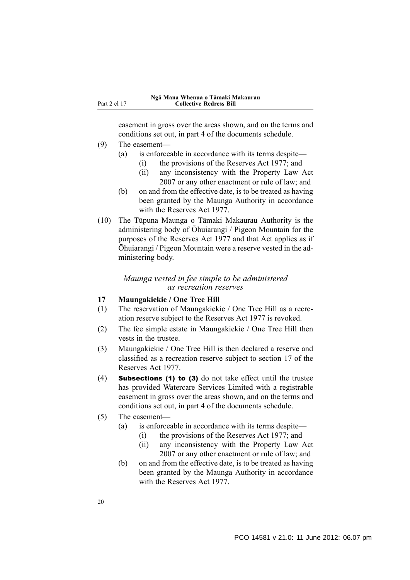<span id="page-21-0"></span>easement in gross over the areas shown, and on the terms and conditions set out, in part 4 of the documents schedule.

- (9) The easement—
	- (a) is enforceable in accordance with its terms despite—
		- (i) the provisions of the Reserves Act 1977; and
		- (ii) any inconsistency with the Property Law Act 2007 or any other enactment or rule of law; and
	- (b) on and from the effective date, is to be treated as having been granted by the Maunga Authority in accordance with the Reserves Act 1977.
- (10) The Tūpuna Maunga o Tāmaki Makaurau Authority is the administering body of Ōhuiarangi / Pigeon Mountain for the purposes of the Reserves Act 1977 and that Act applies as if Ōhuiarangi / Pigeon Mountain were a reserve vested in the administering body.

#### *Maunga vested in fee simple to be administered as recreation reserves*

## **17 Maungakiekie / One Tree Hill**

- (1) The reservation of Maungakiekie / One Tree Hill as a recreation reserve subject to the Reserves Act 1977 is revoked.
- (2) The fee simple estate in Maungakiekie / One Tree Hill then vests in the trustee.
- (3) Maungakiekie / One Tree Hill is then declared a reserve and classified as a recreation reserve subject to section 17 of the Reserves Act 1977.
- (4) Subsections (1) to (3) do not take effect until the trustee has provided Watercare Services Limited with a registrable easement in gross over the areas shown, and on the terms and conditions set out, in part 4 of the documents schedule.
- (5) The easement—
	- (a) is enforceable in accordance with its terms despite—
		- (i) the provisions of the Reserves Act 1977; and
		- (ii) any inconsistency with the Property Law Act 2007 or any other enactment or rule of law; and
	- (b) on and from the effective date, is to be treated as having been granted by the Maunga Authority in accordance with the Reserves Act 1977.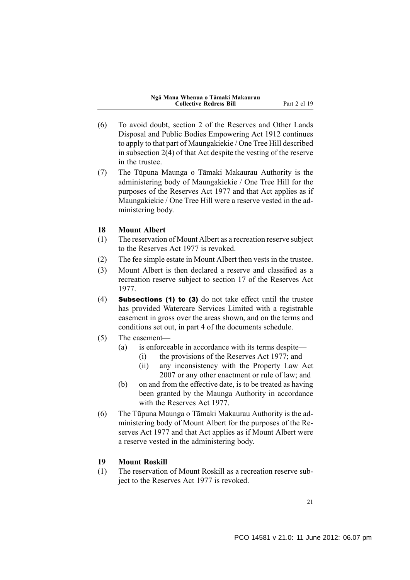- <span id="page-22-0"></span>(6) To avoid doubt, section 2 of the Reserves and Other Lands Disposal and Public Bodies Empowering Act 1912 continues to apply to that part of Maungakiekie / One Tree Hill described in subsection 2(4) of that Act despite the vesting of the reserve in the trustee.
- (7) The Tūpuna Maunga o Tāmaki Makaurau Authority is the administering body of Maungakiekie / One Tree Hill for the purposes of the Reserves Act 1977 and that Act applies as if Maungakiekie / One Tree Hill were a reserve vested in the administering body.

#### **18 Mount Albert**

- (1) The reservation of Mount Albert as a recreation reserve subject to the Reserves Act 1977 is revoked.
- (2) The fee simple estate in Mount Albert then vests in the trustee.
- (3) Mount Albert is then declared a reserve and classified as a recreation reserve subject to section 17 of the Reserves Act 1977.
- (4) Subsections (1) to (3) do not take effect until the trustee has provided Watercare Services Limited with a registrable easement in gross over the areas shown, and on the terms and conditions set out, in part 4 of the documents schedule.
- (5) The easement—
	- (a) is enforceable in accordance with its terms despite—
		- (i) the provisions of the Reserves Act 1977; and
		- (ii) any inconsistency with the Property Law Act 2007 or any other enactment or rule of law; and
	- (b) on and from the effective date, is to be treated as having been granted by the Maunga Authority in accordance with the Reserves Act 1977.
- (6) The Tūpuna Maunga o Tāmaki Makaurau Authority is the administering body of Mount Albert for the purposes of the Reserves Act 1977 and that Act applies as if Mount Albert were a reserve vested in the administering body.

## **19 Mount Roskill**

(1) The reservation of Mount Roskill as a recreation reserve subject to the Reserves Act 1977 is revoked.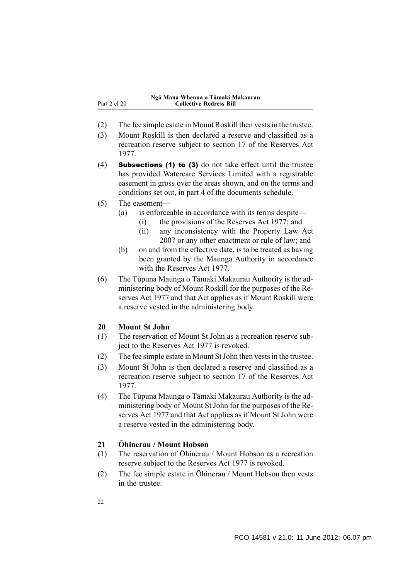- <span id="page-23-0"></span>(2) The fee simple estate in Mount Roskill then vests in the trustee.
- (3) Mount Roskill is then declared a reserve and classified as a recreation reserve subject to section 17 of the Reserves Act 1977.
- (4) Subsections (1) to (3) do not take effect until the trustee has provided Watercare Services Limited with a registrable easement in gross over the areas shown, and on the terms and conditions set out, in part 4 of the documents schedule.
- (5) The easement—
	- (a) is enforceable in accordance with its terms despite—
		- (i) the provisions of the Reserves Act 1977; and
		- (ii) any inconsistency with the Property Law Act 2007 or any other enactment or rule of law; and
	- (b) on and from the effective date, is to be treated as having been granted by the Maunga Authority in accordance with the Reserves Act 1977.
- (6) The Tūpuna Maunga o Tāmaki Makaurau Authority is the administering body of Mount Roskill for the purposes of the Reserves Act 1977 and that Act applies as if Mount Roskill were a reserve vested in the administering body.

#### **20 Mount St John**

- (1) The reservation of Mount St John as a recreation reserve subject to the Reserves Act 1977 is revoked.
- (2) The fee simple estate in Mount St John then vests in the trustee.
- (3) Mount St John is then declared a reserve and classified as a recreation reserve subject to section 17 of the Reserves Act 1977.
- (4) The Tūpuna Maunga o Tāmaki Makaurau Authority is the administering body of Mount St John for the purposes of the Reserves Act 1977 and that Act applies as if Mount St John were a reserve vested in the administering body.

#### **21 Ōhinerau / Mount Hobson**

- (1) The reservation of Ōhinerau / Mount Hobson as a recreation reserve subject to the Reserves Act 1977 is revoked.
- (2) The fee simple estate in Ōhinerau / Mount Hobson then vests in the trustee.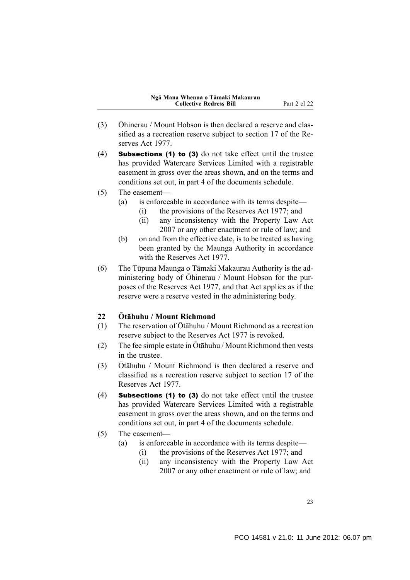- <span id="page-24-0"></span>(3) Ōhinerau / Mount Hobson is then declared a reserve and classified as a recreation reserve subject to section 17 of the Reserves Act 1977.
- (4) Subsections (1) to (3) do not take effect until the trustee has provided Watercare Services Limited with a registrable easement in gross over the areas shown, and on the terms and conditions set out, in part 4 of the documents schedule.
- (5) The easement—
	- (a) is enforceable in accordance with its terms despite—
		- (i) the provisions of the Reserves Act 1977; and
		- (ii) any inconsistency with the Property Law Act 2007 or any other enactment or rule of law; and
	- (b) on and from the effective date, is to be treated as having been granted by the Maunga Authority in accordance with the Reserves Act 1977.
- (6) The Tūpuna Maunga o Tāmaki Makaurau Authority is the administering body of Ōhinerau / Mount Hobson for the purposes of the Reserves Act 1977, and that Act applies as if the reserve were a reserve vested in the administering body.

## **22 Ōtāhuhu / Mount Richmond**

- (1) The reservation of Ōtāhuhu / Mount Richmond as a recreation reserve subject to the Reserves Act 1977 is revoked.
- (2) The fee simple estate in Ōtāhuhu / Mount Richmond then vests in the trustee.
- (3) Ōtāhuhu / Mount Richmond is then declared a reserve and classified as a recreation reserve subject to section 17 of the Reserves Act 1977.
- (4) Subsections (1) to (3) do not take effect until the trustee has provided Watercare Services Limited with a registrable easement in gross over the areas shown, and on the terms and conditions set out, in part 4 of the documents schedule.

## (5) The easement—

- (a) is enforceable in accordance with its terms despite—
	- (i) the provisions of the Reserves Act 1977; and
	- (ii) any inconsistency with the Property Law Act 2007 or any other enactment or rule of law; and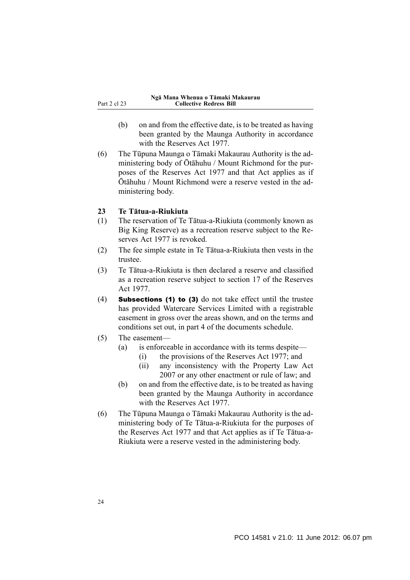<span id="page-25-0"></span>Part 2 cl 23

- (b) on and from the effective date, is to be treated as having been granted by the Maunga Authority in accordance with the Reserves Act 1977.
- (6) The Tūpuna Maunga o Tāmaki Makaurau Authority is the administering body of Ōtāhuhu / Mount Richmond for the purposes of the Reserves Act 1977 and that Act applies as if Ōtāhuhu / Mount Richmond were a reserve vested in the administering body.

#### **23 Te Tātua-a-Riukiuta**

- (1) The reservation of Te Tātua-a-Riukiuta (commonly known as Big King Reserve) as a recreation reserve subject to the Reserves Act 1977 is revoked.
- (2) The fee simple estate in Te Tātua-a-Riukiuta then vests in the trustee.
- (3) Te Tātua-a-Riukiuta is then declared a reserve and classified as a recreation reserve subject to section 17 of the Reserves Act 1977.
- (4) Subsections (1) to (3) do not take effect until the trustee has provided Watercare Services Limited with a registrable easement in gross over the areas shown, and on the terms and conditions set out, in part 4 of the documents schedule.
- (5) The easement—
	- (a) is enforceable in accordance with its terms despite—
		- (i) the provisions of the Reserves Act 1977; and
		- (ii) any inconsistency with the Property Law Act 2007 or any other enactment or rule of law; and
	- (b) on and from the effective date, is to be treated as having been granted by the Maunga Authority in accordance with the Reserves Act 1977.
- (6) The Tūpuna Maunga o Tāmaki Makaurau Authority is the administering body of Te Tātua-a-Riukiuta for the purposes of the Reserves Act 1977 and that Act applies as if Te Tātua-a-Riukiuta were a reserve vested in the administering body.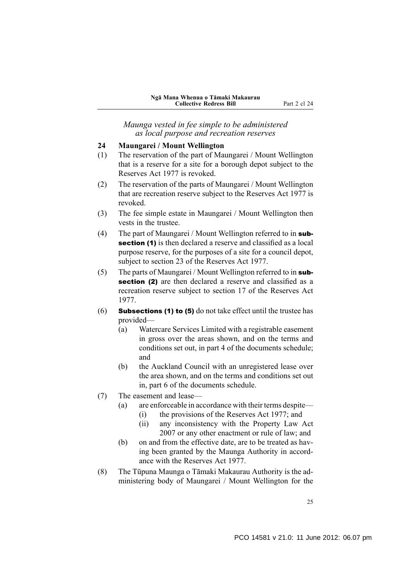<span id="page-26-0"></span>*Maunga vested in fee simple to be administered as local purpose and recreation reserves*

#### **24 Maungarei / Mount Wellington**

- (1) The reservation of the part of Maungarei / Mount Wellington that is a reserve for a site for a borough depot subject to the Reserves Act 1977 is revoked.
- (2) The reservation of the parts of Maungarei / Mount Wellington that are recreation reserve subject to the Reserves Act 1977 is revoked.
- (3) The fee simple estate in Maungarei / Mount Wellington then vests in the trustee.
- (4) The part of Maungarei / Mount Wellington referred to in subsection (1) is then declared a reserve and classified as a local purpose reserve, for the purposes of a site for a council depot, subject to section 23 of the Reserves Act 1977.
- (5) The parts of Maungarei / Mount Wellington referred to in subsection (2) are then declared a reserve and classified as a recreation reserve subject to section 17 of the Reserves Act 1977.
- (6) **Subsections (1) to (5)** do not take effect until the trustee has provided—
	- (a) Watercare Services Limited with a registrable easement in gross over the areas shown, and on the terms and conditions set out, in part 4 of the documents schedule; and
	- (b) the Auckland Council with an unregistered lease over the area shown, and on the terms and conditions set out in, part 6 of the documents schedule.
- (7) The easement and lease—
	- (a) are enforceable in accordance with their terms despite—
		- (i) the provisions of the Reserves Act 1977; and
		- (ii) any inconsistency with the Property Law Act 2007 or any other enactment or rule of law; and
	- (b) on and from the effective date, are to be treated as having been granted by the Maunga Authority in accordance with the Reserves Act 1977.
- (8) The Tūpuna Maunga o Tāmaki Makaurau Authority is the administering body of Maungarei / Mount Wellington for the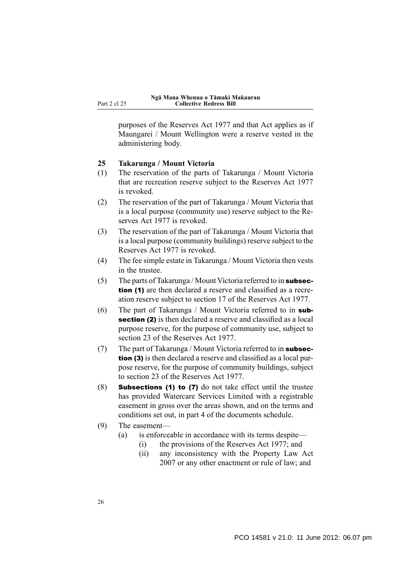<span id="page-27-0"></span>purposes of the Reserves Act 1977 and that Act applies as if Maungarei / Mount Wellington were a reserve vested in the administering body.

#### **25 Takarunga / Mount Victoria**

- (1) The reservation of the parts of Takarunga / Mount Victoria that are recreation reserve subject to the Reserves Act 1977 is revoked.
- (2) The reservation of the part of Takarunga / Mount Victoria that is a local purpose (community use) reserve subject to the Reserves Act 1977 is revoked.
- (3) The reservation of the part of Takarunga / Mount Victoria that is a local purpose (community buildings) reserve subject to the Reserves Act 1977 is revoked.
- (4) The fee simple estate in Takarunga / Mount Victoria then vests in the trustee.
- (5) The parts of Takarunga / Mount Victoria referred to in subsection (1) are then declared a reserve and classified as a recreation reserve subject to section 17 of the Reserves Act 1977.
- (6) The part of Takarunga / Mount Victoria referred to in subsection (2) is then declared a reserve and classified as a local purpose reserve, for the purpose of community use, subject to section 23 of the Reserves Act 1977.
- (7) The part of Takarunga / Mount Victoria referred to in subsection (3) is then declared a reserve and classified as a local purpose reserve, for the purpose of community buildings, subject to section 23 of the Reserves Act 1977.
- (8) Subsections (1) to (7) do not take effect until the trustee has provided Watercare Services Limited with a registrable easement in gross over the areas shown, and on the terms and conditions set out, in part 4 of the documents schedule.
- (9) The easement—
	- (a) is enforceable in accordance with its terms despite—
		- (i) the provisions of the Reserves Act 1977; and
		- (ii) any inconsistency with the Property Law Act 2007 or any other enactment or rule of law; and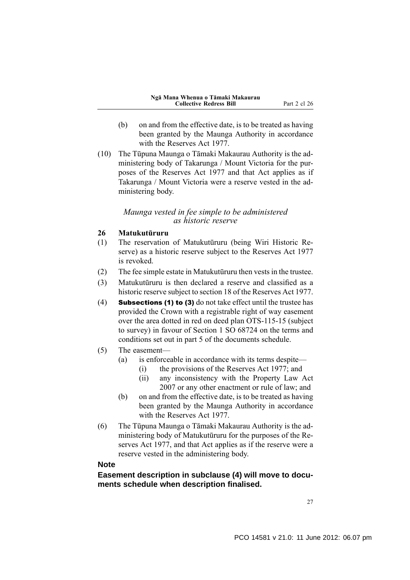- <span id="page-28-0"></span>(b) on and from the effective date, is to be treated as having been granted by the Maunga Authority in accordance with the Reserves Act 1977.
- (10) The Tūpuna Maunga o Tāmaki Makaurau Authority is the administering body of Takarunga / Mount Victoria for the purposes of the Reserves Act 1977 and that Act applies as if Takarunga / Mount Victoria were a reserve vested in the administering body.

#### *Maunga vested in fee simple to be administered as historic reserve*

## **26 Matukutūruru**

- (1) The reservation of Matukutūruru (being Wiri Historic Reserve) as a historic reserve subject to the Reserves Act 1977 is revoked.
- (2) The fee simple estate in Matukutūruru then vests in the trustee.
- (3) Matukutūruru is then declared a reserve and classified as a historic reserve subject to section 18 of the Reserves Act 1977.
- (4) **Subsections (1) to (3)** do not take effect until the trustee has provided the Crown with a registrable right of way easement over the area dotted in red on deed plan OTS-115-15 (subject to survey) in favour of Section 1 SO 68724 on the terms and conditions set out in part 5 of the documents schedule.
- (5) The easement—
	- (a) is enforceable in accordance with its terms despite—
		- (i) the provisions of the Reserves Act 1977; and
		- (ii) any inconsistency with the Property Law Act 2007 or any other enactment or rule of law; and
	- (b) on and from the effective date, is to be treated as having been granted by the Maunga Authority in accordance with the Reserves Act 1977.
- (6) The Tūpuna Maunga o Tāmaki Makaurau Authority is the administering body of Matukutūruru for the purposes of the Reserves Act 1977, and that Act applies as if the reserve were a reserve vested in the administering body.

## **Note**

**Easement description in subclause (4) will move to documents schedule when description finalised.**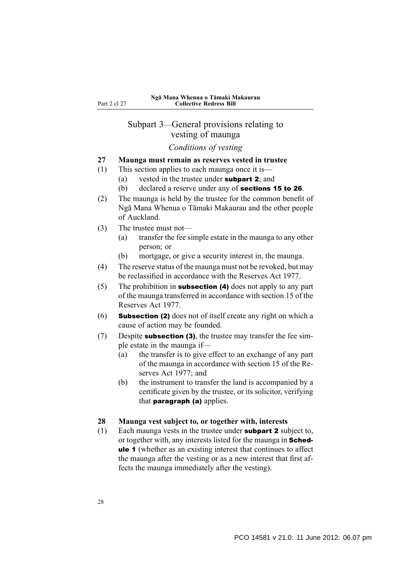## <span id="page-29-0"></span>Subpart 3—General provisions relating to vesting of maunga

## *Conditions of vesting*

- **27 Maunga must remain as reserves vested in trustee**
- (1) This section applies to each maunga once it is—
	- (a) vested in the trustee under subpart 2; and
	- (b) declared a reserve under any of **sections 15 to 26**.
- (2) The maunga is held by the trustee for the common benefit of Ngā Mana Whenua o Tāmaki Makaurau and the other people of Auckland.
- (3) The trustee must not—
	- (a) transfer the fee simple estate in the maunga to any other person; or
	- (b) mortgage, or give a security interest in, the maunga.
- (4) The reserve status of the maunga must not be revoked, but may be reclassified in accordance with the Reserves Act 1977.
- (5) The prohibition in subsection (4) does not apply to any part of the maunga transferred in accordance with section 15 of the Reserves Act 1977.
- (6) Subsection (2) does not of itself create any right on which a cause of action may be founded.
- (7) Despite subsection (3), the trustee may transfer the fee simple estate in the maunga if—
	- (a) the transfer is to give effect to an exchange of any part of the maunga in accordance with section 15 of the Reserves Act 1977; and
	- (b) the instrument to transfer the land is accompanied by a certificate given by the trustee, or its solicitor, verifying that **paragraph** (a) applies.

#### **28 Maunga vest subject to, or together with, interests**

(1) Each maunga vests in the trustee under subpart 2 subject to, or together with, any interests listed for the maunga in Schedule 1 (whether as an existing interest that continues to affect the maunga after the vesting or as a new interest that first affects the maunga immediately after the vesting).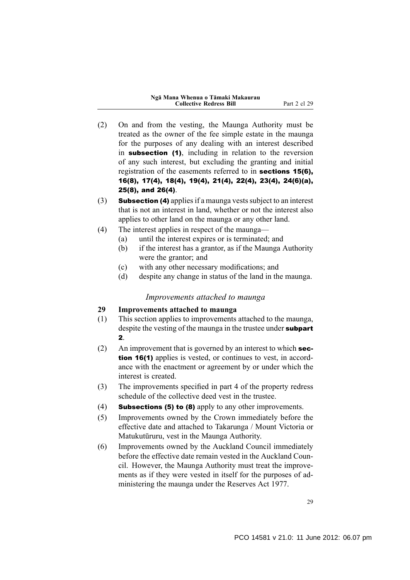|  |                                |  | Ngā Mana Whenua o Tāmaki Makaurau |
|--|--------------------------------|--|-----------------------------------|
|  | <b>Collective Redress Bill</b> |  |                                   |

- <span id="page-30-0"></span>(2) On and from the vesting, the Maunga Authority must be treated as the owner of the fee simple estate in the maunga for the purposes of any dealing with an interest described in subsection (1), including in relation to the reversion of any such interest, but excluding the granting and initial registration of the easements referred to in sections 15(6), 16(8), 17(4), 18(4), 19(4), 21(4), 22(4), 23(4), 24(6)(a), 25(8), and 26(4).
- (3) Subsection (4) applies if a maunga vests subject to an interest that is not an interest in land, whether or not the interest also applies to other land on the maunga or any other land.
- (4) The interest applies in respect of the maunga—
	- (a) until the interest expires or is terminated; and
	- (b) if the interest has a grantor, as if the Maunga Authority were the grantor; and
	- (c) with any other necessary modifications; and
	- (d) despite any change in status of the land in the maunga.

#### *Improvements attached to maunga*

#### **29 Improvements attached to maunga**

- (1) This section applies to improvements attached to the maunga, despite the vesting of the maunga in the trustee under **subpart** 2.
- (2) An improvement that is governed by an interest to which section 16(1) applies is vested, or continues to vest, in accordance with the enactment or agreement by or under which the interest is created.
- (3) The improvements specified in part 4 of the property redress schedule of the collective deed vest in the trustee.
- (4) **Subsections (5) to (8)** apply to any other improvements.
- (5) Improvements owned by the Crown immediately before the effective date and attached to Takarunga / Mount Victoria or Matukutūruru, vest in the Maunga Authority.
- (6) Improvements owned by the Auckland Council immediately before the effective date remain vested in the Auckland Council. However, the Maunga Authority must treat the improvements as if they were vested in itself for the purposes of administering the maunga under the Reserves Act 1977.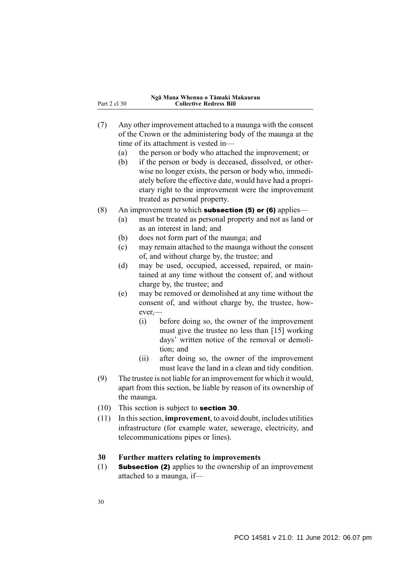- <span id="page-31-0"></span>(7) Any other improvement attached to a maunga with the consent of the Crown or the administering body of the maunga at the time of its attachment is vested in—
	- (a) the person or body who attached the improvement; or
	- (b) if the person or body is deceased, dissolved, or otherwise no longer exists, the person or body who, immediately before the effective date, would have had a proprietary right to the improvement were the improvement treated as personal property.
- (8) An improvement to which **subsection (5) or (6)** applies—
	- (a) must be treated as personal property and not as land or as an interest in land; and
	- (b) does not form part of the maunga; and
	- (c) may remain attached to the maunga without the consent of, and without charge by, the trustee; and
	- (d) may be used, occupied, accessed, repaired, or maintained at any time without the consent of, and without charge by, the trustee; and
	- (e) may be removed or demolished at any time without the consent of, and without charge by, the trustee, however,—
		- (i) before doing so, the owner of the improvement must give the trustee no less than [15] working days' written notice of the removal or demolition; and
		- (ii) after doing so, the owner of the improvement must leave the land in a clean and tidy condition.
- (9) The trustee is not liable for an improvement for which it would, apart from this section, be liable by reason of its ownership of the maunga.
- (10) This section is subject to section 30.
- (11) In this section, **improvement**, to avoid doubt, includes utilities infrastructure (for example water, sewerage, electricity, and telecommunications pipes or lines).

### **30 Further matters relating to improvements**

(1) Subsection (2) applies to the ownership of an improvement attached to a maunga, if—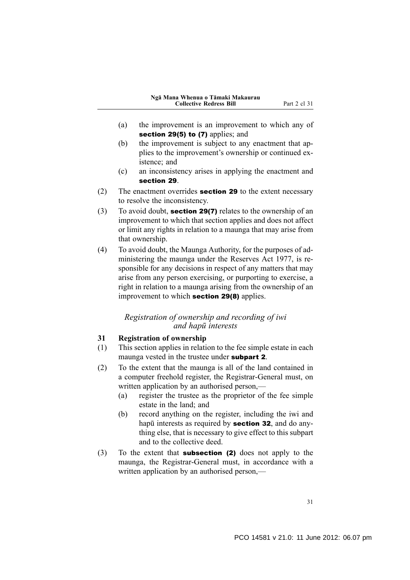- <span id="page-32-0"></span>(a) the improvement is an improvement to which any of section 29(5) to (7) applies; and
- (b) the improvement is subject to any enactment that applies to the improvement's ownership or continued existence; and
- (c) an inconsistency arises in applying the enactment and section 29.
- (2) The enactment overrides section 29 to the extent necessary to resolve the inconsistency.
- (3) To avoid doubt, section 29(7) relates to the ownership of an improvement to which that section applies and does not affect or limit any rights in relation to a maunga that may arise from that ownership.
- (4) To avoid doubt, the Maunga Authority, for the purposes of administering the maunga under the Reserves Act 1977, is responsible for any decisions in respect of any matters that may arise from any person exercising, or purporting to exercise, a right in relation to a maunga arising from the ownership of an improvement to which section 29(8) applies.

## *Registration of ownership and recording of iwi and hapū interests*

#### **31 Registration of ownership**

- (1) This section applies in relation to the fee simple estate in each maunga vested in the trustee under **subpart 2**.
- (2) To the extent that the maunga is all of the land contained in a computer freehold register, the Registrar-General must, on written application by an authorised person,—
	- (a) register the trustee as the proprietor of the fee simple estate in the land; and
	- (b) record anything on the register, including the iwi and hapū interests as required by **section 32**, and do anything else, that is necessary to give effect to this subpart and to the collective deed.
- (3) To the extent that subsection (2) does not apply to the maunga, the Registrar-General must, in accordance with a written application by an authorised person.—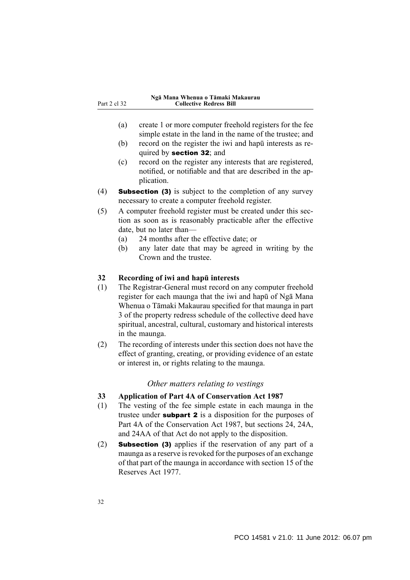- <span id="page-33-0"></span>(a) create 1 or more computer freehold registers for the fee simple estate in the land in the name of the trustee; and
- (b) record on the register the iwi and hapū interests as required by **section 32**; and
- (c) record on the register any interests that are registered, notified, or notifiable and that are described in the application.
- (4) Subsection (3) is subject to the completion of any survey necessary to create a computer freehold register.
- (5) A computer freehold register must be created under this section as soon as is reasonably practicable after the effective date, but no later than—
	- (a) 24 months after the effective date; or
	- (b) any later date that may be agreed in writing by the Crown and the trustee.

#### **32 Recording of iwi and hapū interests**

- (1) The Registrar-General must record on any computer freehold register for each maunga that the iwi and hapū of Ngā Mana Whenua o Tāmaki Makaurau specified for that maunga in part 3 of the property redress schedule of the collective deed have spiritual, ancestral, cultural, customary and historical interests in the maunga.
- (2) The recording of interests under this section does not have the effect of granting, creating, or providing evidence of an estate or interest in, or rights relating to the maunga.

## *Other matters relating to vestings*

- **33 Application of Part 4A of Conservation Act 1987**
- (1) The vesting of the fee simple estate in each maunga in the trustee under **subpart 2** is a disposition for the purposes of Part 4A of the Conservation Act 1987, but sections 24, 24A, and 24AA of that Act do not apply to the disposition.
- (2) Subsection (3) applies if the reservation of any part of a maunga as a reserve is revoked for the purposes of an exchange of that part of the maunga in accordance with section 15 of the Reserves Act 1977.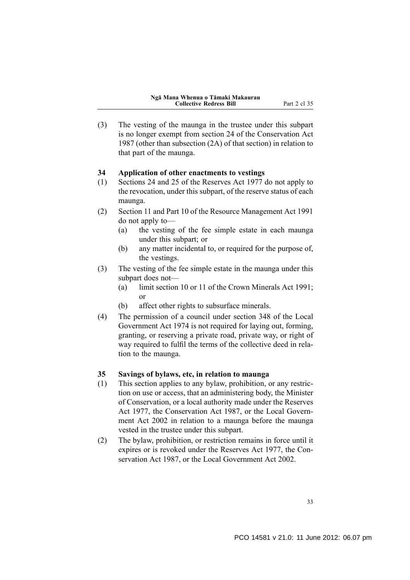<span id="page-34-0"></span>(3) The vesting of the maunga in the trustee under this subpart is no longer exempt from section 24 of the Conservation Act 1987 (other than subsection (2A) of that section) in relation to that part of the maunga.

#### **34 Application of other enactments to vestings**

- (1) Sections 24 and 25 of the Reserves Act 1977 do not apply to the revocation, under this subpart, of the reserve status of each maunga.
- (2) Section 11 and Part 10 of the Resource Management Act 1991 do not apply to—
	- (a) the vesting of the fee simple estate in each maunga under this subpart; or
	- (b) any matter incidental to, or required for the purpose of, the vestings.
- (3) The vesting of the fee simple estate in the maunga under this subpart does not—
	- (a) limit section 10 or 11 of the Crown Minerals Act 1991; or
	- (b) affect other rights to subsurface minerals.
- (4) The permission of a council under section 348 of the Local Government Act 1974 is not required for laying out, forming, granting, or reserving a private road, private way, or right of way required to fulfil the terms of the collective deed in relation to the maunga.

#### **35 Savings of bylaws, etc, in relation to maunga**

- (1) This section applies to any bylaw, prohibition, or any restriction on use or access, that an administering body, the Minister of Conservation, or a local authority made under the Reserves Act 1977, the Conservation Act 1987, or the Local Government Act 2002 in relation to a maunga before the maunga vested in the trustee under this subpart.
- (2) The bylaw, prohibition, or restriction remains in force until it expires or is revoked under the Reserves Act 1977, the Conservation Act 1987, or the Local Government Act 2002.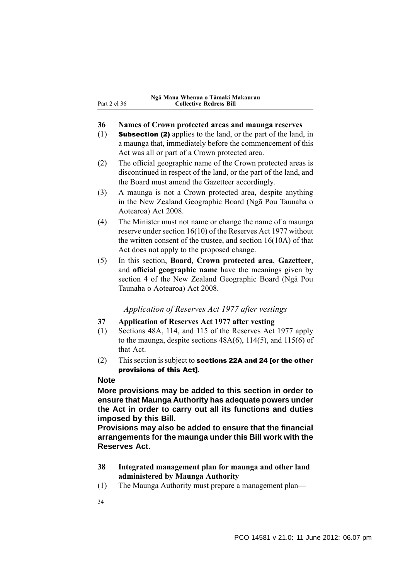#### <span id="page-35-0"></span>**36 Names of Crown protected areas and maunga reserves**

- (1) Subsection (2) applies to the land, or the part of the land, in a maunga that, immediately before the commencement of this Act was all or part of a Crown protected area.
- (2) The official geographic name of the Crown protected areas is discontinued in respect of the land, or the part of the land, and the Board must amend the Gazetteer accordingly.
- (3) A maunga is not a Crown protected area, despite anything in the New Zealand Geographic Board (Ngā Pou Taunaha o Aotearoa) Act 2008.
- (4) The Minister must not name or change the name of a maunga reserve under section 16(10) of the Reserves Act 1977 without the written consent of the trustee, and section 16(10A) of that Act does not apply to the proposed change.
- (5) In this section, **Board**, **Crown protected area**, **Gazetteer**, and **official geographic name** have the meanings given by section 4 of the New Zealand Geographic Board (Ngā Pou Taunaha o Aotearoa) Act 2008.

## *Application of Reserves Act 1977 after vestings*

## **37 Application of Reserves Act 1977 after vesting**

- (1) Sections 48A, 114, and 115 of the Reserves Act 1977 apply to the maunga, despite sections  $48A(6)$ ,  $114(5)$ , and  $115(6)$  of that Act.
- (2) This section is subject to sections 22A and 24 [or the other provisions of this Act].

## **Note**

**More provisions may be added to this section in order to ensure that Maunga Authority has adequate powers under the Act in order to carry out all its functions and duties imposed by this Bill.**

**Provisions may also be added to ensure that the financial arrangements for the maunga under this Bill work with the Reserves Act.**

- **38 Integrated management plan for maunga and other land administered by Maunga Authority**
- (1) The Maunga Authority must prepare a management plan—
- 34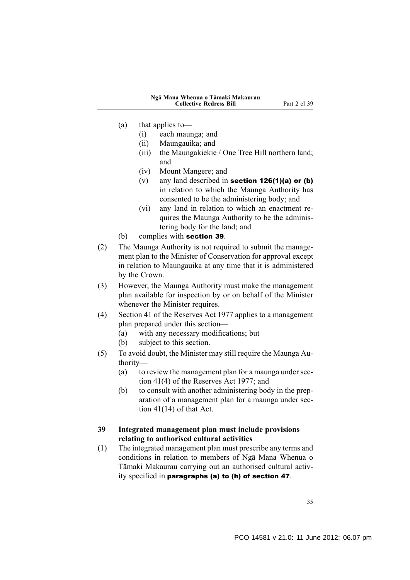- (a) that applies to—
	- (i) each maunga; and
	- (ii) Maungauika; and
	- (iii) the Maungakiekie / One Tree Hill northern land; and
	- (iv) Mount Mangere; and
	- (v) any land described in **section 126(1)(a)** or (b) in relation to which the Maunga Authority has consented to be the administering body; and
	- (vi) any land in relation to which an enactment requires the Maunga Authority to be the administering body for the land; and
- (b) complies with section 39.
- (2) The Maunga Authority is not required to submit the management plan to the Minister of Conservation for approval except in relation to Maungauika at any time that it is administered by the Crown.
- (3) However, the Maunga Authority must make the management plan available for inspection by or on behalf of the Minister whenever the Minister requires.
- (4) Section 41 of the Reserves Act 1977 applies to a management plan prepared under this section—
	- (a) with any necessary modifications; but
	- (b) subject to this section.
- (5) To avoid doubt, the Minister may still require the Maunga Authority—
	- (a) to review the management plan for a maunga under section 41(4) of the Reserves Act 1977; and
	- (b) to consult with another administering body in the preparation of a management plan for a maunga under section  $41(14)$  of that Act.

## **39 Integrated management plan must include provisions relating to authorised cultural activities**

(1) The integrated management plan must prescribe any terms and conditions in relation to members of Ngā Mana Whenua o Tāmaki Makaurau carrying out an authorised cultural activity specified in paragraphs (a) to (h) of section 47.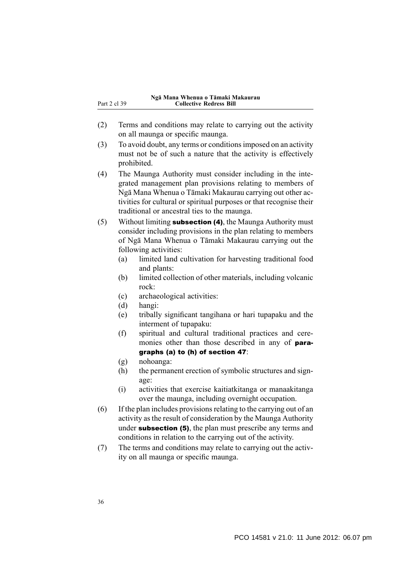- (2) Terms and conditions may relate to carrying out the activity on all maunga or specific maunga.
- (3) To avoid doubt, any terms or conditions imposed on an activity must not be of such a nature that the activity is effectively prohibited.
- (4) The Maunga Authority must consider including in the integrated management plan provisions relating to members of Ngā Mana Whenua o Tāmaki Makaurau carrying out other activities for cultural or spiritual purposes or that recognise their traditional or ancestral ties to the maunga.
- (5) Without limiting subsection (4), the Maunga Authority must consider including provisions in the plan relating to members of Ngā Mana Whenua o Tāmaki Makaurau carrying out the following activities:
	- (a) limited land cultivation for harvesting traditional food and plants:
	- (b) limited collection of other materials, including volcanic rock:
	- (c) archaeological activities:
	- (d) hangi:
	- (e) tribally significant tangihana or hari tupapaku and the interment of tupapaku:
	- (f) spiritual and cultural traditional practices and ceremonies other than those described in any of **para**graphs (a) to (h) of section 47:
	- (g) nohoanga:
	- (h) the permanent erection of symbolic structures and signage:
	- (i) activities that exercise kaitiatkitanga or manaakitanga over the maunga, including overnight occupation.
- (6) If the plan includes provisions relating to the carrying out of an activity as the result of consideration by the Maunga Authority under subsection (5), the plan must prescribe any terms and conditions in relation to the carrying out of the activity.
- (7) The terms and conditions may relate to carrying out the activity on all maunga or specific maunga.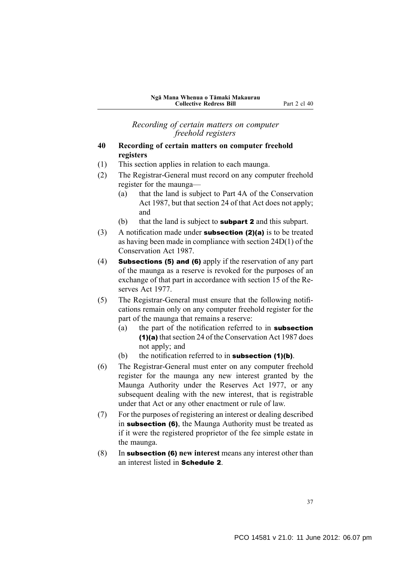*Recording of certain matters on computer freehold registers*

## **40 Recording of certain matters on computer freehold registers**

- (1) This section applies in relation to each maunga.
- (2) The Registrar-General must record on any computer freehold register for the maunga—
	- (a) that the land is subject to Part 4A of the Conservation Act 1987, but that section 24 of that Act does not apply; and
	- (b) that the land is subject to **subpart 2** and this subpart.
- (3) A notification made under subsection (2)(a) is to be treated as having been made in compliance with section 24D(1) of the Conservation Act 1987.
- (4) Subsections (5) and (6) apply if the reservation of any part of the maunga as a reserve is revoked for the purposes of an exchange of that part in accordance with section 15 of the Reserves Act 1977.
- (5) The Registrar-General must ensure that the following notifications remain only on any computer freehold register for the part of the maunga that remains a reserve:
	- (a) the part of the notification referred to in subsection (1)(a) that section 24 of the Conservation Act 1987 does not apply; and
	- (b) the notification referred to in **subsection (1)(b)**.
- (6) The Registrar-General must enter on any computer freehold register for the maunga any new interest granted by the Maunga Authority under the Reserves Act 1977, or any subsequent dealing with the new interest, that is registrable under that Act or any other enactment or rule of law.
- (7) For the purposes of registering an interest or dealing described in subsection (6), the Maunga Authority must be treated as if it were the registered proprietor of the fee simple estate in the maunga.
- (8) In subsection (6) **new interest** means any interest other than an interest listed in Schedule 2.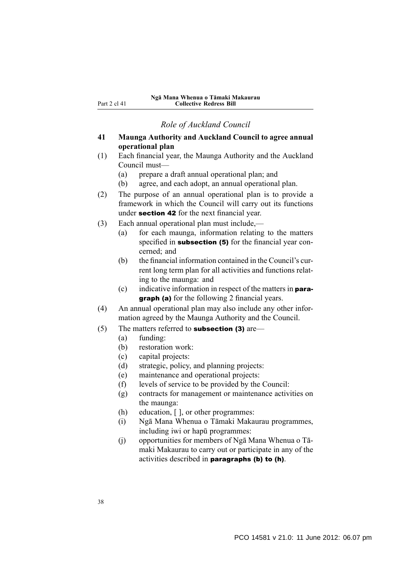*Role of Auckland Council*

- **41 Maunga Authority and Auckland Council to agree annual operational plan**
- (1) Each financial year, the Maunga Authority and the Auckland Council must—
	- (a) prepare a draft annual operational plan; and
	- (b) agree, and each adopt, an annual operational plan.
- (2) The purpose of an annual operational plan is to provide a framework in which the Council will carry out its functions under section 42 for the next financial year.
- (3) Each annual operational plan must include,—
	- (a) for each maunga, information relating to the matters specified in **subsection (5)** for the financial year concerned; and
	- (b) the financial information contained in the Council's current long term plan for all activities and functions relating to the maunga: and
	- (c) indicative information in respect of the matters in **para**graph (a) for the following 2 financial years.
- (4) An annual operational plan may also include any other information agreed by the Maunga Authority and the Council.
- $(5)$  The matters referred to **subsection (3)** are—
	- (a) funding:
	- (b) restoration work:
	- (c) capital projects:
	- (d) strategic, policy, and planning projects:
	- (e) maintenance and operational projects:
	- (f) levels of service to be provided by the Council:
	- (g) contracts for management or maintenance activities on the maunga:
	- (h) education, [ ], or other programmes:
	- (i) Ngā Mana Whenua o Tāmaki Makaurau programmes, including iwi or hapū programmes:
	- (j) opportunities for members of Ngā Mana Whenua o Tāmaki Makaurau to carry out or participate in any of the activities described in **paragraphs (b) to (h)**.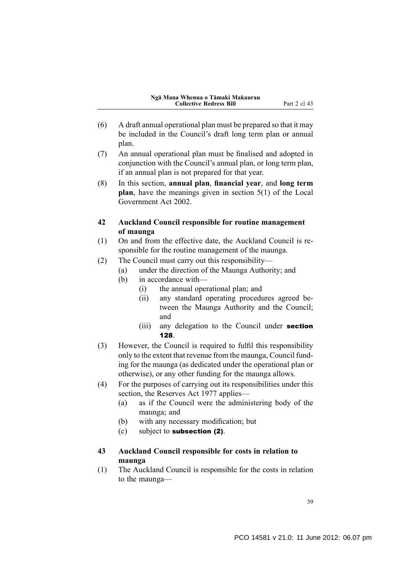- (6) A draft annual operational plan must be prepared so that it may be included in the Council's draft long term plan or annual plan.
- (7) An annual operational plan must be finalised and adopted in conjunction with the Council's annual plan, or long term plan, if an annual plan is not prepared for that year.
- (8) In this section, **annual plan**, **financial year**, and **long term plan**, have the meanings given in section 5(1) of the Local Government Act 2002.
- **42 Auckland Council responsible for routine management of maunga**
- (1) On and from the effective date, the Auckland Council is responsible for the routine management of the maunga.
- (2) The Council must carry out this responsibility—
	- (a) under the direction of the Maunga Authority; and
	- (b) in accordance with—
		- (i) the annual operational plan; and
		- (ii) any standard operating procedures agreed between the Maunga Authority and the Council; and
		- (iii) any delegation to the Council under **section** 128.
- (3) However, the Council is required to fulfil this responsibility only to the extent that revenue from the maunga, Council funding for the maunga (as dedicated under the operational plan or otherwise), or any other funding for the maunga allows.
- (4) For the purposes of carrying out its responsibilities under this section, the Reserves Act 1977 applies—
	- (a) as if the Council were the administering body of the maunga; and
	- (b) with any necessary modification; but
	- (c) subject to subsection (2).
- **43 Auckland Council responsible for costs in relation to maunga**
- (1) The Auckland Council is responsible for the costs in relation to the maunga—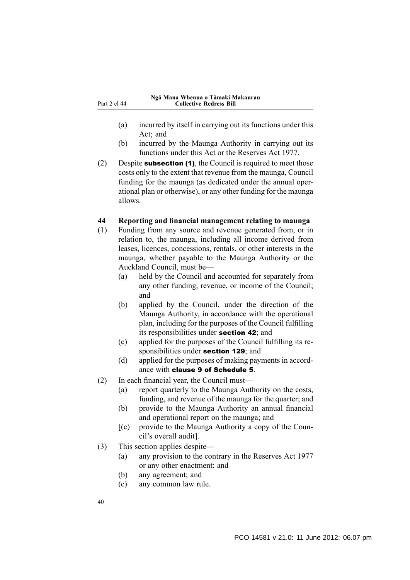- (a) incurred by itself in carrying out its functions under this Act; and
- (b) incurred by the Maunga Authority in carrying out its functions under this Act or the Reserves Act 1977.
- (2) Despite **subsection (1)**, the Council is required to meet those costs only to the extent that revenue from the maunga, Council funding for the maunga (as dedicated under the annual operational plan or otherwise), or any other funding for the maunga allows.

## **44 Reporting and financial management relating to maunga**

- (1) Funding from any source and revenue generated from, or in relation to, the maunga, including all income derived from leases, licences, concessions, rentals, or other interests in the maunga, whether payable to the Maunga Authority or the Auckland Council, must be—
	- (a) held by the Council and accounted for separately from any other funding, revenue, or income of the Council; and
	- (b) applied by the Council, under the direction of the Maunga Authority, in accordance with the operational plan, including for the purposes of the Council fulfilling its responsibilities under section 42; and
	- (c) applied for the purposes of the Council fulfilling its responsibilities under **section 129**; and
	- (d) applied for the purposes of making payments in accordance with clause 9 of Schedule 5.
- (2) In each financial year, the Council must—
	- (a) report quarterly to the Maunga Authority on the costs, funding, and revenue of the maunga for the quarter; and
	- (b) provide to the Maunga Authority an annual financial and operational report on the maunga; and
	- $[(c)$  provide to the Maunga Authority a copy of the Council's overall audit].
- (3) This section applies despite—
	- (a) any provision to the contrary in the Reserves Act 1977 or any other enactment; and
	- (b) any agreement; and
	- (c) any common law rule.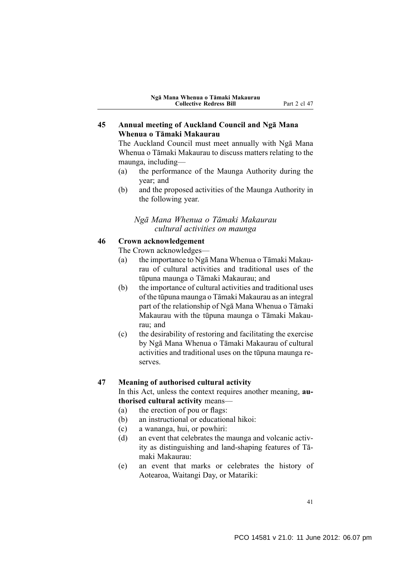## **45 Annual meeting of Auckland Council and Ngā Mana Whenua o Tāmaki Makaurau**

The Auckland Council must meet annually with Ngā Mana Whenua o Tāmaki Makaurau to discuss matters relating to the maunga, including—

- (a) the performance of the Maunga Authority during the year; and
- (b) and the proposed activities of the Maunga Authority in the following year.

## *Ngā Mana Whenua o Tāmaki Makaurau cultural activities on maunga*

## **46 Crown acknowledgement**

The Crown acknowledges—

- (a) the importance to Ngā Mana Whenua o Tāmaki Makaurau of cultural activities and traditional uses of the tūpuna maunga o Tāmaki Makaurau; and
- (b) the importance of cultural activities and traditional uses of the tūpuna maunga o Tāmaki Makaurau as an integral part of the relationship of Ngā Mana Whenua o Tāmaki Makaurau with the tūpuna maunga o Tāmaki Makaurau; and
- (c) the desirability of restoring and facilitating the exercise by Ngā Mana Whenua o Tāmaki Makaurau of cultural activities and traditional uses on the tūpuna maunga reserves.

## **47 Meaning of authorised cultural activity**

In this Act, unless the context requires another meaning, **authorised cultural activity** means—

- (a) the erection of pou or flags:
- (b) an instructional or educational hikoi:
- (c) a wananga, hui, or powhiri:
- (d) an event that celebrates the maunga and volcanic activity as distinguishing and land-shaping features of Tāmaki Makaurau:
- (e) an event that marks or celebrates the history of Aotearoa, Waitangi Day, or Matariki:

41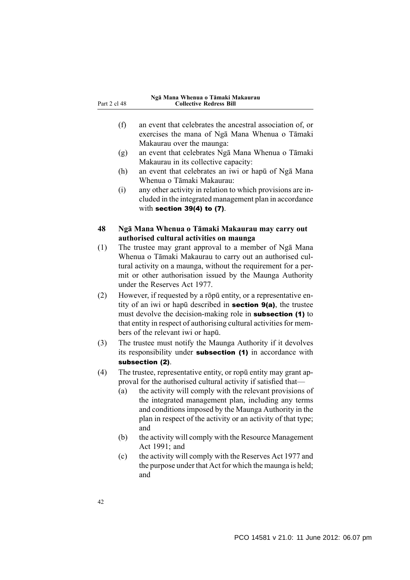| Part 2 cl 48 |  |  |
|--------------|--|--|
|              |  |  |

- (f) an event that celebrates the ancestral association of, or exercises the mana of Ngā Mana Whenua o Tāmaki Makaurau over the maunga:
- (g) an event that celebrates Ngā Mana Whenua o Tāmaki Makaurau in its collective capacity:
- (h) an event that celebrates an iwi or hapū of Ngā Mana Whenua o Tāmaki Makaurau:
- (i) any other activity in relation to which provisions are included in the integrated management plan in accordance with section 39(4) to (7).

## **48 Ngā Mana Whenua o Tāmaki Makaurau may carry out authorised cultural activities on maunga**

- (1) The trustee may grant approval to a member of Ngā Mana Whenua o Tāmaki Makaurau to carry out an authorised cultural activity on a maunga, without the requirement for a permit or other authorisation issued by the Maunga Authority under the Reserves Act 1977.
- (2) However, if requested by a rōpū entity, or a representative entity of an iwi or hapū described in section 9(a), the trustee must devolve the decision-making role in **subsection** (1) to that entity in respect of authorising cultural activities for members of the relevant iwi or hapū.
- (3) The trustee must notify the Maunga Authority if it devolves its responsibility under **subsection** (1) in accordance with subsection (2).
- (4) The trustee, representative entity, or ropū entity may grant approval for the authorised cultural activity if satisfied that—
	- (a) the activity will comply with the relevant provisions of the integrated management plan, including any terms and conditions imposed by the Maunga Authority in the plan in respect of the activity or an activity of that type; and
	- (b) the activity will comply with the Resource Management Act 1991; and
	- (c) the activity will comply with the Reserves Act 1977 and the purpose under that Act for which the maunga is held; and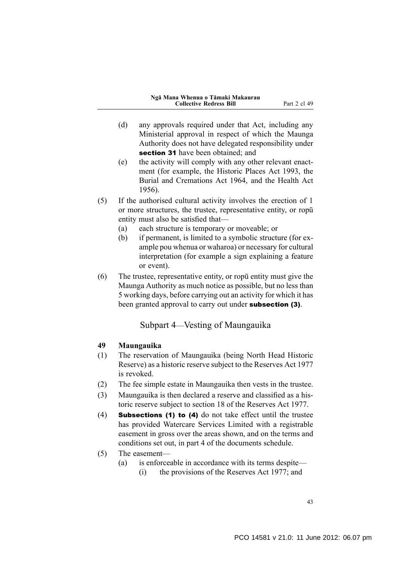- (d) any approvals required under that Act, including any Ministerial approval in respect of which the Maunga Authority does not have delegated responsibility under section 31 have been obtained; and
- (e) the activity will comply with any other relevant enactment (for example, the Historic Places Act 1993, the Burial and Cremations Act 1964, and the Health Act 1956).
- (5) If the authorised cultural activity involves the erection of 1 or more structures, the trustee, representative entity, or ropū entity must also be satisfied that—
	- (a) each structure is temporary or moveable; or
	- (b) if permanent, is limited to a symbolic structure (for example pou whenua or waharoa) or necessary for cultural interpretation (for example a sign explaining a feature or event).
- (6) The trustee, representative entity, or ropū entity must give the Maunga Authority as much notice as possible, but no less than 5 working days, before carrying out an activity for which it has been granted approval to carry out under **subsection (3)**.

# Subpart 4—Vesting of Maungauika

## **49 Maungauika**

- (1) The reservation of Maungauika (being North Head Historic Reserve) as a historic reserve subject to the Reserves Act 1977 is revoked.
- (2) The fee simple estate in Maungauika then vests in the trustee.
- (3) Maungauika is then declared a reserve and classified as a historic reserve subject to section 18 of the Reserves Act 1977.
- (4) Subsections (1) to (4) do not take effect until the trustee has provided Watercare Services Limited with a registrable easement in gross over the areas shown, and on the terms and conditions set out, in part 4 of the documents schedule.
- (5) The easement—
	- (a) is enforceable in accordance with its terms despite—
		- (i) the provisions of the Reserves Act 1977; and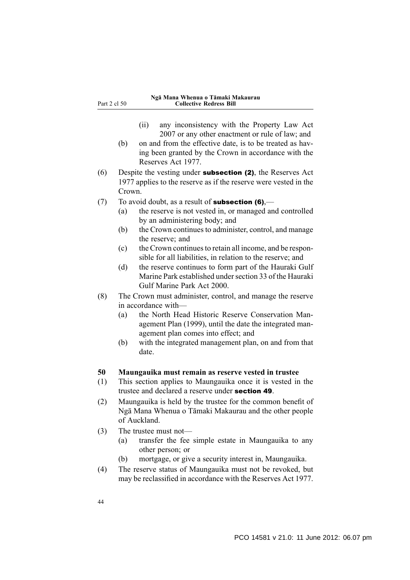- (ii) any inconsistency with the Property Law Act 2007 or any other enactment or rule of law; and
- (b) on and from the effective date, is to be treated as having been granted by the Crown in accordance with the Reserves Act 1977.
- (6) Despite the vesting under subsection (2), the Reserves Act 1977 applies to the reserve as if the reserve were vested in the Crown.
- (7) To avoid doubt, as a result of **subsection (6)**,—
	- (a) the reserve is not vested in, or managed and controlled by an administering body; and
	- (b) the Crown continues to administer, control, and manage the reserve; and
	- (c) the Crown continues to retain all income, and be responsible for all liabilities, in relation to the reserve; and
	- (d) the reserve continues to form part of the Hauraki Gulf Marine Park established under section 33 of the Hauraki Gulf Marine Park Act 2000.
- (8) The Crown must administer, control, and manage the reserve in accordance with—
	- (a) the North Head Historic Reserve Conservation Management Plan (1999), until the date the integrated management plan comes into effect; and
	- (b) with the integrated management plan, on and from that date.

### **50 Maungauika must remain as reserve vested in trustee**

- (1) This section applies to Maungauika once it is vested in the trustee and declared a reserve under section 49.
- (2) Maungauika is held by the trustee for the common benefit of Ngā Mana Whenua o Tāmaki Makaurau and the other people of Auckland.
- (3) The trustee must not—
	- (a) transfer the fee simple estate in Maungauika to any other person; or
	- (b) mortgage, or give a security interest in, Maungauika.
- (4) The reserve status of Maungauika must not be revoked, but may be reclassified in accordance with the Reserves Act 1977.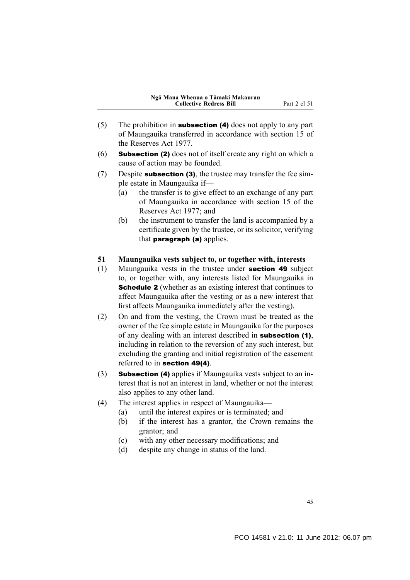- (5) The prohibition in **subsection (4)** does not apply to any part of Maungauika transferred in accordance with section 15 of the Reserves Act 1977.
- (6) Subsection (2) does not of itself create any right on which a cause of action may be founded.
- (7) Despite subsection (3), the trustee may transfer the fee simple estate in Maungauika if—
	- (a) the transfer is to give effect to an exchange of any part of Maungauika in accordance with section 15 of the Reserves Act 1977; and
	- (b) the instrument to transfer the land is accompanied by a certificate given by the trustee, or its solicitor, verifying that **paragraph** (a) applies.

### **51 Maungauika vests subject to, or together with, interests**

- (1) Maungauika vests in the trustee under section 49 subject to, or together with, any interests listed for Maungauika in **Schedule 2** (whether as an existing interest that continues to affect Maungauika after the vesting or as a new interest that first affects Maungauika immediately after the vesting).
- (2) On and from the vesting, the Crown must be treated as the owner of the fee simple estate in Maungauika for the purposes of any dealing with an interest described in subsection (1), including in relation to the reversion of any such interest, but excluding the granting and initial registration of the easement referred to in section 49(4).
- (3) Subsection (4) applies if Maungauika vests subject to an interest that is not an interest in land, whether or not the interest also applies to any other land.
- (4) The interest applies in respect of Maungauika—
	- (a) until the interest expires or is terminated; and
	- (b) if the interest has a grantor, the Crown remains the grantor; and
	- (c) with any other necessary modifications; and
	- (d) despite any change in status of the land.

45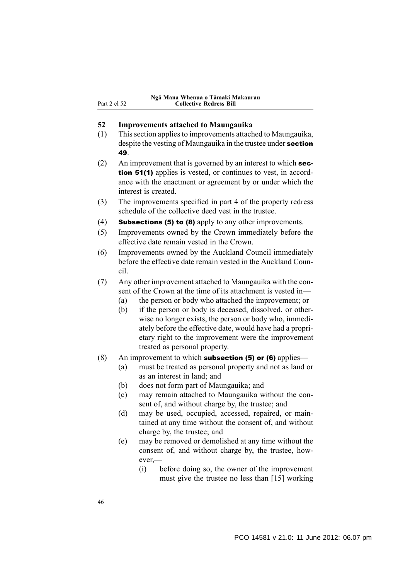## **52 Improvements attached to Maungauika**

- (1) This section applies to improvements attached to Maungauika, despite the vesting of Maungauika in the trustee under **section** 49.
- (2) An improvement that is governed by an interest to which section 51(1) applies is vested, or continues to vest, in accordance with the enactment or agreement by or under which the interest is created.
- (3) The improvements specified in part 4 of the property redress schedule of the collective deed vest in the trustee.
- (4) Subsections (5) to (8) apply to any other improvements.
- (5) Improvements owned by the Crown immediately before the effective date remain vested in the Crown.
- (6) Improvements owned by the Auckland Council immediately before the effective date remain vested in the Auckland Council.
- (7) Any other improvement attached to Maungauika with the consent of the Crown at the time of its attachment is vested in—
	- (a) the person or body who attached the improvement; or
	- (b) if the person or body is deceased, dissolved, or otherwise no longer exists, the person or body who, immediately before the effective date, would have had a proprietary right to the improvement were the improvement treated as personal property.
- (8) An improvement to which **subsection (5) or (6)** applies—
	- (a) must be treated as personal property and not as land or as an interest in land; and
	- (b) does not form part of Maungauika; and
	- (c) may remain attached to Maungauika without the consent of, and without charge by, the trustee; and
	- (d) may be used, occupied, accessed, repaired, or maintained at any time without the consent of, and without charge by, the trustee; and
	- (e) may be removed or demolished at any time without the consent of, and without charge by, the trustee, however,—
		- (i) before doing so, the owner of the improvement must give the trustee no less than [15] working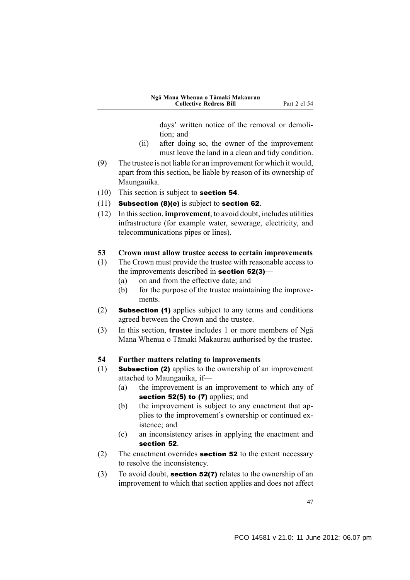days' written notice of the removal or demolition; and

- (ii) after doing so, the owner of the improvement must leave the land in a clean and tidy condition.
- (9) The trustee is not liable for an improvement for which it would, apart from this section, be liable by reason of its ownership of Maungauika.
- (10) This section is subject to section 54.
- (11) Subsection (8)(e) is subject to section 62.
- (12) In this section, **improvement**, to avoid doubt, includes utilities infrastructure (for example water, sewerage, electricity, and telecommunications pipes or lines).
- **53 Crown must allow trustee access to certain improvements**
- (1) The Crown must provide the trustee with reasonable access to the improvements described in section 52(3)—
	- (a) on and from the effective date; and
	- (b) for the purpose of the trustee maintaining the improvements.
- (2) Subsection (1) applies subject to any terms and conditions agreed between the Crown and the trustee.
- (3) In this section, **trustee** includes 1 or more members of Ngā Mana Whenua o Tāmaki Makaurau authorised by the trustee.

## **54 Further matters relating to improvements**

- (1) Subsection (2) applies to the ownership of an improvement attached to Maungauika, if—
	- (a) the improvement is an improvement to which any of section 52(5) to (7) applies; and
	- (b) the improvement is subject to any enactment that applies to the improvement's ownership or continued existence; and
	- (c) an inconsistency arises in applying the enactment and section 52.
- (2) The enactment overrides section 52 to the extent necessary to resolve the inconsistency.
- (3) To avoid doubt, section 52(7) relates to the ownership of an improvement to which that section applies and does not affect

47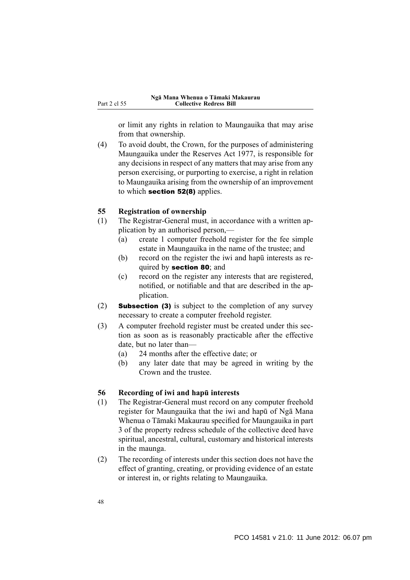or limit any rights in relation to Maungauika that may arise from that ownership.

(4) To avoid doubt, the Crown, for the purposes of administering Maungauika under the Reserves Act 1977, is responsible for any decisions in respect of any matters that may arise from any person exercising, or purporting to exercise, a right in relation to Maungauika arising from the ownership of an improvement to which section 52(8) applies.

### **55 Registration of ownership**

- (1) The Registrar-General must, in accordance with a written application by an authorised person,—
	- (a) create 1 computer freehold register for the fee simple estate in Maungauika in the name of the trustee; and
	- (b) record on the register the iwi and hapū interests as required by **section 80**; and
	- (c) record on the register any interests that are registered, notified, or notifiable and that are described in the application.
- (2) Subsection (3) is subject to the completion of any survey necessary to create a computer freehold register.
- (3) A computer freehold register must be created under this section as soon as is reasonably practicable after the effective date, but no later than—
	- (a) 24 months after the effective date; or
	- (b) any later date that may be agreed in writing by the Crown and the trustee.

### **56 Recording of iwi and hapū interests**

- (1) The Registrar-General must record on any computer freehold register for Maungauika that the iwi and hapū of Ngā Mana Whenua o Tāmaki Makaurau specified for Maungauika in part 3 of the property redress schedule of the collective deed have spiritual, ancestral, cultural, customary and historical interests in the maunga.
- (2) The recording of interests under this section does not have the effect of granting, creating, or providing evidence of an estate or interest in, or rights relating to Maungauika.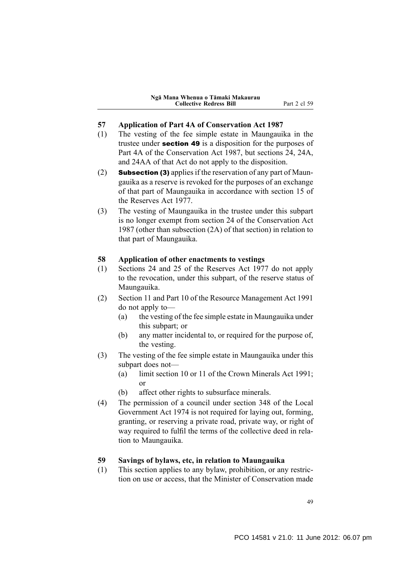- **57 Application of Part 4A of Conservation Act 1987**
- (1) The vesting of the fee simple estate in Maungauika in the trustee under section 49 is a disposition for the purposes of Part 4A of the Conservation Act 1987, but sections 24, 24A, and 24AA of that Act do not apply to the disposition.
- (2) Subsection (3) applies if the reservation of any part of Maungauika as a reserve is revoked for the purposes of an exchange of that part of Maungauika in accordance with section 15 of the Reserves Act 1977.
- (3) The vesting of Maungauika in the trustee under this subpart is no longer exempt from section 24 of the Conservation Act 1987 (other than subsection (2A) of that section) in relation to that part of Maungauika.

## **58 Application of other enactments to vestings**

- (1) Sections 24 and 25 of the Reserves Act 1977 do not apply to the revocation, under this subpart, of the reserve status of Maungauika.
- (2) Section 11 and Part 10 of the Resource Management Act 1991 do not apply to—
	- (a) the vesting of the fee simple estate in Maungauika under this subpart; or
	- (b) any matter incidental to, or required for the purpose of, the vesting.
- (3) The vesting of the fee simple estate in Maungauika under this subpart does not—
	- (a) limit section 10 or 11 of the Crown Minerals Act 1991; or
	- (b) affect other rights to subsurface minerals.
- (4) The permission of a council under section 348 of the Local Government Act 1974 is not required for laying out, forming, granting, or reserving a private road, private way, or right of way required to fulfil the terms of the collective deed in relation to Maungauika.

## **59 Savings of bylaws, etc, in relation to Maungauika**

(1) This section applies to any bylaw, prohibition, or any restriction on use or access, that the Minister of Conservation made

49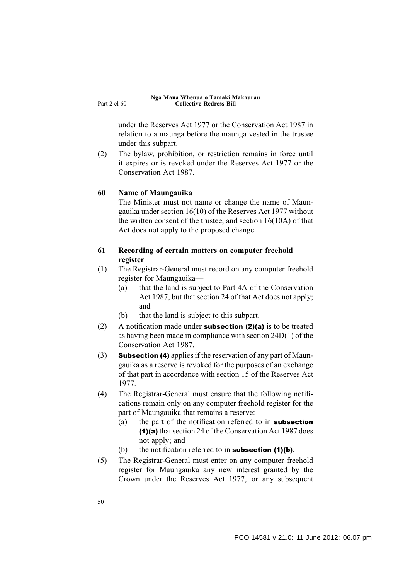under the Reserves Act 1977 or the Conservation Act 1987 in relation to a maunga before the maunga vested in the trustee under this subpart.

(2) The bylaw, prohibition, or restriction remains in force until it expires or is revoked under the Reserves Act 1977 or the Conservation Act 1987.

## **60 Name of Maungauika**

The Minister must not name or change the name of Maungauika under section 16(10) of the Reserves Act 1977 without the written consent of the trustee, and section 16(10A) of that Act does not apply to the proposed change.

## **61 Recording of certain matters on computer freehold register**

- (1) The Registrar-General must record on any computer freehold register for Maungauika—
	- (a) that the land is subject to Part 4A of the Conservation Act 1987, but that section 24 of that Act does not apply; and
	- (b) that the land is subject to this subpart.
- (2) A notification made under **subsection (2)(a)** is to be treated as having been made in compliance with section 24D(1) of the Conservation Act 1987.
- (3) Subsection (4) applies if the reservation of any part of Maungauika as a reserve is revoked for the purposes of an exchange of that part in accordance with section 15 of the Reserves Act 1977.
- (4) The Registrar-General must ensure that the following notifications remain only on any computer freehold register for the part of Maungauika that remains a reserve:
	- (a) the part of the notification referred to in **subsection** (1)(a) that section 24 of the Conservation Act 1987 does not apply; and
	- (b) the notification referred to in **subsection (1)(b)**.
- (5) The Registrar-General must enter on any computer freehold register for Maungauika any new interest granted by the Crown under the Reserves Act 1977, or any subsequent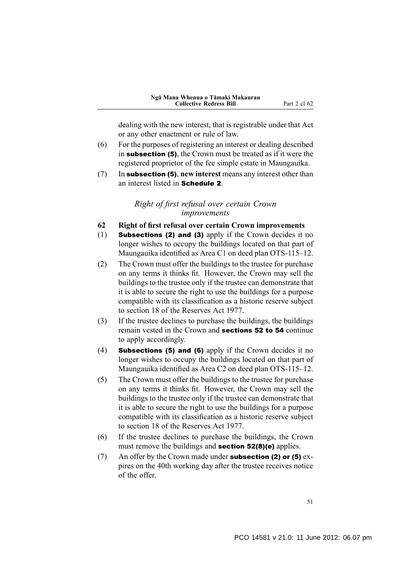dealing with the new interest, that is registrable under that Act or any other enactment or rule of law.

- (6) For the purposes of registering an interest or dealing described in subsection (5), the Crown must be treated as if it were the registered proprietor of the fee simple estate in Maungauika.
- (7) In subsection (5), **new interest** means any interest other than an interest listed in Schedule 2.

## *Right of first refusal over certain Crown improvements*

- **62 Right of first refusal over certain Crown improvements**
- (1) Subsections (2) and (3) apply if the Crown decides it no longer wishes to occupy the buildings located on that part of Maungauika identified as Area C1 on deed plan OTS-115–12.
- (2) The Crown must offer the buildings to the trustee for purchase on any terms it thinks fit. However, the Crown may sell the buildings to the trustee only if the trustee can demonstrate that it is able to secure the right to use the buildings for a purpose compatible with its classification as a historic reserve subject to section 18 of the Reserves Act 1977.
- (3) If the trustee declines to purchase the buildings, the buildings remain vested in the Crown and sections 52 to 54 continue to apply accordingly.
- (4) Subsections (5) and (6) apply if the Crown decides it no longer wishes to occupy the buildings located on that part of Maungauika identified as Area C2 on deed plan OTS-115–12.
- (5) The Crown must offer the buildings to the trustee for purchase on any terms it thinks fit. However, the Crown may sell the buildings to the trustee only if the trustee can demonstrate that it is able to secure the right to use the buildings for a purpose compatible with its classification as a historic reserve subject to section 18 of the Reserves Act 1977.
- (6) If the trustee declines to purchase the buildings, the Crown must remove the buildings and **section 52(8)(e)** applies.
- (7) An offer by the Crown made under **subsection (2) or (5)** expires on the 40th working day after the trustee receives notice of the offer.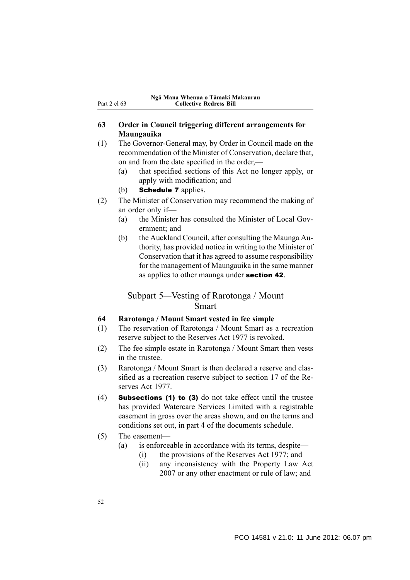## **63 Order in Council triggering different arrangements for Maungauika**

(1) The Governor-General may, by Order in Council made on the recommendation of the Minister of Conservation, declare that, on and from the date specified in the order.—

- (a) that specified sections of this Act no longer apply, or apply with modification; and
- (b) **Schedule 7** applies.
- (2) The Minister of Conservation may recommend the making of an order only if—
	- (a) the Minister has consulted the Minister of Local Government; and
	- (b) the Auckland Council, after consulting the Maunga Authority, has provided notice in writing to the Minister of Conservation that it has agreed to assume responsibility for the management of Maungauika in the same manner as applies to other maunga under section 42.

# Subpart 5—Vesting of Rarotonga / Mount Smart

### **64 Rarotonga / Mount Smart vested in fee simple**

- (1) The reservation of Rarotonga / Mount Smart as a recreation reserve subject to the Reserves Act 1977 is revoked.
- (2) The fee simple estate in Rarotonga / Mount Smart then vests in the trustee.
- (3) Rarotonga / Mount Smart is then declared a reserve and classified as a recreation reserve subject to section 17 of the Reserves Act 1977.
- (4) Subsections (1) to (3) do not take effect until the trustee has provided Watercare Services Limited with a registrable easement in gross over the areas shown, and on the terms and conditions set out, in part 4 of the documents schedule.
- (5) The easement—
	- (a) is enforceable in accordance with its terms, despite—
		- (i) the provisions of the Reserves Act 1977; and
		- (ii) any inconsistency with the Property Law Act 2007 or any other enactment or rule of law; and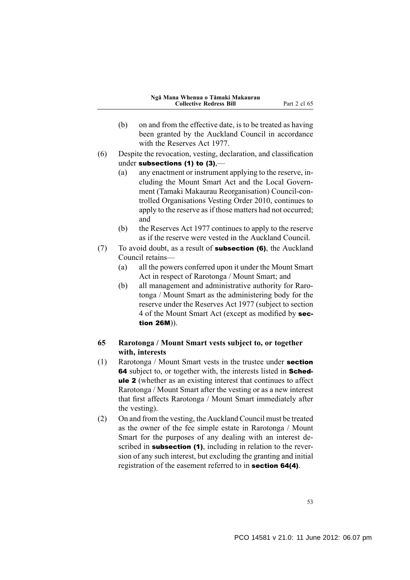- (b) on and from the effective date, is to be treated as having been granted by the Auckland Council in accordance with the Reserves Act 1977.
- (6) Despite the revocation, vesting, declaration, and classification under subsections (1) to (3),—
	- (a) any enactment or instrument applying to the reserve, including the Mount Smart Act and the Local Government (Tamaki Makaurau Reorganisation) Council-controlled Organisations Vesting Order 2010, continues to apply to the reserve as if those matters had not occurred; and
	- (b) the Reserves Act 1977 continues to apply to the reserve as if the reserve were vested in the Auckland Council.
- (7) To avoid doubt, as a result of subsection (6), the Auckland Council retains—
	- (a) all the powers conferred upon it under the Mount Smart Act in respect of Rarotonga / Mount Smart; and
	- (b) all management and administrative authority for Rarotonga / Mount Smart as the administering body for the reserve under the Reserves Act 1977 (subject to section 4 of the Mount Smart Act (except as modified by section 26M)).

## **65 Rarotonga / Mount Smart vests subject to, or together with, interests**

- (1) Rarotonga / Mount Smart vests in the trustee under section 64 subject to, or together with, the interests listed in **Sched**ule 2 (whether as an existing interest that continues to affect Rarotonga / Mount Smart after the vesting or as a new interest that first affects Rarotonga / Mount Smart immediately after the vesting).
- (2) On and from the vesting, the Auckland Council must be treated as the owner of the fee simple estate in Rarotonga / Mount Smart for the purposes of any dealing with an interest described in **subsection (1)**, including in relation to the reversion of any such interest, but excluding the granting and initial registration of the easement referred to in section 64(4).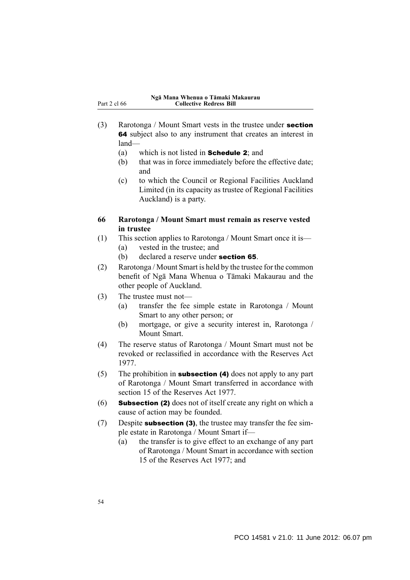- (3) Rarotonga / Mount Smart vests in the trustee under section 64 subject also to any instrument that creates an interest in land—
	- (a) which is not listed in Schedule 2; and
	- (b) that was in force immediately before the effective date; and
	- (c) to which the Council or Regional Facilities Auckland Limited (in its capacity as trustee of Regional Facilities Auckland) is a party.
- **66 Rarotonga / Mount Smart must remain as reserve vested in trustee**
- (1) This section applies to Rarotonga / Mount Smart once it is— (a) vested in the trustee; and
	- (b) declared a reserve under section 65.
- (2) Rarotonga / Mount Smart is held by the trustee for the common benefit of Ngā Mana Whenua o Tāmaki Makaurau and the other people of Auckland.
- (3) The trustee must not—
	- (a) transfer the fee simple estate in Rarotonga / Mount Smart to any other person; or
	- (b) mortgage, or give a security interest in, Rarotonga / Mount Smart.
- (4) The reserve status of Rarotonga / Mount Smart must not be revoked or reclassified in accordance with the Reserves Act 1977.
- (5) The prohibition in subsection (4) does not apply to any part of Rarotonga / Mount Smart transferred in accordance with section 15 of the Reserves Act 1977.
- (6) Subsection (2) does not of itself create any right on which a cause of action may be founded.
- $(7)$  Despite **subsection (3)**, the trustee may transfer the fee simple estate in Rarotonga / Mount Smart if—
	- (a) the transfer is to give effect to an exchange of any part of Rarotonga / Mount Smart in accordance with section 15 of the Reserves Act 1977; and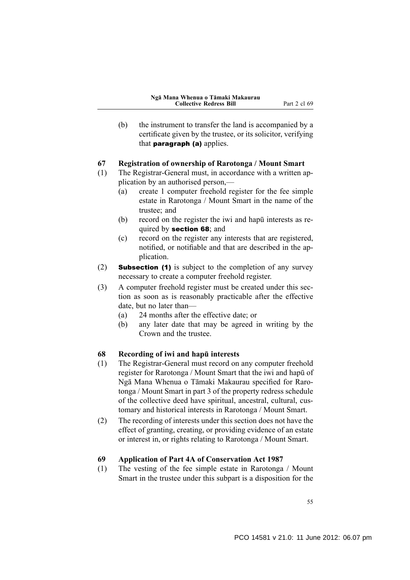(b) the instrument to transfer the land is accompanied by a certificate given by the trustee, or its solicitor, verifying that **paragraph** (a) applies.

## **67 Registration of ownership of Rarotonga / Mount Smart**

- (1) The Registrar-General must, in accordance with a written application by an authorised person,—
	- (a) create 1 computer freehold register for the fee simple estate in Rarotonga / Mount Smart in the name of the trustee; and
	- (b) record on the register the iwi and hapū interests as required by section 68; and
	- (c) record on the register any interests that are registered, notified, or notifiable and that are described in the application.
- (2) Subsection (1) is subject to the completion of any survey necessary to create a computer freehold register.
- (3) A computer freehold register must be created under this section as soon as is reasonably practicable after the effective date, but no later than—
	- (a) 24 months after the effective date; or
	- (b) any later date that may be agreed in writing by the Crown and the trustee.

## **68 Recording of iwi and hapū interests**

- (1) The Registrar-General must record on any computer freehold register for Rarotonga / Mount Smart that the iwi and hapū of Ngā Mana Whenua o Tāmaki Makaurau specified for Rarotonga / Mount Smart in part 3 of the property redress schedule of the collective deed have spiritual, ancestral, cultural, customary and historical interests in Rarotonga / Mount Smart.
- (2) The recording of interests under this section does not have the effect of granting, creating, or providing evidence of an estate or interest in, or rights relating to Rarotonga / Mount Smart.

### **69 Application of Part 4A of Conservation Act 1987**

(1) The vesting of the fee simple estate in Rarotonga / Mount Smart in the trustee under this subpart is a disposition for the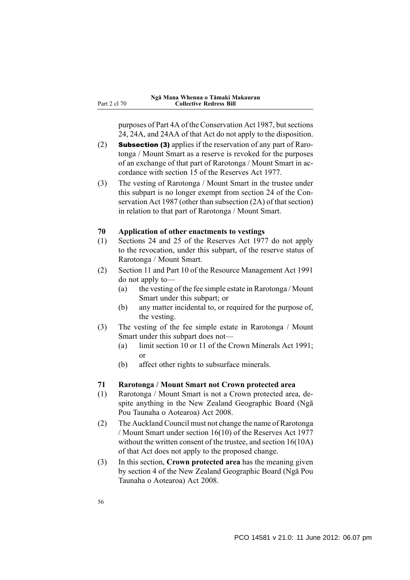purposes of Part 4A of the Conservation Act 1987, but sections 24, 24A, and 24AA of that Act do not apply to the disposition.

- (2) Subsection (3) applies if the reservation of any part of Rarotonga / Mount Smart as a reserve is revoked for the purposes of an exchange of that part of Rarotonga / Mount Smart in accordance with section 15 of the Reserves Act 1977.
- (3) The vesting of Rarotonga / Mount Smart in the trustee under this subpart is no longer exempt from section 24 of the Conservation Act 1987 (other than subsection (2A) of that section) in relation to that part of Rarotonga / Mount Smart.

## **70 Application of other enactments to vestings**

- (1) Sections 24 and 25 of the Reserves Act 1977 do not apply to the revocation, under this subpart, of the reserve status of Rarotonga / Mount Smart.
- (2) Section 11 and Part 10 of the Resource Management Act 1991 do not apply to—
	- (a) the vesting of the fee simple estate in Rarotonga / Mount Smart under this subpart; or
	- (b) any matter incidental to, or required for the purpose of, the vesting.
- (3) The vesting of the fee simple estate in Rarotonga / Mount Smart under this subpart does not—
	- (a) limit section 10 or 11 of the Crown Minerals Act 1991; or
	- (b) affect other rights to subsurface minerals.

## **71 Rarotonga / Mount Smart not Crown protected area**

- (1) Rarotonga / Mount Smart is not a Crown protected area, despite anything in the New Zealand Geographic Board (Ngā Pou Taunaha o Aotearoa) Act 2008.
- (2) The Auckland Council must not change the name of Rarotonga / Mount Smart under section 16(10) of the Reserves Act 1977 without the written consent of the trustee, and section 16(10A) of that Act does not apply to the proposed change.
- (3) In this section, **Crown protected area** has the meaning given by section 4 of the New Zealand Geographic Board (Ngā Pou Taunaha o Aotearoa) Act 2008.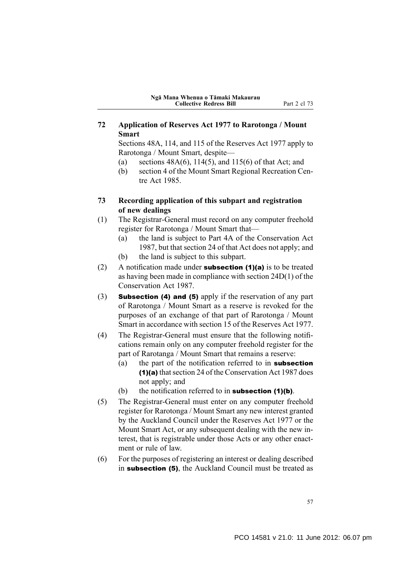**72 Application of Reserves Act 1977 to Rarotonga / Mount Smart**

Sections 48A, 114, and 115 of the Reserves Act 1977 apply to Rarotonga / Mount Smart, despite—

- (a) sections  $48A(6)$ ,  $114(5)$ , and  $115(6)$  of that Act; and
- (b) section 4 of the Mount Smart Regional Recreation Centre Act 1985.
- **73 Recording application of this subpart and registration of new dealings**
- (1) The Registrar-General must record on any computer freehold register for Rarotonga / Mount Smart that—
	- (a) the land is subject to Part 4A of the Conservation Act 1987, but that section 24 of that Act does not apply; and
	- (b) the land is subject to this subpart.
- (2) A notification made under **subsection (1)(a)** is to be treated as having been made in compliance with section 24D(1) of the Conservation Act 1987.
- (3) Subsection (4) and (5) apply if the reservation of any part of Rarotonga / Mount Smart as a reserve is revoked for the purposes of an exchange of that part of Rarotonga / Mount Smart in accordance with section 15 of the Reserves Act 1977.
- (4) The Registrar-General must ensure that the following notifications remain only on any computer freehold register for the part of Rarotanga / Mount Smart that remains a reserve:
	- (a) the part of the notification referred to in **subsection** (1)(a) that section 24 of the Conservation Act 1987 does not apply; and
	- (b) the notification referred to in subsection  $(1)(b)$ .
- (5) The Registrar-General must enter on any computer freehold register for Rarotonga / Mount Smart any new interest granted by the Auckland Council under the Reserves Act 1977 or the Mount Smart Act, or any subsequent dealing with the new interest, that is registrable under those Acts or any other enactment or rule of law.
- (6) For the purposes of registering an interest or dealing described in subsection (5), the Auckland Council must be treated as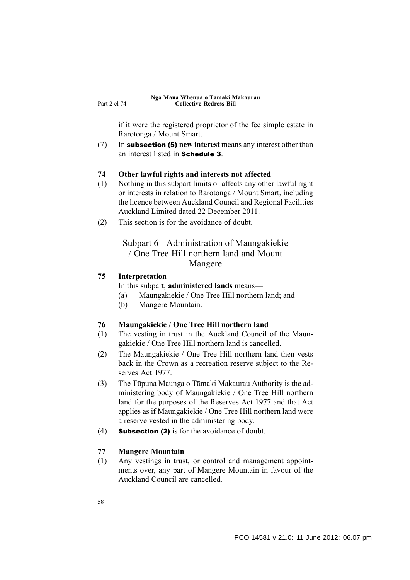if it were the registered proprietor of the fee simple estate in Rarotonga / Mount Smart.

(7) In subsection (5) **new interest** means any interest other than an interest listed in Schedule 3.

### **74 Other lawful rights and interests not affected**

- (1) Nothing in this subpart limits or affects any other lawful right or interests in relation to Rarotonga / Mount Smart, including the licence between Auckland Council and Regional Facilities Auckland Limited dated 22 December 2011.
- (2) This section is for the avoidance of doubt.

## Subpart 6—Administration of Maungakiekie / One Tree Hill northern land and Mount Mangere

## **75 Interpretation**

In this subpart, **administered lands** means—

- (a) Maungakiekie / One Tree Hill northern land; and
- (b) Mangere Mountain.

### **76 Maungakiekie / One Tree Hill northern land**

- (1) The vesting in trust in the Auckland Council of the Maungakiekie / One Tree Hill northern land is cancelled.
- (2) The Maungakiekie / One Tree Hill northern land then vests back in the Crown as a recreation reserve subject to the Reserves Act 1977.
- (3) The Tūpuna Maunga o Tāmaki Makaurau Authority is the administering body of Maungakiekie / One Tree Hill northern land for the purposes of the Reserves Act 1977 and that Act applies as if Maungakiekie / One Tree Hill northern land were a reserve vested in the administering body.
- (4) Subsection (2) is for the avoidance of doubt.

### **77 Mangere Mountain**

(1) Any vestings in trust, or control and management appointments over, any part of Mangere Mountain in favour of the Auckland Council are cancelled.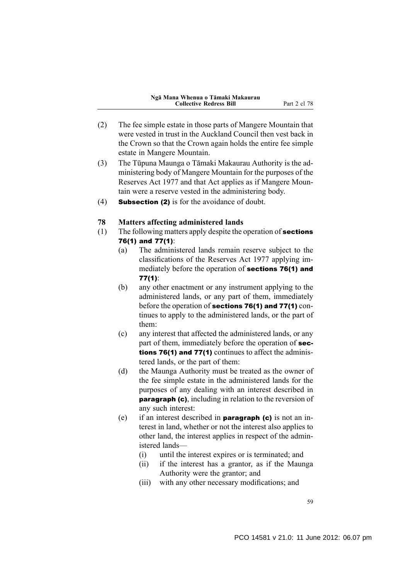- (2) The fee simple estate in those parts of Mangere Mountain that were vested in trust in the Auckland Council then vest back in the Crown so that the Crown again holds the entire fee simple estate in Mangere Mountain.
- (3) The Tūpuna Maunga o Tāmaki Makaurau Authority is the administering body of Mangere Mountain for the purposes of the Reserves Act 1977 and that Act applies as if Mangere Mountain were a reserve vested in the administering body.
- (4) Subsection (2) is for the avoidance of doubt.

## **78 Matters affecting administered lands**

- (1) The following matters apply despite the operation of sections 76(1) and 77(1):
	- (a) The administered lands remain reserve subject to the classifications of the Reserves Act 1977 applying immediately before the operation of sections 76(1) and 77(1):
	- (b) any other enactment or any instrument applying to the administered lands, or any part of them, immediately before the operation of sections 76(1) and 77(1) continues to apply to the administered lands, or the part of them:
	- (c) any interest that affected the administered lands, or any part of them, immediately before the operation of sections 76(1) and 77(1) continues to affect the administered lands, or the part of them:
	- (d) the Maunga Authority must be treated as the owner of the fee simple estate in the administered lands for the purposes of any dealing with an interest described in paragraph (c), including in relation to the reversion of any such interest:
	- (e) if an interest described in **paragraph (c)** is not an interest in land, whether or not the interest also applies to other land, the interest applies in respect of the administered lands—
		- (i) until the interest expires or is terminated; and
		- (ii) if the interest has a grantor, as if the Maunga Authority were the grantor; and
		- (iii) with any other necessary modifications; and

59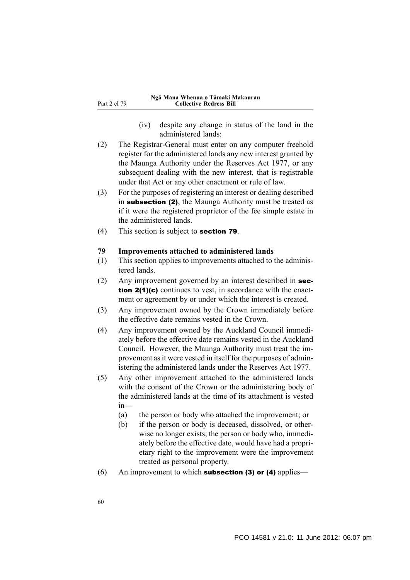- (iv) despite any change in status of the land in the administered lands:
- (2) The Registrar-General must enter on any computer freehold register for the administered lands any new interest granted by the Maunga Authority under the Reserves Act 1977, or any subsequent dealing with the new interest, that is registrable under that Act or any other enactment or rule of law.
- (3) For the purposes of registering an interest or dealing described in subsection (2), the Maunga Authority must be treated as if it were the registered proprietor of the fee simple estate in the administered lands.
- (4) This section is subject to section 79.

#### **79 Improvements attached to administered lands**

- (1) This section applies to improvements attached to the administered lands.
- (2) Any improvement governed by an interest described in section 2(1)(c) continues to vest, in accordance with the enactment or agreement by or under which the interest is created.
- (3) Any improvement owned by the Crown immediately before the effective date remains vested in the Crown.
- (4) Any improvement owned by the Auckland Council immediately before the effective date remains vested in the Auckland Council. However, the Maunga Authority must treat the improvement as it were vested in itself for the purposes of administering the administered lands under the Reserves Act 1977.
- (5) Any other improvement attached to the administered lands with the consent of the Crown or the administering body of the administered lands at the time of its attachment is vested in—
	- (a) the person or body who attached the improvement; or
	- (b) if the person or body is deceased, dissolved, or otherwise no longer exists, the person or body who, immediately before the effective date, would have had a proprietary right to the improvement were the improvement treated as personal property.
- (6) An improvement to which **subsection (3) or (4)** applies—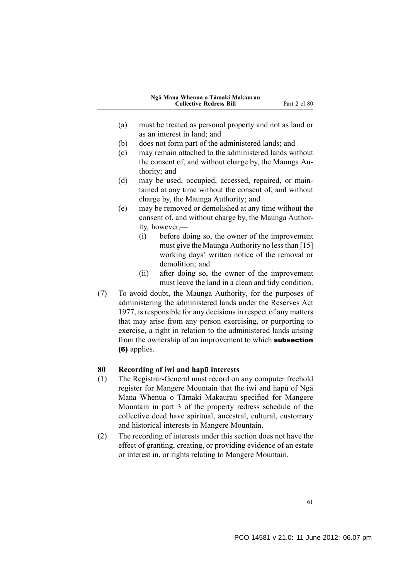- (a) must be treated as personal property and not as land or as an interest in land; and
- (b) does not form part of the administered lands; and
- (c) may remain attached to the administered lands without the consent of, and without charge by, the Maunga Authority; and
- (d) may be used, occupied, accessed, repaired, or maintained at any time without the consent of, and without charge by, the Maunga Authority; and
- (e) may be removed or demolished at any time without the consent of, and without charge by, the Maunga Authority, however,—
	- (i) before doing so, the owner of the improvement must give the Maunga Authority no less than [15] working days' written notice of the removal or demolition; and
	- (ii) after doing so, the owner of the improvement must leave the land in a clean and tidy condition.
- (7) To avoid doubt, the Maunga Authority, for the purposes of administering the administered lands under the Reserves Act 1977, is responsible for any decisions in respect of any matters that may arise from any person exercising, or purporting to exercise, a right in relation to the administered lands arising from the ownership of an improvement to which **subsection** (6) applies.

## **80 Recording of iwi and hapū interests**

- (1) The Registrar-General must record on any computer freehold register for Mangere Mountain that the iwi and hapū of Ngā Mana Whenua o Tāmaki Makaurau specified for Mangere Mountain in part 3 of the property redress schedule of the collective deed have spiritual, ancestral, cultural, customary and historical interests in Mangere Mountain.
- (2) The recording of interests under this section does not have the effect of granting, creating, or providing evidence of an estate or interest in, or rights relating to Mangere Mountain.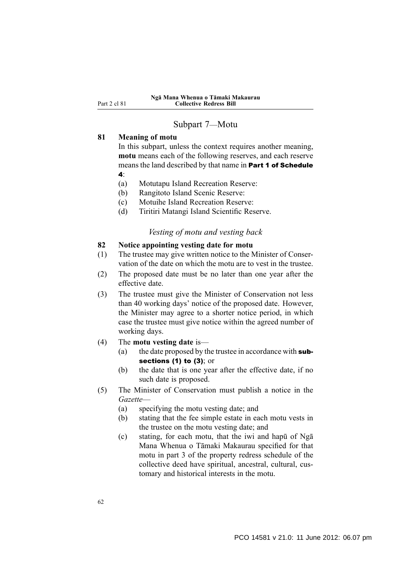## Subpart 7—Motu

### **81 Meaning of motu**

In this subpart, unless the context requires another meaning, **motu** means each of the following reserves, and each reserve means the land described by that name in Part 1 of Schedule 4:

- 
- (a) Motutapu Island Recreation Reserve:
- (b) Rangitoto Island Scenic Reserve:
- (c) Motuihe Island Recreation Reserve:
- (d) Tiritiri Matangi Island Scientific Reserve.

### *Vesting of motu and vesting back*

## **82 Notice appointing vesting date for motu**

- (1) The trustee may give written notice to the Minister of Conservation of the date on which the motu are to vest in the trustee.
- (2) The proposed date must be no later than one year after the effective date.
- (3) The trustee must give the Minister of Conservation not less than 40 working days' notice of the proposed date. However, the Minister may agree to a shorter notice period, in which case the trustee must give notice within the agreed number of working days.
- (4) The **motu vesting date** is—
	- (a) the date proposed by the trustee in accordance with  $sub$ sections (1) to (3); or
	- (b) the date that is one year after the effective date, if no such date is proposed.
- (5) The Minister of Conservation must publish a notice in the *Gazette*—
	- (a) specifying the motu vesting date; and
	- (b) stating that the fee simple estate in each motu vests in the trustee on the motu vesting date; and
	- (c) stating, for each motu, that the iwi and hapū of Ngā Mana Whenua o Tāmaki Makaurau specified for that motu in part 3 of the property redress schedule of the collective deed have spiritual, ancestral, cultural, customary and historical interests in the motu.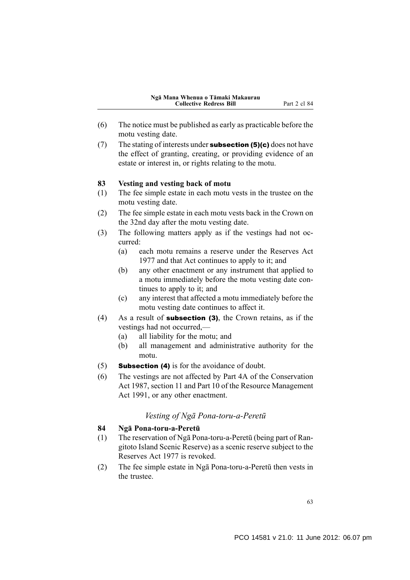- (6) The notice must be published as early as practicable before the motu vesting date.
- (7) The stating of interests under **subsection (5)(c)** does not have the effect of granting, creating, or providing evidence of an estate or interest in, or rights relating to the motu.

#### **83 Vesting and vesting back of motu**

- (1) The fee simple estate in each motu vests in the trustee on the motu vesting date.
- (2) The fee simple estate in each motu vests back in the Crown on the 32nd day after the motu vesting date.
- (3) The following matters apply as if the vestings had not occurred:
	- (a) each motu remains a reserve under the Reserves Act 1977 and that Act continues to apply to it; and
	- (b) any other enactment or any instrument that applied to a motu immediately before the motu vesting date continues to apply to it; and
	- (c) any interest that affected a motu immediately before the motu vesting date continues to affect it.
- (4) As a result of **subsection (3)**, the Crown retains, as if the vestings had not occurred,—
	- (a) all liability for the motu; and
	- (b) all management and administrative authority for the motu.
- (5) Subsection (4) is for the avoidance of doubt.
- (6) The vestings are not affected by Part 4A of the Conservation Act 1987, section 11 and Part 10 of the Resource Management Act 1991, or any other enactment.

### *Vesting of Ngā Pona-toru-a-Peretū*

## **84 Ngā Pona-toru-a-Peretū**

- (1) The reservation of Ngā Pona-toru-a-Peretū (being part of Rangitoto Island Scenic Reserve) as a scenic reserve subject to the Reserves Act 1977 is revoked.
- (2) The fee simple estate in Ngā Pona-toru-a-Peretū then vests in the trustee.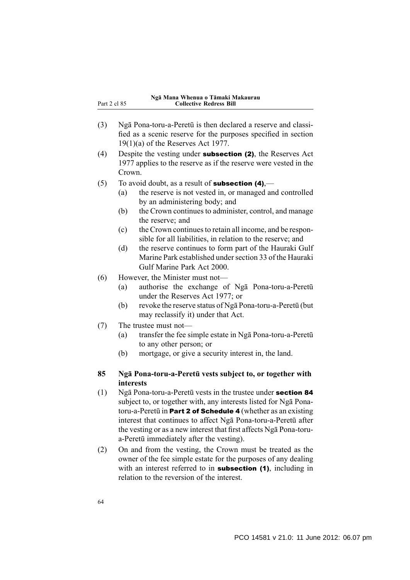|              | Ngā Mana Whenua o Tāmaki Makaurau |
|--------------|-----------------------------------|
| Part 2 cl 85 | <b>Collective Redress Bill</b>    |

- (3) Ngā Pona-toru-a-Peretū is then declared a reserve and classified as a scenic reserve for the purposes specified in section 19(1)(a) of the Reserves Act 1977.
- (4) Despite the vesting under subsection (2), the Reserves Act 1977 applies to the reserve as if the reserve were vested in the Crown.
- (5) To avoid doubt, as a result of **subsection (4)**,—
	- (a) the reserve is not vested in, or managed and controlled by an administering body; and
	- (b) the Crown continues to administer, control, and manage the reserve; and
	- (c) the Crown continues to retain all income, and be responsible for all liabilities, in relation to the reserve; and
	- (d) the reserve continues to form part of the Hauraki Gulf Marine Park established under section 33 of the Hauraki Gulf Marine Park Act 2000.
- (6) However, the Minister must not—
	- (a) authorise the exchange of Ngā Pona-toru-a-Peretū under the Reserves Act 1977; or
	- (b) revoke the reserve status of Ngā Pona-toru-a-Peretū (but may reclassify it) under that Act.
- (7) The trustee must not—
	- (a) transfer the fee simple estate in Ngā Pona-toru-a-Peretū to any other person; or
	- (b) mortgage, or give a security interest in, the land.

## **85 Ngā Pona-toru-a-Peretū vests subject to, or together with interests**

- (1) Ngā Pona-toru-a-Peretū vests in the trustee under section 84 subject to, or together with, any interests listed for Ngā Ponatoru-a-Peretū in Part 2 of Schedule 4 (whether as an existing interest that continues to affect Ngā Pona-toru-a-Peretū after the vesting or as a new interest that first affects Ngā Pona-torua-Peretū immediately after the vesting).
- (2) On and from the vesting, the Crown must be treated as the owner of the fee simple estate for the purposes of any dealing with an interest referred to in **subsection (1)**, including in relation to the reversion of the interest.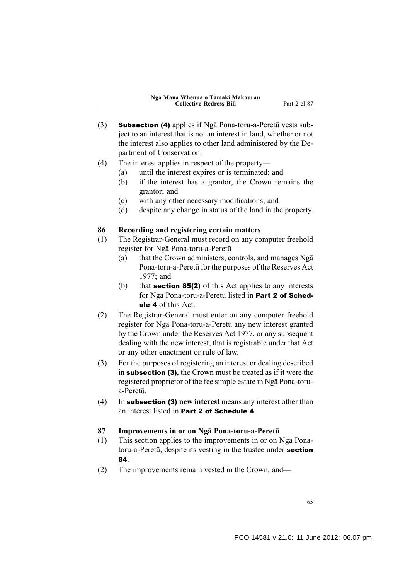- (3) Subsection (4) applies if Ngā Pona-toru-a-Peretū vests subject to an interest that is not an interest in land, whether or not the interest also applies to other land administered by the Department of Conservation.
- (4) The interest applies in respect of the property—
	- (a) until the interest expires or is terminated; and
	- (b) if the interest has a grantor, the Crown remains the grantor; and
	- (c) with any other necessary modifications; and
	- (d) despite any change in status of the land in the property.

## **86 Recording and registering certain matters**

- (1) The Registrar-General must record on any computer freehold register for Ngā Pona-toru-a-Peretū—
	- (a) that the Crown administers, controls, and manages Ngā Pona-toru-a-Peretū for the purposes of the Reserves Act  $1977$  and
	- (b) that **section 85(2)** of this Act applies to any interests for Ngā Pona-toru-a-Peretū listed in Part 2 of Schedule 4 of this Act.
- (2) The Registrar-General must enter on any computer freehold register for Ngā Pona-toru-a-Peretū any new interest granted by the Crown under the Reserves Act 1977, or any subsequent dealing with the new interest, that is registrable under that Act or any other enactment or rule of law.
- (3) For the purposes of registering an interest or dealing described in subsection (3), the Crown must be treated as if it were the registered proprietor of the fee simple estate in Ngā Pona-torua-Peretū.
- (4) In subsection (3) **new interest** means any interest other than an interest listed in Part 2 of Schedule 4.

### **87 Improvements in or on Ngā Pona-toru-a-Peretū**

- (1) This section applies to the improvements in or on Ngā Ponatoru-a-Peretū, despite its vesting in the trustee under section 84.
- (2) The improvements remain vested in the Crown, and—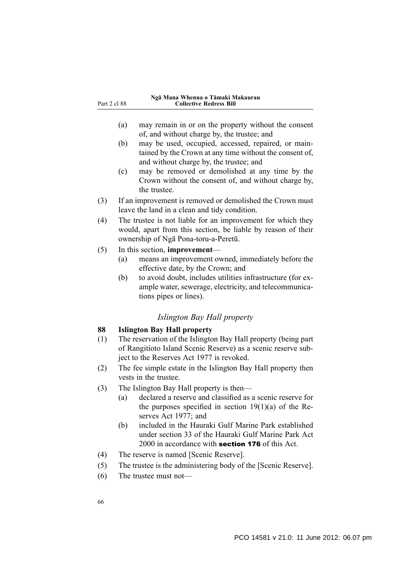|              | Ngā Mana Whenua o Tāmaki Makaurau |
|--------------|-----------------------------------|
| Part 2 cl 88 | <b>Collective Redress Bill</b>    |

- (a) may remain in or on the property without the consent of, and without charge by, the trustee; and
- (b) may be used, occupied, accessed, repaired, or maintained by the Crown at any time without the consent of, and without charge by, the trustee; and
- (c) may be removed or demolished at any time by the Crown without the consent of, and without charge by, the trustee.
- (3) If an improvement is removed or demolished the Crown must leave the land in a clean and tidy condition.
- (4) The trustee is not liable for an improvement for which they would, apart from this section, be liable by reason of their ownership of Ngā Pona-toru-a-Peretū.
- (5) In this section, **improvement**
	- (a) means an improvement owned, immediately before the effective date, by the Crown; and
	- (b) to avoid doubt, includes utilities infrastructure (for example water, sewerage, electricity, and telecommunications pipes or lines).

## *Islington Bay Hall property*

# **88 Islington Bay Hall property**

- (1) The reservation of the Islington Bay Hall property (being part of Rangitioto Island Scenic Reserve) as a scenic reserve subject to the Reserves Act 1977 is revoked.
- (2) The fee simple estate in the Islington Bay Hall property then vests in the trustee.
- (3) The Islington Bay Hall property is then—
	- (a) declared a reserve and classified as a scenic reserve for the purposes specified in section  $19(1)(a)$  of the Reserves Act 1977; and
	- (b) included in the Hauraki Gulf Marine Park established under section 33 of the Hauraki Gulf Marine Park Act 2000 in accordance with section 176 of this Act.
- (4) The reserve is named [Scenic Reserve].
- (5) The trustee is the administering body of the [Scenic Reserve].
- (6) The trustee must not—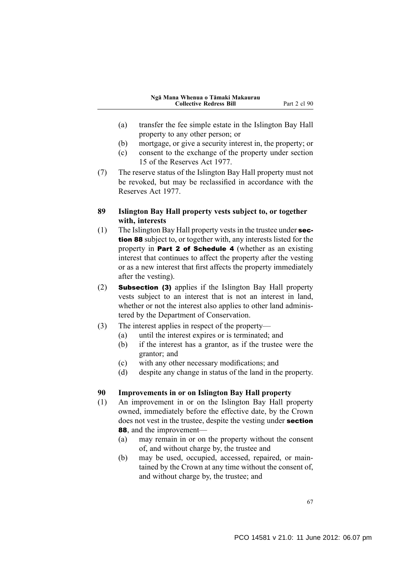- (a) transfer the fee simple estate in the Islington Bay Hall property to any other person; or
- (b) mortgage, or give a security interest in, the property; or
- (c) consent to the exchange of the property under section 15 of the Reserves Act 1977.
- (7) The reserve status of the Islington Bay Hall property must not be revoked, but may be reclassified in accordance with the Reserves Act 1977.
- **89 Islington Bay Hall property vests subject to, or together with, interests**
- (1) The Islington Bay Hall property vests in the trustee under section 88 subject to, or together with, any interests listed for the property in Part 2 of Schedule 4 (whether as an existing interest that continues to affect the property after the vesting or as a new interest that first affects the property immediately after the vesting).
- (2) Subsection (3) applies if the Islington Bay Hall property vests subject to an interest that is not an interest in land, whether or not the interest also applies to other land administered by the Department of Conservation.
- (3) The interest applies in respect of the property—
	- (a) until the interest expires or is terminated; and
	- (b) if the interest has a grantor, as if the trustee were the grantor; and
	- (c) with any other necessary modifications; and
	- (d) despite any change in status of the land in the property.

### **90 Improvements in or on Islington Bay Hall property**

- (1) An improvement in or on the Islington Bay Hall property owned, immediately before the effective date, by the Crown does not vest in the trustee, despite the vesting under **section** 88, and the improvement—
	- (a) may remain in or on the property without the consent of, and without charge by, the trustee and
	- (b) may be used, occupied, accessed, repaired, or maintained by the Crown at any time without the consent of, and without charge by, the trustee; and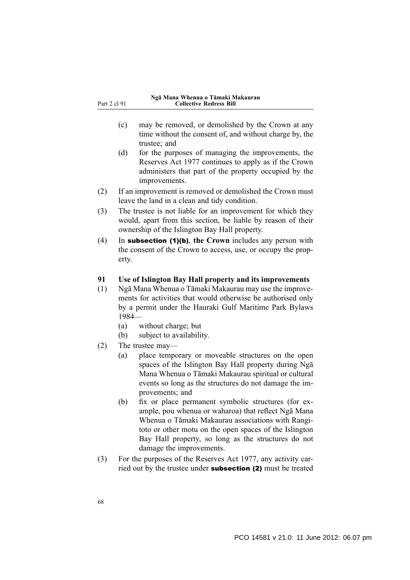- (c) may be removed, or demolished by the Crown at any time without the consent of, and without charge by, the trustee; and
- (d) for the purposes of managing the improvements, the Reserves Act 1977 continues to apply as if the Crown administers that part of the property occupied by the improvements.
- (2) If an improvement is removed or demolished the Crown must leave the land in a clean and tidy condition.
- (3) The trustee is not liable for an improvement for which they would, apart from this section, be liable by reason of their ownership of the Islington Bay Hall property.
- (4) In subsection (1)(b), **the Crown** includes any person with the consent of the Crown to access, use, or occupy the property.

## **91 Use of Islington Bay Hall property and its improvements**

- (1) Ngā Mana Whenua o Tāmaki Makaurau may use the improvements for activities that would otherwise be authorised only by a permit under the Hauraki Gulf Maritime Park Bylaws 1984—
	- (a) without charge; but
	- (b) subject to availability.
- (2) The trustee may—
	- (a) place temporary or moveable structures on the open spaces of the Islington Bay Hall property during Ngā Mana Whenua o Tāmaki Makaurau spiritual or cultural events so long as the structures do not damage the improvements; and
	- (b) fix or place permanent symbolic structures (for example, pou whenua or waharoa) that reflect Ngā Mana Whenua o Tāmaki Makaurau associations with Rangitoto or other motu on the open spaces of the Islington Bay Hall property, so long as the structures do not damage the improvements.
- (3) For the purposes of the Reserves Act 1977, any activity carried out by the trustee under **subsection (2)** must be treated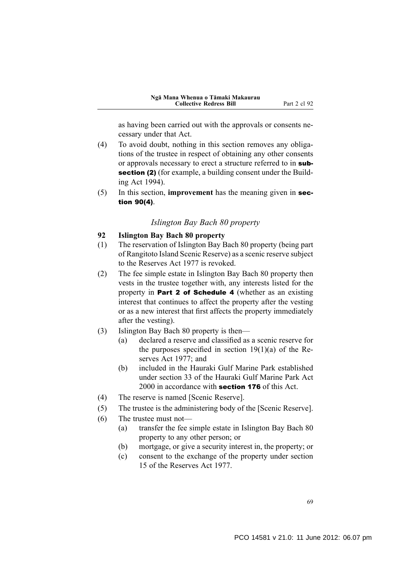as having been carried out with the approvals or consents necessary under that Act.

- (4) To avoid doubt, nothing in this section removes any obligations of the trustee in respect of obtaining any other consents or approvals necessary to erect a structure referred to in subsection (2) (for example, a building consent under the Building Act 1994).
- (5) In this section, **improvement** has the meaning given in section 90(4).

## *Islington Bay Bach 80 property*

#### **92 Islington Bay Bach 80 property**

- (1) The reservation of Islington Bay Bach 80 property (being part of Rangitoto Island Scenic Reserve) as a scenic reserve subject to the Reserves Act 1977 is revoked.
- (2) The fee simple estate in Islington Bay Bach 80 property then vests in the trustee together with, any interests listed for the property in Part 2 of Schedule 4 (whether as an existing interest that continues to affect the property after the vesting or as a new interest that first affects the property immediately after the vesting).
- (3) Islington Bay Bach 80 property is then—
	- (a) declared a reserve and classified as a scenic reserve for the purposes specified in section  $19(1)(a)$  of the Reserves Act 1977; and
	- (b) included in the Hauraki Gulf Marine Park established under section 33 of the Hauraki Gulf Marine Park Act 2000 in accordance with **section 176** of this Act.
- (4) The reserve is named [Scenic Reserve].
- (5) The trustee is the administering body of the [Scenic Reserve].
- (6) The trustee must not—
	- (a) transfer the fee simple estate in Islington Bay Bach 80 property to any other person; or
	- (b) mortgage, or give a security interest in, the property; or
	- (c) consent to the exchange of the property under section 15 of the Reserves Act 1977.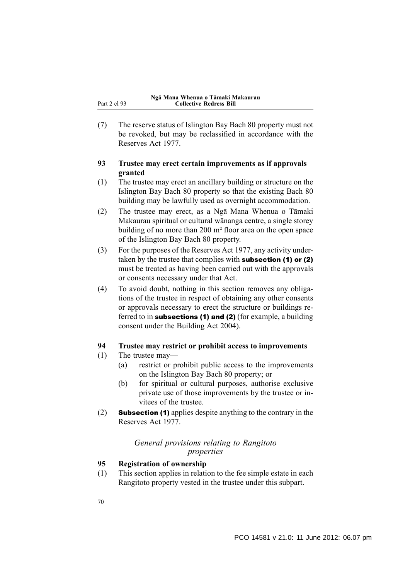(7) The reserve status of Islington Bay Bach 80 property must not be revoked, but may be reclassified in accordance with the Reserves Act 1977.

## **93 Trustee may erect certain improvements as if approvals granted**

- (1) The trustee may erect an ancillary building or structure on the Islington Bay Bach 80 property so that the existing Bach 80 building may be lawfully used as overnight accommodation.
- (2) The trustee may erect, as a Ngā Mana Whenua o Tāmaki Makaurau spiritual or cultural wānanga centre, a single storey building of no more than 200 m² floor area on the open space of the Islington Bay Bach 80 property.
- (3) For the purposes of the Reserves Act 1977, any activity undertaken by the trustee that complies with **subsection (1) or (2)** must be treated as having been carried out with the approvals or consents necessary under that Act.
- (4) To avoid doubt, nothing in this section removes any obligations of the trustee in respect of obtaining any other consents or approvals necessary to erect the structure or buildings referred to in subsections (1) and (2) (for example, a building consent under the Building Act 2004).

## **94 Trustee may restrict or prohibit access to improvements**

- (1) The trustee may—
	- (a) restrict or prohibit public access to the improvements on the Islington Bay Bach 80 property; or
	- (b) for spiritual or cultural purposes, authorise exclusive private use of those improvements by the trustee or invitees of the trustee.
- (2) Subsection (1) applies despite anything to the contrary in the Reserves Act 1977.

## *General provisions relating to Rangitoto properties*

## **95 Registration of ownership**

(1) This section applies in relation to the fee simple estate in each Rangitoto property vested in the trustee under this subpart.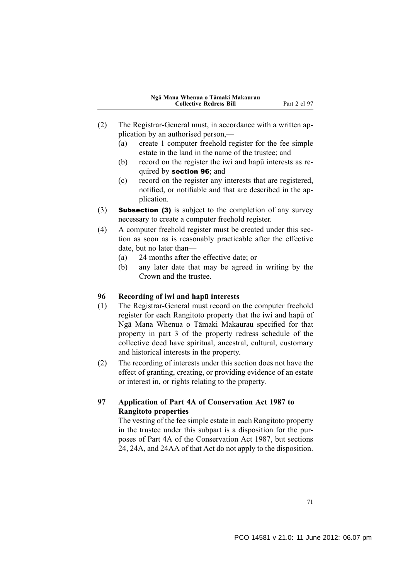- (2) The Registrar-General must, in accordance with a written application by an authorised person,—
	- (a) create 1 computer freehold register for the fee simple estate in the land in the name of the trustee; and
	- (b) record on the register the iwi and hapū interests as required by section 96; and
	- (c) record on the register any interests that are registered, notified, or notifiable and that are described in the application.
- (3) Subsection (3) is subject to the completion of any survey necessary to create a computer freehold register.
- (4) A computer freehold register must be created under this section as soon as is reasonably practicable after the effective date, but no later than—
	- (a) 24 months after the effective date; or
	- (b) any later date that may be agreed in writing by the Crown and the trustee.

### **96 Recording of iwi and hapū interests**

- (1) The Registrar-General must record on the computer freehold register for each Rangitoto property that the iwi and hapū of Ngā Mana Whenua o Tāmaki Makaurau specified for that property in part 3 of the property redress schedule of the collective deed have spiritual, ancestral, cultural, customary and historical interests in the property.
- (2) The recording of interests under this section does not have the effect of granting, creating, or providing evidence of an estate or interest in, or rights relating to the property.

## **97 Application of Part 4A of Conservation Act 1987 to Rangitoto properties**

The vesting of the fee simple estate in each Rangitoto property in the trustee under this subpart is a disposition for the purposes of Part 4A of the Conservation Act 1987, but sections 24, 24A, and 24AA of that Act do not apply to the disposition.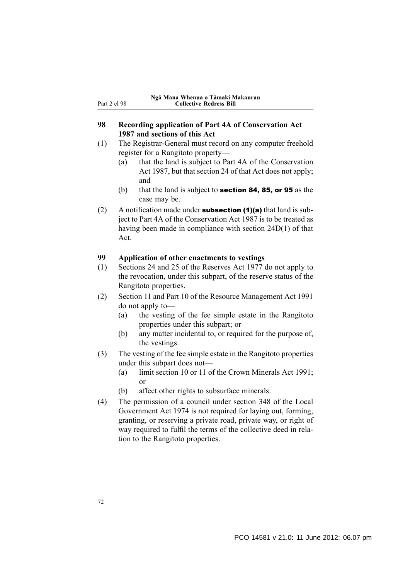### **98 Recording application of Part 4A of Conservation Act 1987 and sections of this Act**

- (1) The Registrar-General must record on any computer freehold register for a Rangitoto property—
	- (a) that the land is subject to Part 4A of the Conservation Act 1987, but that section 24 of that Act does not apply; and
	- (b) that the land is subject to **section 84, 85, or 95** as the case may be.
- (2) A notification made under **subsection (1)(a)** that land is subject to Part 4A of the Conservation Act 1987 is to be treated as having been made in compliance with section 24D(1) of that Act.

#### **99 Application of other enactments to vestings**

- (1) Sections 24 and 25 of the Reserves Act 1977 do not apply to the revocation, under this subpart, of the reserve status of the Rangitoto properties.
- (2) Section 11 and Part 10 of the Resource Management Act 1991 do not apply to—
	- (a) the vesting of the fee simple estate in the Rangitoto properties under this subpart; or
	- (b) any matter incidental to, or required for the purpose of, the vestings.
- (3) The vesting of the fee simple estate in the Rangitoto properties under this subpart does not—
	- (a) limit section 10 or 11 of the Crown Minerals Act 1991; or
	- (b) affect other rights to subsurface minerals.
- (4) The permission of a council under section 348 of the Local Government Act 1974 is not required for laying out, forming, granting, or reserving a private road, private way, or right of way required to fulfil the terms of the collective deed in relation to the Rangitoto properties.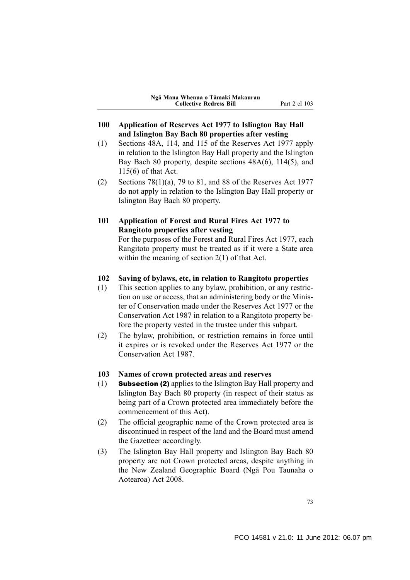- **100 Application of Reserves Act 1977 to Islington Bay Hall and Islington Bay Bach 80 properties after vesting**
- (1) Sections 48A, 114, and 115 of the Reserves Act 1977 apply in relation to the Islington Bay Hall property and the Islington Bay Bach 80 property, despite sections 48A(6), 114(5), and 115(6) of that Act.
- (2) Sections  $78(1)(a)$ , 79 to 81, and 88 of the Reserves Act 1977 do not apply in relation to the Islington Bay Hall property or Islington Bay Bach 80 property.
- **101 Application of Forest and Rural Fires Act 1977 to Rangitoto properties after vesting**

For the purposes of the Forest and Rural Fires Act 1977, each Rangitoto property must be treated as if it were a State area within the meaning of section 2(1) of that Act.

#### **102 Saving of bylaws, etc, in relation to Rangitoto properties**

- (1) This section applies to any bylaw, prohibition, or any restriction on use or access, that an administering body or the Minister of Conservation made under the Reserves Act 1977 or the Conservation Act 1987 in relation to a Rangitoto property before the property vested in the trustee under this subpart.
- (2) The bylaw, prohibition, or restriction remains in force until it expires or is revoked under the Reserves Act 1977 or the Conservation Act 1987.

### **103 Names of crown protected areas and reserves**

- (1) Subsection (2) applies to the Islington Bay Hall property and Islington Bay Bach 80 property (in respect of their status as being part of a Crown protected area immediately before the commencement of this Act).
- (2) The official geographic name of the Crown protected area is discontinued in respect of the land and the Board must amend the Gazetteer accordingly.
- (3) The Islington Bay Hall property and Islington Bay Bach 80 property are not Crown protected areas, despite anything in the New Zealand Geographic Board (Ngā Pou Taunaha o Aotearoa) Act 2008.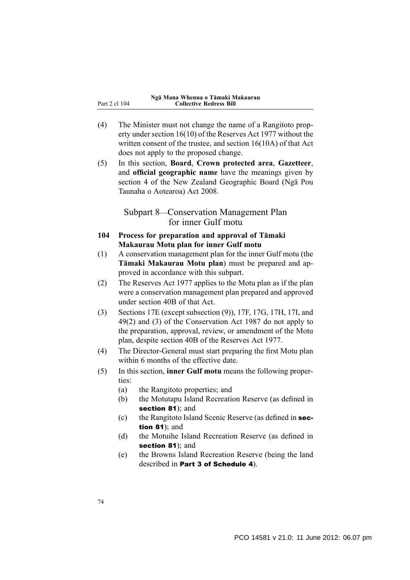- (4) The Minister must not change the name of a Rangitoto property under section 16(10) of the Reserves Act 1977 without the written consent of the trustee, and section 16(10A) of that Act does not apply to the proposed change.
- (5) In this section, **Board**, **Crown protected area**, **Gazetteer**, and **official geographic name** have the meanings given by section 4 of the New Zealand Geographic Board (Ngā Pou Taunaha o Aotearoa) Act 2008.

## Subpart 8—Conservation Management Plan for inner Gulf motu

- **104 Process for preparation and approval of Tāmaki Makaurau Motu plan for inner Gulf motu**
- (1) A conservation management plan for the inner Gulf motu (the **Tāmaki Makaurau Motu plan**) must be prepared and approved in accordance with this subpart.
- (2) The Reserves Act 1977 applies to the Motu plan as if the plan were a conservation management plan prepared and approved under section 40B of that Act.
- (3) Sections 17E (except subsection (9)), 17F, 17G, 17H, 17I, and 49(2) and (3) of the Conservation Act 1987 do not apply to the preparation, approval, review, or amendment of the Motu plan, despite section 40B of the Reserves Act 1977.
- (4) The Director-General must start preparing the first Motu plan within 6 months of the effective date.
- (5) In this section, **inner Gulf motu** means the following properties:
	- (a) the Rangitoto properties; and
	- (b) the Motutapu Island Recreation Reserve (as defined in section 81); and
	- (c) the Rangitoto Island Scenic Reserve (as defined in section  $81$ ); and
	- (d) the Motuihe Island Recreation Reserve (as defined in section 81); and
	- (e) the Browns Island Recreation Reserve (being the land described in Part 3 of Schedule 4).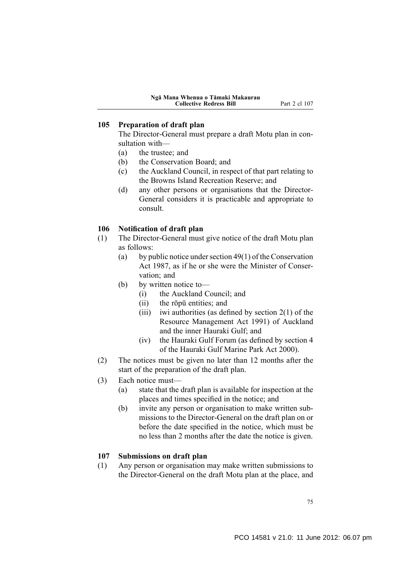### **105 Preparation of draft plan**

The Director-General must prepare a draft Motu plan in consultation with—

- (a) the trustee; and
- (b) the Conservation Board; and
- (c) the Auckland Council, in respect of that part relating to the Browns Island Recreation Reserve; and
- (d) any other persons or organisations that the Director-General considers it is practicable and appropriate to consult.

### **106 Notification of draft plan**

- (1) The Director-General must give notice of the draft Motu plan as follows:
	- (a) by public notice under section 49(1) of the Conservation Act 1987, as if he or she were the Minister of Conservation; and
	- (b) by written notice to—
		- (i) the Auckland Council; and
		- (ii) the rōpū entities; and
		- (iii) iwi authorities (as defined by section  $2(1)$  of the Resource Management Act 1991) of Auckland and the inner Hauraki Gulf; and
		- (iv) the Hauraki Gulf Forum (as defined by section 4 of the Hauraki Gulf Marine Park Act 2000).
- (2) The notices must be given no later than 12 months after the start of the preparation of the draft plan.
- (3) Each notice must—
	- (a) state that the draft plan is available for inspection at the places and times specified in the notice; and
	- (b) invite any person or organisation to make written submissions to the Director-General on the draft plan on or before the date specified in the notice, which must be no less than 2 months after the date the notice is given.

#### **107 Submissions on draft plan**

(1) Any person or organisation may make written submissions to the Director-General on the draft Motu plan at the place, and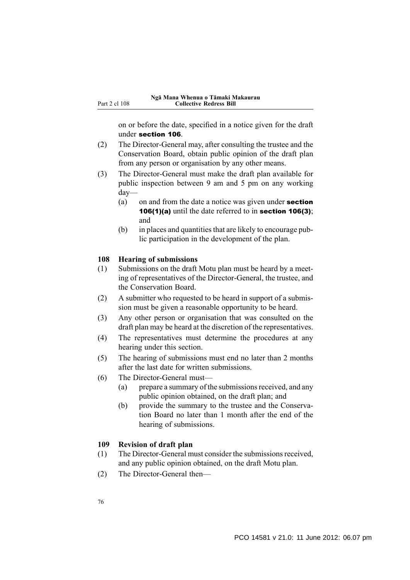on or before the date, specified in a notice given for the draft under section 106.

- (2) The Director-General may, after consulting the trustee and the Conservation Board, obtain public opinion of the draft plan from any person or organisation by any other means.
- (3) The Director-General must make the draft plan available for public inspection between 9 am and 5 pm on any working day—
	- (a) on and from the date a notice was given under **section 106(1)(a)** until the date referred to in **section 106(3)**; and
	- (b) in places and quantities that are likely to encourage public participation in the development of the plan.

#### **108 Hearing of submissions**

- (1) Submissions on the draft Motu plan must be heard by a meeting of representatives of the Director-General, the trustee, and the Conservation Board.
- (2) A submitter who requested to be heard in support of a submission must be given a reasonable opportunity to be heard.
- (3) Any other person or organisation that was consulted on the draft plan may be heard at the discretion of the representatives.
- (4) The representatives must determine the procedures at any hearing under this section.
- (5) The hearing of submissions must end no later than 2 months after the last date for written submissions.
- (6) The Director-General must—
	- (a) prepare a summary of the submissions received, and any public opinion obtained, on the draft plan; and
	- (b) provide the summary to the trustee and the Conservation Board no later than 1 month after the end of the hearing of submissions.

#### **109 Revision of draft plan**

- (1) The Director-General must consider the submissions received, and any public opinion obtained, on the draft Motu plan.
- (2) The Director-General then—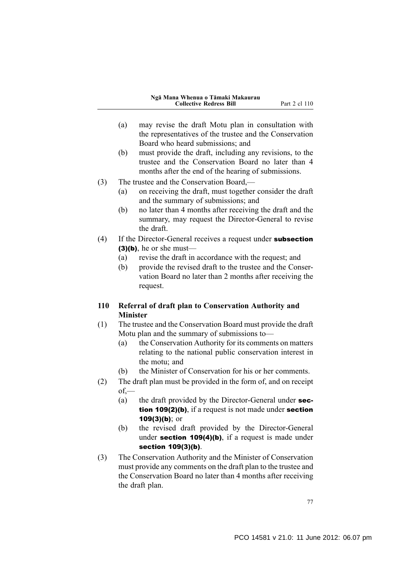- (a) may revise the draft Motu plan in consultation with the representatives of the trustee and the Conservation Board who heard submissions; and
- (b) must provide the draft, including any revisions, to the trustee and the Conservation Board no later than 4 months after the end of the hearing of submissions.
- (3) The trustee and the Conservation Board,—
	- (a) on receiving the draft, must together consider the draft and the summary of submissions; and
	- (b) no later than 4 months after receiving the draft and the summary, may request the Director-General to revise the draft.
- (4) If the Director-General receives a request under **subsection**  $(3)(b)$ , he or she must—
	- (a) revise the draft in accordance with the request; and
	- (b) provide the revised draft to the trustee and the Conservation Board no later than 2 months after receiving the request.

## **110 Referral of draft plan to Conservation Authority and Minister**

- (1) The trustee and the Conservation Board must provide the draft Motu plan and the summary of submissions to—
	- (a) the Conservation Authority for its comments on matters relating to the national public conservation interest in the motu; and
	- (b) the Minister of Conservation for his or her comments.
- (2) The draft plan must be provided in the form of, and on receipt  $of$ —
	- (a) the draft provided by the Director-General under **sec**tion 109(2)(b), if a request is not made under section 109(3)(b); or
	- (b) the revised draft provided by the Director-General under section  $109(4)(b)$ , if a request is made under section 109(3)(b).
- (3) The Conservation Authority and the Minister of Conservation must provide any comments on the draft plan to the trustee and the Conservation Board no later than 4 months after receiving the draft plan.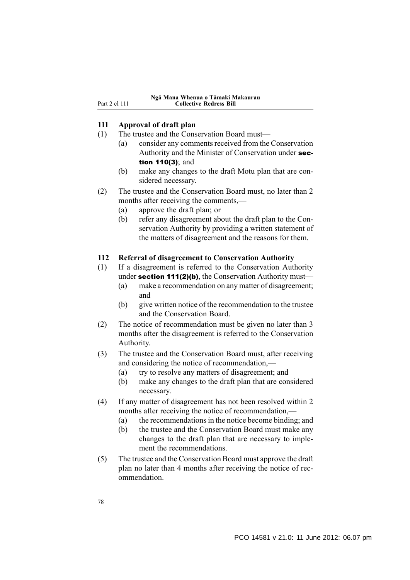### **111 Approval of draft plan**

- (1) The trustee and the Conservation Board must—
	- (a) consider any comments received from the Conservation Authority and the Minister of Conservation under section 110(3); and
	- (b) make any changes to the draft Motu plan that are considered necessary.
- (2) The trustee and the Conservation Board must, no later than 2 months after receiving the comments,—
	- (a) approve the draft plan; or
	- (b) refer any disagreement about the draft plan to the Conservation Authority by providing a written statement of the matters of disagreement and the reasons for them.

#### **112 Referral of disagreement to Conservation Authority**

- (1) If a disagreement is referred to the Conservation Authority under section 111(2)(b), the Conservation Authority must—
	- (a) make a recommendation on any matter of disagreement; and
	- (b) give written notice of the recommendation to the trustee and the Conservation Board.
- (2) The notice of recommendation must be given no later than 3 months after the disagreement is referred to the Conservation Authority.
- (3) The trustee and the Conservation Board must, after receiving and considering the notice of recommendation,—
	- (a) try to resolve any matters of disagreement; and
	- (b) make any changes to the draft plan that are considered necessary.
- (4) If any matter of disagreement has not been resolved within 2 months after receiving the notice of recommendation,—
	- (a) the recommendations in the notice become binding; and
	- (b) the trustee and the Conservation Board must make any changes to the draft plan that are necessary to implement the recommendations.
- (5) The trustee and the Conservation Board must approve the draft plan no later than 4 months after receiving the notice of recommendation.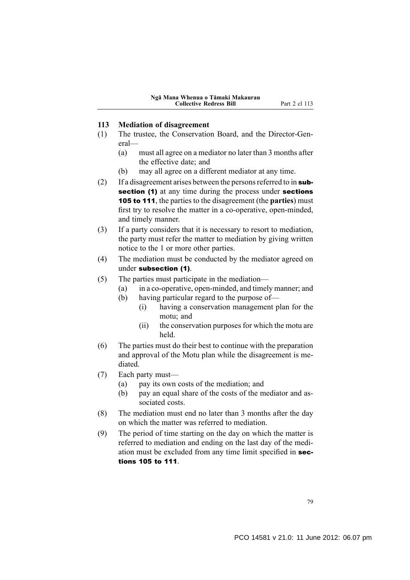### **113 Mediation of disagreement**

- (1) The trustee, the Conservation Board, and the Director-General—
	- (a) must all agree on a mediator no later than 3 months after the effective date; and
	- (b) may all agree on a different mediator at any time.
- (2) If a disagreement arises between the persons referred to in  $sub$ section (1) at any time during the process under sections 105 to 111, the parties to the disagreement (the **parties**) must first try to resolve the matter in a co-operative, open-minded, and timely manner.
- (3) If a party considers that it is necessary to resort to mediation, the party must refer the matter to mediation by giving written notice to the 1 or more other parties.
- (4) The mediation must be conducted by the mediator agreed on under subsection (1).
- (5) The parties must participate in the mediation—
	- (a) in a co-operative, open-minded, and timely manner; and
	- (b) having particular regard to the purpose of—
		- (i) having a conservation management plan for the motu; and
		- (ii) the conservation purposes for which the motu are held.
- (6) The parties must do their best to continue with the preparation and approval of the Motu plan while the disagreement is mediated.
- (7) Each party must—
	- (a) pay its own costs of the mediation; and
	- (b) pay an equal share of the costs of the mediator and associated costs.
- (8) The mediation must end no later than 3 months after the day on which the matter was referred to mediation.
- (9) The period of time starting on the day on which the matter is referred to mediation and ending on the last day of the mediation must be excluded from any time limit specified in sections 105 to 111.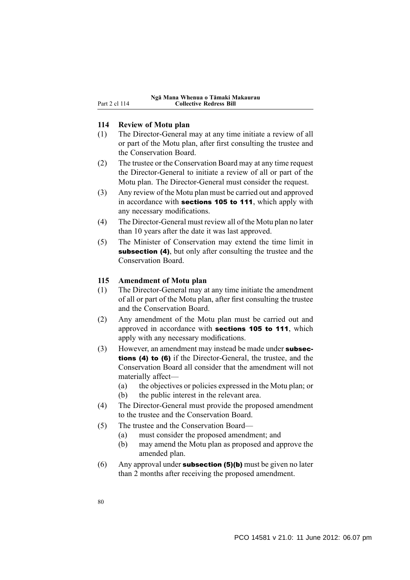### **114 Review of Motu plan**

- (1) The Director-General may at any time initiate a review of all or part of the Motu plan, after first consulting the trustee and the Conservation Board.
- (2) The trustee or the Conservation Board may at any time request the Director-General to initiate a review of all or part of the Motu plan. The Director-General must consider the request.
- (3) Any review of the Motu plan must be carried out and approved in accordance with **sections 105 to 111**, which apply with any necessary modifications.
- (4) The Director-General must review all of the Motu plan no later than 10 years after the date it was last approved.
- (5) The Minister of Conservation may extend the time limit in subsection (4), but only after consulting the trustee and the Conservation Board.

#### **115 Amendment of Motu plan**

- (1) The Director-General may at any time initiate the amendment of all or part of the Motu plan, after first consulting the trustee and the Conservation Board.
- (2) Any amendment of the Motu plan must be carried out and approved in accordance with sections 105 to 111, which apply with any necessary modifications.
- (3) However, an amendment may instead be made under subsections (4) to (6) if the Director-General, the trustee, and the Conservation Board all consider that the amendment will not materially affect—
	- (a) the objectives or policies expressed in the Motu plan; or
	- (b) the public interest in the relevant area.
- (4) The Director-General must provide the proposed amendment to the trustee and the Conservation Board.
- (5) The trustee and the Conservation Board—
	- (a) must consider the proposed amendment; and
	- (b) may amend the Motu plan as proposed and approve the amended plan.
- (6) Any approval under **subsection (5)(b)** must be given no later than 2 months after receiving the proposed amendment.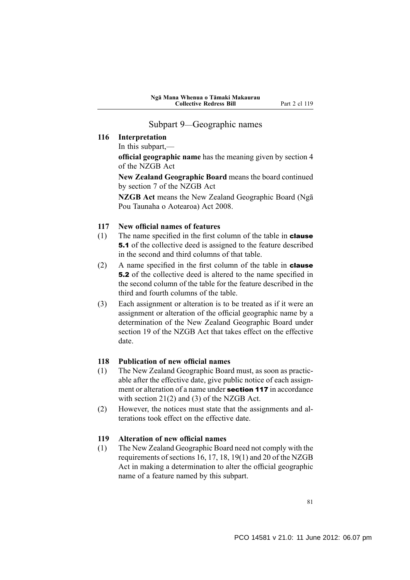### Subpart 9—Geographic names

### **116 Interpretation**

In this subpart,—

**official geographic name** has the meaning given by section 4 of the NZGB Act

**New Zealand Geographic Board** means the board continued by section 7 of the NZGB Act

**NZGB Act** means the New Zealand Geographic Board (Ngā Pou Taunaha o Aotearoa) Act 2008.

### **117 New official names of features**

- (1) The name specified in the first column of the table in **clause** 5.1 of the collective deed is assigned to the feature described in the second and third columns of that table.
- (2) A name specified in the first column of the table in **clause** 5.2 of the collective deed is altered to the name specified in the second column of the table for the feature described in the third and fourth columns of the table.
- (3) Each assignment or alteration is to be treated as if it were an assignment or alteration of the official geographic name by a determination of the New Zealand Geographic Board under section 19 of the NZGB Act that takes effect on the effective date.

### **118 Publication of new official names**

- (1) The New Zealand Geographic Board must, as soon as practicable after the effective date, give public notice of each assignment or alteration of a name under section 117 in accordance with section 21(2) and (3) of the NZGB Act.
- (2) However, the notices must state that the assignments and alterations took effect on the effective date.

#### **119 Alteration of new official names**

(1) The New Zealand Geographic Board need not comply with the requirements of sections 16, 17, 18, 19(1) and 20 of the NZGB Act in making a determination to alter the official geographic name of a feature named by this subpart.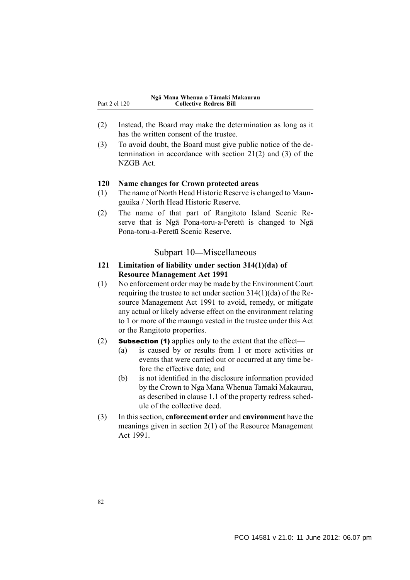- (2) Instead, the Board may make the determination as long as it has the written consent of the trustee.
- (3) To avoid doubt, the Board must give public notice of the determination in accordance with section 21(2) and (3) of the NZGB Act.

#### **120 Name changes for Crown protected areas**

- (1) The name of North Head Historic Reserve is changed to Maungauika / North Head Historic Reserve.
- (2) The name of that part of Rangitoto Island Scenic Reserve that is Ngā Pona-toru-a-Peretū is changed to Ngā Pona-toru-a-Peretū Scenic Reserve.

### Subpart 10—Miscellaneous

### **121 Limitation of liability under section 314(1)(da) of Resource Management Act 1991**

- (1) No enforcement order may be made by the Environment Court requiring the trustee to act under section 314(1)(da) of the Resource Management Act 1991 to avoid, remedy, or mitigate any actual or likely adverse effect on the environment relating to 1 or more of the maunga vested in the trustee under this Act or the Rangitoto properties.
- (2) **Subsection (1)** applies only to the extent that the effect—
	- (a) is caused by or results from 1 or more activities or events that were carried out or occurred at any time before the effective date; and
	- (b) is not identified in the disclosure information provided by the Crown to Nga Mana Whenua Tamaki Makaurau, as described in clause 1.1 of the property redress schedule of the collective deed.
- (3) In this section, **enforcement order** and **environment** have the meanings given in section 2(1) of the Resource Management Act 1991.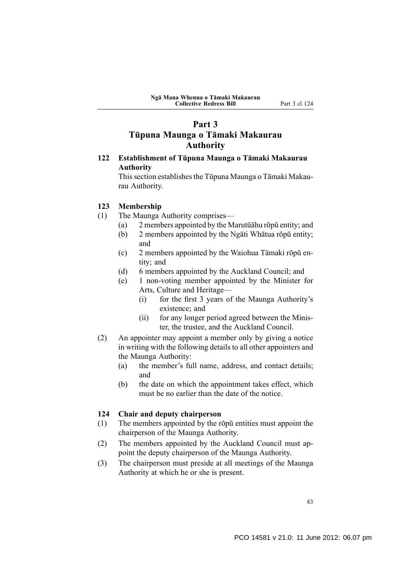# **Part 3 Tūpuna Maunga o Tāmaki Makaurau Authority**

## **122 Establishment of Tūpuna Maunga o Tāmaki Makaurau Authority**

This section establishes the Tūpuna Maunga o Tāmaki Makaurau Authority.

### **123 Membership**

- (1) The Maunga Authority comprises—
	- (a) 2 members appointed by the Marutūāhu rōpū entity; and
	- (b) 2 members appointed by the Ngāti Whātua rōpū entity; and
	- (c) 2 members appointed by the Waiohua Tāmaki rōpū entity; and
	- (d) 6 members appointed by the Auckland Council; and
	- (e) 1 non-voting member appointed by the Minister for Arts, Culture and Heritage—
		- (i) for the first 3 years of the Maunga Authority's existence; and
		- (ii) for any longer period agreed between the Minister, the trustee, and the Auckland Council.
- (2) An appointer may appoint a member only by giving a notice in writing with the following details to all other appointers and the Maunga Authority:
	- (a) the member's full name, address, and contact details; and
	- (b) the date on which the appointment takes effect, which must be no earlier than the date of the notice.

### **124 Chair and deputy chairperson**

- (1) The members appointed by the rōpū entities must appoint the chairperson of the Maunga Authority.
- (2) The members appointed by the Auckland Council must appoint the deputy chairperson of the Maunga Authority.
- (3) The chairperson must preside at all meetings of the Maunga Authority at which he or she is present.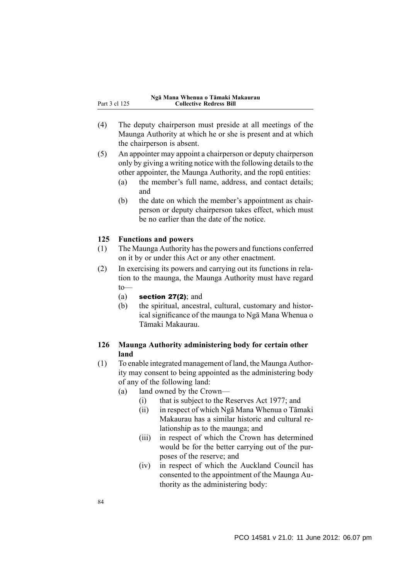- (4) The deputy chairperson must preside at all meetings of the Maunga Authority at which he or she is present and at which the chairperson is absent.
- (5) An appointer may appoint a chairperson or deputy chairperson only by giving a writing notice with the following details to the other appointer, the Maunga Authority, and the ropū entities:
	- (a) the member's full name, address, and contact details; and
	- (b) the date on which the member's appointment as chairperson or deputy chairperson takes effect, which must be no earlier than the date of the notice.

### **125 Functions and powers**

- (1) The Maunga Authority has the powers and functions conferred on it by or under this Act or any other enactment.
- (2) In exercising its powers and carrying out its functions in relation to the maunga, the Maunga Authority must have regard to—
	- (a) section  $27(2)$ ; and
	- (b) the spiritual, ancestral, cultural, customary and historical significance of the maunga to Ngā Mana Whenua o Tāmaki Makaurau.

### **126 Maunga Authority administering body for certain other land**

- (1) To enable integrated management of land, the Maunga Authority may consent to being appointed as the administering body of any of the following land:
	- (a) land owned by the Crown—
		- (i) that is subject to the Reserves Act 1977; and
		- (ii) in respect of which Ngā Mana Whenua o Tāmaki Makaurau has a similar historic and cultural relationship as to the maunga; and
		- (iii) in respect of which the Crown has determined would be for the better carrying out of the purposes of the reserve; and
		- (iv) in respect of which the Auckland Council has consented to the appointment of the Maunga Authority as the administering body: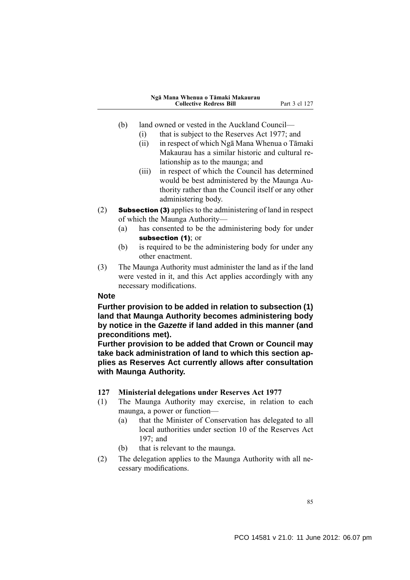- (b) land owned or vested in the Auckland Council—
	- (i) that is subject to the Reserves Act 1977; and
	- (ii) in respect of which Ngā Mana Whenua o Tāmaki Makaurau has a similar historic and cultural relationship as to the maunga; and
	- (iii) in respect of which the Council has determined would be best administered by the Maunga Authority rather than the Council itself or any other administering body.
- (2) Subsection (3) applies to the administering of land in respect of which the Maunga Authority—
	- (a) has consented to be the administering body for under subsection (1); or
	- (b) is required to be the administering body for under any other enactment.
- (3) The Maunga Authority must administer the land as if the land were vested in it, and this Act applies accordingly with any necessary modifications.

### **Note**

**Further provision to be added in relation to subsection (1) land that Maunga Authority becomes administering body by notice in the** *Gazette* **if land added in this manner (and preconditions met).**

**Further provision to be added that Crown or Council may take back administration of land to which this section applies as Reserves Act currently allows after consultation with Maunga Authority.**

- **127 Ministerial delegations under Reserves Act 1977**
- (1) The Maunga Authority may exercise, in relation to each maunga, a power or function—
	- (a) that the Minister of Conservation has delegated to all local authorities under section 10 of the Reserves Act 197; and
	- (b) that is relevant to the maunga.
- (2) The delegation applies to the Maunga Authority with all necessary modifications.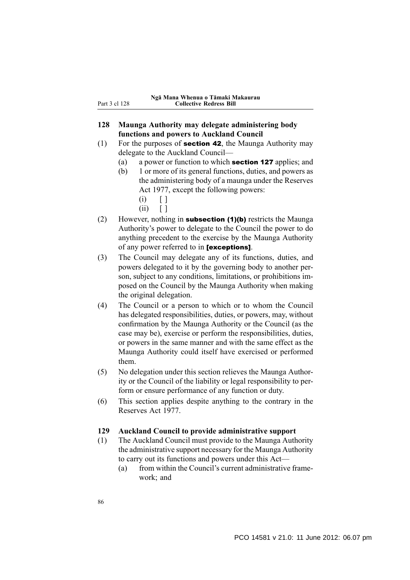### **128 Maunga Authority may delegate administering body functions and powers to Auckland Council**

- (1) For the purposes of **section 42**, the Maunga Authority may delegate to the Auckland Council—
	- (a) a power or function to which section 127 applies; and
	- (b) 1 or more of its general functions, duties, and powers as the administering body of a maunga under the Reserves Act 1977, except the following powers:
		- $(i) \quad 1$
		- $(ii)$   $[1]$
- (2) However, nothing in **subsection (1)(b)** restricts the Maunga Authority's power to delegate to the Council the power to do anything precedent to the exercise by the Maunga Authority of any power referred to in [exceptions].
- (3) The Council may delegate any of its functions, duties, and powers delegated to it by the governing body to another person, subject to any conditions, limitations, or prohibitions imposed on the Council by the Maunga Authority when making the original delegation.
- (4) The Council or a person to which or to whom the Council has delegated responsibilities, duties, or powers, may, without confirmation by the Maunga Authority or the Council (as the case may be), exercise or perform the responsibilities, duties, or powers in the same manner and with the same effect as the Maunga Authority could itself have exercised or performed them.
- (5) No delegation under this section relieves the Maunga Authority or the Council of the liability or legal responsibility to perform or ensure performance of any function or duty.
- (6) This section applies despite anything to the contrary in the Reserves Act 1977.

### **129 Auckland Council to provide administrative support**

- (1) The Auckland Council must provide to the Maunga Authority the administrative support necessary for the Maunga Authority to carry out its functions and powers under this Act—
	- $(a)$  from within the Council's current administrative framework; and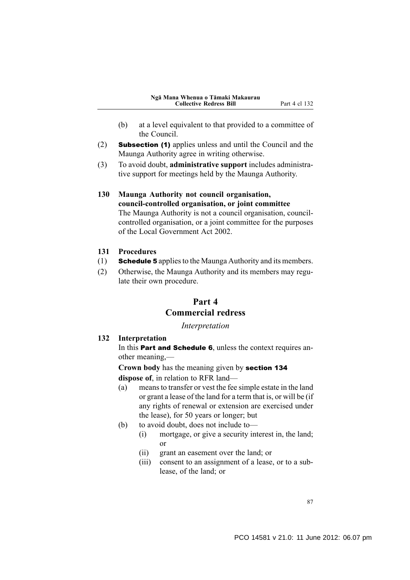- (b) at a level equivalent to that provided to a committee of the Council.
- (2) Subsection (1) applies unless and until the Council and the Maunga Authority agree in writing otherwise.
- (3) To avoid doubt, **administrative support** includes administrative support for meetings held by the Maunga Authority.
- **130 Maunga Authority not council organisation, council-controlled organisation, or joint committee** The Maunga Authority is not a council organisation, councilcontrolled organisation, or a joint committee for the purposes of the Local Government Act 2002.
- **131 Procedures**
- (1) Schedule 5 applies to the Maunga Authority and its members.
- (2) Otherwise, the Maunga Authority and its members may regulate their own procedure.

# **Part 4 Commercial redress**

*Interpretation*

#### **132 Interpretation**

In this **Part and Schedule 6**, unless the context requires another meaning,—

**Crown body** has the meaning given by section 134 **dispose of**, in relation to RFR land—

- (a) means to transfer or vest the fee simple estate in the land or grant a lease of the land for a term that is, or will be (if any rights of renewal or extension are exercised under the lease), for 50 years or longer; but
- (b) to avoid doubt, does not include to—
	- (i) mortgage, or give a security interest in, the land; or
	- (ii) grant an easement over the land; or
	- (iii) consent to an assignment of a lease, or to a sublease, of the land; or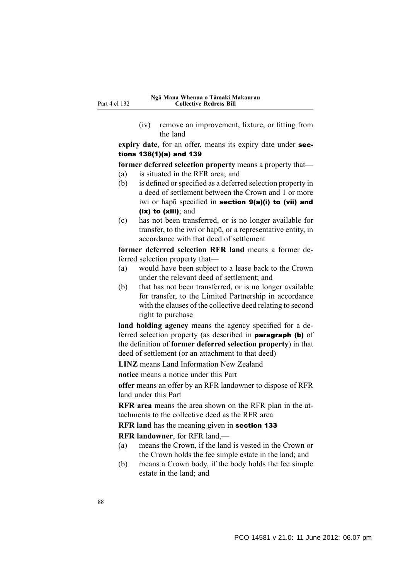(iv) remove an improvement, fixture, or fitting from the land

**expiry date**, for an offer, means its expiry date under sections 138(1)(a) and 139

**former deferred selection property** means a property that—

- (a) is situated in the RFR area; and
- (b) is defined or specified as a deferred selection property in a deed of settlement between the Crown and 1 or more iwi or hapū specified in section 9(a)(i) to (vii) and (ix) to (xiii); and
- (c) has not been transferred, or is no longer available for transfer, to the iwi or hapū, or a representative entity, in accordance with that deed of settlement

**former deferred selection RFR land** means a former deferred selection property that—

- (a) would have been subject to a lease back to the Crown under the relevant deed of settlement; and
- (b) that has not been transferred, or is no longer available for transfer, to the Limited Partnership in accordance with the clauses of the collective deed relating to second right to purchase

**land holding agency** means the agency specified for a deferred selection property (as described in paragraph (b) of the definition of **former deferred selection property**) in that deed of settlement (or an attachment to that deed)

**LINZ** means Land Information New Zealand

**notice** means a notice under this Part

**offer** means an offer by an RFR landowner to dispose of RFR land under this Part

**RFR area** means the area shown on the RFR plan in the attachments to the collective deed as the RFR area

**RFR land** has the meaning given in section 133

**RFR landowner**, for RFR land,—

- (a) means the Crown, if the land is vested in the Crown or the Crown holds the fee simple estate in the land; and
- (b) means a Crown body, if the body holds the fee simple estate in the land; and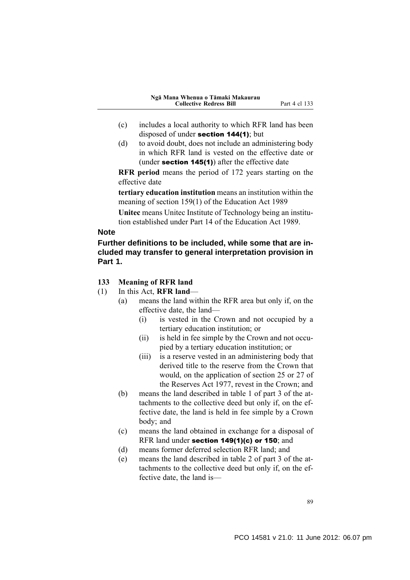- (c) includes a local authority to which RFR land has been disposed of under section 144(1); but
- (d) to avoid doubt, does not include an administering body in which RFR land is vested on the effective date or (under section  $145(1)$ ) after the effective date

**RFR period** means the period of 172 years starting on the effective date

**tertiary education institution** means an institution within the meaning of section 159(1) of the Education Act 1989

**Unitec** means Unitec Institute of Technology being an institution established under Part 14 of the Education Act 1989.

### **Note**

## **Further definitions to be included, while some that are included may transfer to general interpretation provision in Part 1.**

### **133 Meaning of RFR land**

- (1) In this Act, **RFR land**
	- (a) means the land within the RFR area but only if, on the effective date, the land—
		- (i) is vested in the Crown and not occupied by a tertiary education institution; or
		- (ii) is held in fee simple by the Crown and not occupied by a tertiary education institution; or
		- (iii) is a reserve vested in an administering body that derived title to the reserve from the Crown that would, on the application of section 25 or 27 of the Reserves Act 1977, revest in the Crown; and
	- (b) means the land described in table 1 of part 3 of the attachments to the collective deed but only if, on the effective date, the land is held in fee simple by a Crown body; and
	- (c) means the land obtained in exchange for a disposal of RFR land under section 149(1)(c) or 150; and
	- (d) means former deferred selection RFR land; and
	- (e) means the land described in table 2 of part 3 of the attachments to the collective deed but only if, on the effective date, the land is—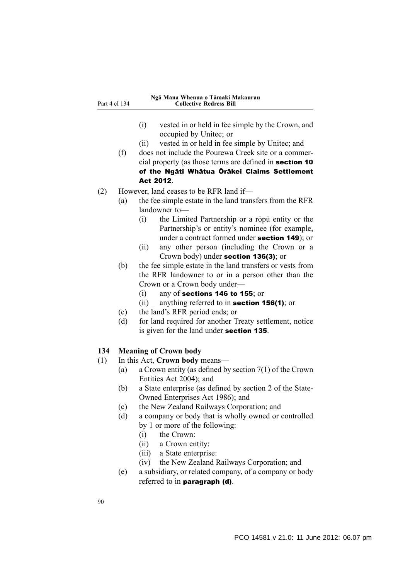#### **Ngā Mana Whenua o Tāmaki Makaurau Collective Redress Bill**

- (i) vested in or held in fee simple by the Crown, and occupied by Unitec; or
- (ii) vested in or held in fee simple by Unitec; and
- (f) does not include the Pourewa Creek site or a commercial property (as those terms are defined in section 10 of the Ngāti Whātua Ōrākei Claims Settlement Act 2012.
- (2) However, land ceases to be RFR land if—
	- (a) the fee simple estate in the land transfers from the RFR landowner to—
		- (i) the Limited Partnership or a rōpū entity or the Partnership's or entity's nominee (for example, under a contract formed under section 149); or
		- (ii) any other person (including the Crown or a Crown body) under section 136(3); or
	- (b) the fee simple estate in the land transfers or vests from the RFR landowner to or in a person other than the Crown or a Crown body under—
		- (i) any of sections 146 to 155; or
		- (ii) anything referred to in section 156(1); or
	- (c) the land's RFR period ends; or
	- (d) for land required for another Treaty settlement, notice is given for the land under section 135.

### **134 Meaning of Crown body**

- (1) In this Act, **Crown body** means—
	- (a) a Crown entity (as defined by section 7(1) of the Crown Entities Act 2004); and
		- (b) a State enterprise (as defined by section 2 of the State-Owned Enterprises Act 1986); and
		- (c) the New Zealand Railways Corporation; and
		- (d) a company or body that is wholly owned or controlled by 1 or more of the following:
			- (i) the Crown:
			- (ii) a Crown entity:
			- (iii) a State enterprise:
			- (iv) the New Zealand Railways Corporation; and
		- (e) a subsidiary, or related company, of a company or body referred to in paragraph (d).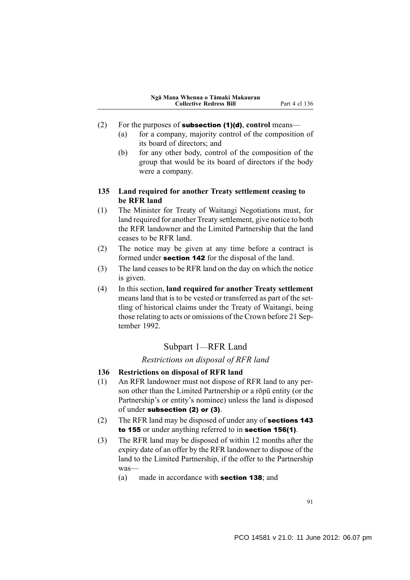- (2) For the purposes of subsection (1)(d), **control** means—
	- (a) for a company, majority control of the composition of its board of directors; and
	- (b) for any other body, control of the composition of the group that would be its board of directors if the body were a company.

### **135 Land required for another Treaty settlement ceasing to be RFR land**

- (1) The Minister for Treaty of Waitangi Negotiations must, for land required for another Treaty settlement, give notice to both the RFR landowner and the Limited Partnership that the land ceases to be RFR land.
- (2) The notice may be given at any time before a contract is formed under section 142 for the disposal of the land.
- (3) The land ceases to be RFR land on the day on which the notice is given.
- (4) In this section, **land required for another Treaty settlement** means land that is to be vested or transferred as part of the settling of historical claims under the Treaty of Waitangi, being those relating to acts or omissions of the Crown before 21 September 1992.

## Subpart 1—RFR Land

#### *Restrictions on disposal of RFR land*

- **136 Restrictions on disposal of RFR land**
- (1) An RFR landowner must not dispose of RFR land to any person other than the Limited Partnership or a rōpū entity (or the Partnership's or entity's nominee) unless the land is disposed of under subsection (2) or (3).
- (2) The RFR land may be disposed of under any of sections 143 to 155 or under anything referred to in section 156(1).
- (3) The RFR land may be disposed of within 12 months after the expiry date of an offer by the RFR landowner to dispose of the land to the Limited Partnership, if the offer to the Partnership was—
	- (a) made in accordance with section 138; and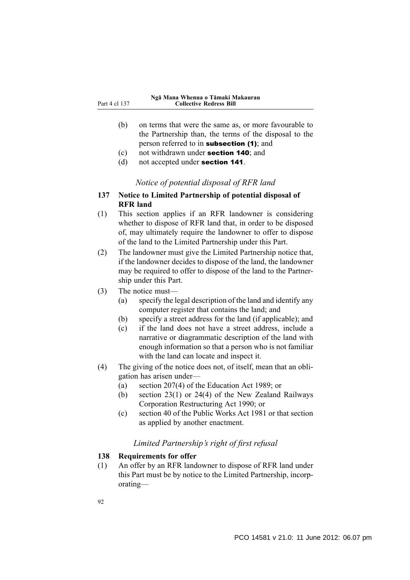- (b) on terms that were the same as, or more favourable to the Partnership than, the terms of the disposal to the person referred to in subsection (1); and
- (c) not withdrawn under section 140; and
- (d) not accepted under section 141.

## *Notice of potential disposal of RFR land*

- **137 Notice to Limited Partnership of potential disposal of RFR land**
- (1) This section applies if an RFR landowner is considering whether to dispose of RFR land that, in order to be disposed of, may ultimately require the landowner to offer to dispose of the land to the Limited Partnership under this Part.
- (2) The landowner must give the Limited Partnership notice that, if the landowner decides to dispose of the land, the landowner may be required to offer to dispose of the land to the Partnership under this Part.
- (3) The notice must—
	- (a) specify the legal description of the land and identify any computer register that contains the land; and
	- (b) specify a street address for the land (if applicable); and
	- (c) if the land does not have a street address, include a narrative or diagrammatic description of the land with enough information so that a person who is not familiar with the land can locate and inspect it.
- (4) The giving of the notice does not, of itself, mean that an obligation has arisen under—
	- (a) section 207(4) of the Education Act 1989; or
	- (b) section 23(1) or 24(4) of the New Zealand Railways Corporation Restructuring Act 1990; or
	- (c) section 40 of the Public Works Act 1981 or that section as applied by another enactment.

## *Limited Partnership's right of first refusal*

### **138 Requirements for offer**

(1) An offer by an RFR landowner to dispose of RFR land under this Part must be by notice to the Limited Partnership, incorporating—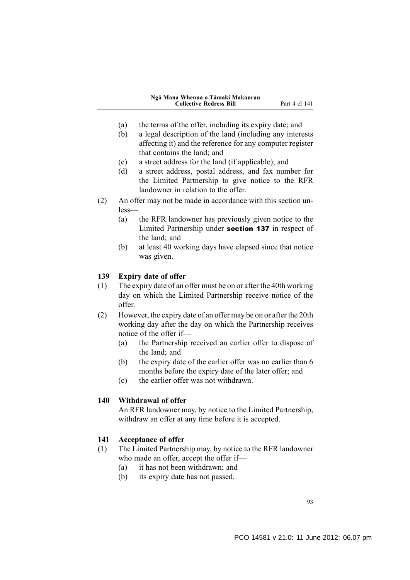- (a) the terms of the offer, including its expiry date; and
- (b) a legal description of the land (including any interests affecting it) and the reference for any computer register that contains the land; and
- (c) a street address for the land (if applicable); and
- (d) a street address, postal address, and fax number for the Limited Partnership to give notice to the RFR landowner in relation to the offer.
- (2) An offer may not be made in accordance with this section unless—
	- (a) the RFR landowner has previously given notice to the Limited Partnership under section 137 in respect of the land; and
	- (b) at least 40 working days have elapsed since that notice was given.

### **139 Expiry date of offer**

- (1) The expiry date of an offer must be on or after the 40th working day on which the Limited Partnership receive notice of the offer.
- (2) However, the expiry date of an offer may be on or after the 20th working day after the day on which the Partnership receives notice of the offer if—
	- (a) the Partnership received an earlier offer to dispose of the land; and
	- (b) the expiry date of the earlier offer was no earlier than 6 months before the expiry date of the later offer; and
	- (c) the earlier offer was not withdrawn.

#### **140 Withdrawal of offer**

An RFR landowner may, by notice to the Limited Partnership, withdraw an offer at any time before it is accepted.

### **141 Acceptance of offer**

- (1) The Limited Partnership may, by notice to the RFR landowner who made an offer, accept the offer if—
	- (a) it has not been withdrawn; and
	- (b) its expiry date has not passed.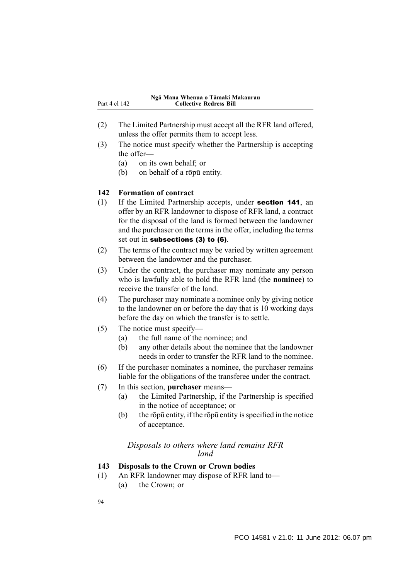- (2) The Limited Partnership must accept all the RFR land offered, unless the offer permits them to accept less.
- (3) The notice must specify whether the Partnership is accepting the offer—
	- (a) on its own behalf; or
	- (b) on behalf of a rōpū entity.

### **142 Formation of contract**

- (1) If the Limited Partnership accepts, under section 141, an offer by an RFR landowner to dispose of RFR land, a contract for the disposal of the land is formed between the landowner and the purchaser on the terms in the offer, including the terms set out in subsections (3) to (6).
- (2) The terms of the contract may be varied by written agreement between the landowner and the purchaser.
- (3) Under the contract, the purchaser may nominate any person who is lawfully able to hold the RFR land (the **nominee**) to receive the transfer of the land.
- (4) The purchaser may nominate a nominee only by giving notice to the landowner on or before the day that is 10 working days before the day on which the transfer is to settle.
- (5) The notice must specify—
	- (a) the full name of the nominee; and
	- (b) any other details about the nominee that the landowner needs in order to transfer the RFR land to the nominee.
- (6) If the purchaser nominates a nominee, the purchaser remains liable for the obligations of the transferee under the contract.
- (7) In this section, **purchaser** means—
	- (a) the Limited Partnership, if the Partnership is specified in the notice of acceptance; or
	- (b) the rōpū entity, if the rōpū entity is specified in the notice of acceptance.

## *Disposals to others where land remains RFR land*

### **143 Disposals to the Crown or Crown bodies**

(1) An RFR landowner may dispose of RFR land to— (a) the Crown; or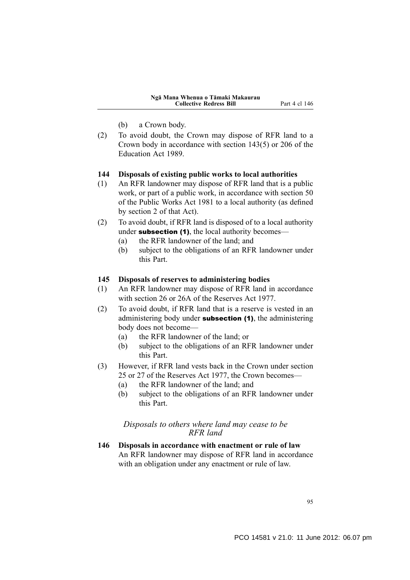- (b) a Crown body.
- (2) To avoid doubt, the Crown may dispose of RFR land to a Crown body in accordance with section 143(5) or 206 of the Education Act 1989.

#### **144 Disposals of existing public works to local authorities**

- (1) An RFR landowner may dispose of RFR land that is a public work, or part of a public work, in accordance with section 50 of the Public Works Act 1981 to a local authority (as defined by section 2 of that Act).
- (2) To avoid doubt, if RFR land is disposed of to a local authority under **subsection (1)**, the local authority becomes—
	- (a) the RFR landowner of the land; and
	- (b) subject to the obligations of an RFR landowner under this Part.

#### **145 Disposals of reserves to administering bodies**

- (1) An RFR landowner may dispose of RFR land in accordance with section 26 or 26A of the Reserves Act 1977.
- (2) To avoid doubt, if RFR land that is a reserve is vested in an administering body under **subsection (1)**, the administering body does not become—
	- (a) the RFR landowner of the land; or
	- (b) subject to the obligations of an RFR landowner under this Part.
- (3) However, if RFR land vests back in the Crown under section 25 or 27 of the Reserves Act 1977, the Crown becomes—
	- (a) the RFR landowner of the land; and
	- (b) subject to the obligations of an RFR landowner under this Part.

#### *Disposals to others where land may cease to be RFR land*

**146 Disposals in accordance with enactment or rule of law** An RFR landowner may dispose of RFR land in accordance with an obligation under any enactment or rule of law.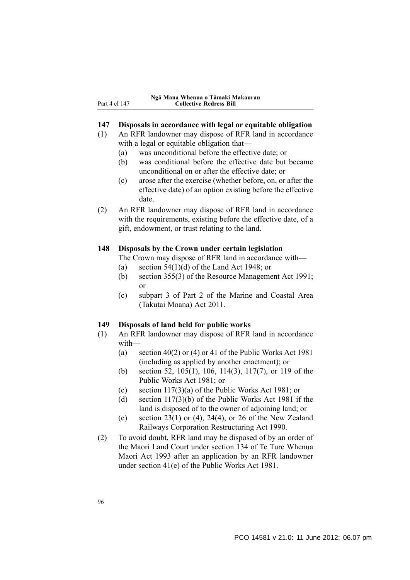Part 4 cl 147

### **147 Disposals in accordance with legal or equitable obligation**

- (1) An RFR landowner may dispose of RFR land in accordance with a legal or equitable obligation that—
	- (a) was unconditional before the effective date; or
	- (b) was conditional before the effective date but became unconditional on or after the effective date; or
	- (c) arose after the exercise (whether before, on, or after the effective date) of an option existing before the effective date.
- (2) An RFR landowner may dispose of RFR land in accordance with the requirements, existing before the effective date, of a gift, endowment, or trust relating to the land.

#### **148 Disposals by the Crown under certain legislation**

The Crown may dispose of RFR land in accordance with—

- (a) section  $54(1)(d)$  of the Land Act 1948; or
- (b) section 355(3) of the Resource Management Act 1991; or
- (c) subpart 3 of Part 2 of the Marine and Coastal Area (Takutai Moana) Act 2011.

#### **149 Disposals of land held for public works**

- (1) An RFR landowner may dispose of RFR land in accordance with—
	- (a) section 40(2) or (4) or 41 of the Public Works Act 1981 (including as applied by another enactment); or
	- (b) section 52, 105(1), 106, 114(3), 117(7), or 119 of the Public Works Act 1981; or
	- (c) section 117(3)(a) of the Public Works Act 1981; or
	- (d) section 117(3)(b) of the Public Works Act 1981 if the land is disposed of to the owner of adjoining land; or
	- (e) section  $23(1)$  or (4),  $24(4)$ , or 26 of the New Zealand Railways Corporation Restructuring Act 1990.
- (2) To avoid doubt, RFR land may be disposed of by an order of the Maori Land Court under section 134 of Te Ture Whenua Maori Act 1993 after an application by an RFR landowner under section 41(e) of the Public Works Act 1981.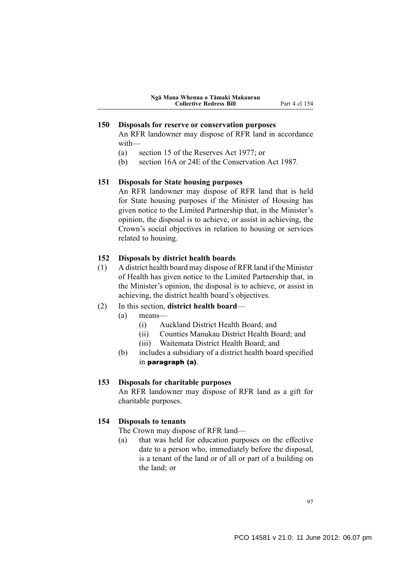### **150 Disposals for reserve or conservation purposes**

An RFR landowner may dispose of RFR land in accordance with—

- (a) section 15 of the Reserves Act 1977; or
- (b) section 16A or 24E of the Conservation Act 1987.

#### **151 Disposals for State housing purposes**

An RFR landowner may dispose of RFR land that is held for State housing purposes if the Minister of Housing has given notice to the Limited Partnership that, in the Minister's opinion, the disposal is to achieve, or assist in achieving, the Crown's social objectives in relation to housing or services related to housing.

#### **152 Disposals by district health boards**

(1) A district health board may dispose of RFR land if the Minister of Health has given notice to the Limited Partnership that, in the Minister's opinion, the disposal is to achieve, or assist in achieving, the district health board's objectives.

#### (2) In this section, **district health board**—

- (a) means—
	- (i) Auckland District Health Board; and
	- (ii) Counties Manukau District Health Board; and
	- (iii) Waitemata District Health Board; and
- (b) includes a subsidiary of a district health board specified in paragraph (a).

### **153 Disposals for charitable purposes**

An RFR landowner may dispose of RFR land as a gift for charitable purposes.

#### **154 Disposals to tenants**

The Crown may dispose of RFR land—

(a) that was held for education purposes on the effective date to a person who, immediately before the disposal, is a tenant of the land or of all or part of a building on the land; or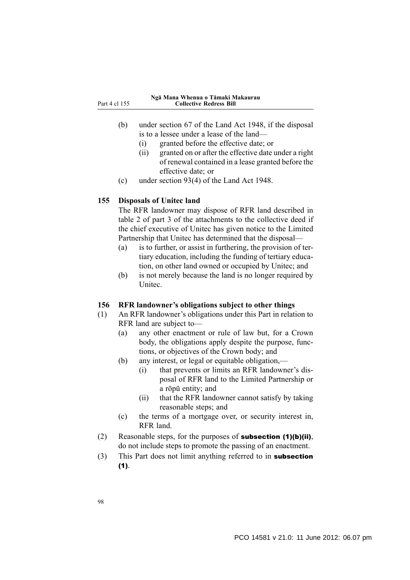| Part 4 cl 155 |  |  |  |  |
|---------------|--|--|--|--|
|---------------|--|--|--|--|

#### **Ngā Mana Whenua o Tāmaki Makaurau Collective Redress Bill**

- (b) under section 67 of the Land Act 1948, if the disposal is to a lessee under a lease of the land—
	- (i) granted before the effective date; or
	- (ii) granted on or after the effective date under a right of renewal contained in a lease granted before the effective date; or
- (c) under section 93(4) of the Land Act 1948.

#### **155 Disposals of Unitec land**

The RFR landowner may dispose of RFR land described in table 2 of part 3 of the attachments to the collective deed if the chief executive of Unitec has given notice to the Limited Partnership that Unitec has determined that the disposal—

- (a) is to further, or assist in furthering, the provision of tertiary education, including the funding of tertiary education, on other land owned or occupied by Unitec; and
- (b) is not merely because the land is no longer required by **Unitec.**

### **156 RFR landowner's obligations subject to other things**

- (1) An RFR landowner's obligations under this Part in relation to RFR land are subject to—
	- (a) any other enactment or rule of law but, for a Crown body, the obligations apply despite the purpose, functions, or objectives of the Crown body; and
	- (b) any interest, or legal or equitable obligation,—
		- (i) that prevents or limits an RFR landowner's disposal of RFR land to the Limited Partnership or a rōpū entity; and
		- (ii) that the RFR landowner cannot satisfy by taking reasonable steps; and
	- (c) the terms of a mortgage over, or security interest in, RFR land.
- (2) Reasonable steps, for the purposes of **subsection (1)(b)(ii)**, do not include steps to promote the passing of an enactment.
- (3) This Part does not limit anything referred to in subsection (1).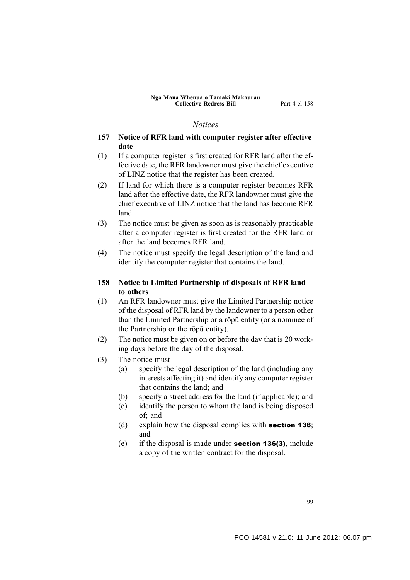#### *Notices*

### **157 Notice of RFR land with computer register after effective date**

- (1) If a computer register is first created for RFR land after the effective date, the RFR landowner must give the chief executive of LINZ notice that the register has been created.
- (2) If land for which there is a computer register becomes RFR land after the effective date, the RFR landowner must give the chief executive of LINZ notice that the land has become RFR land.
- (3) The notice must be given as soon as is reasonably practicable after a computer register is first created for the RFR land or after the land becomes RFR land.
- (4) The notice must specify the legal description of the land and identify the computer register that contains the land.

### **158 Notice to Limited Partnership of disposals of RFR land to others**

- (1) An RFR landowner must give the Limited Partnership notice of the disposal of RFR land by the landowner to a person other than the Limited Partnership or a rōpū entity (or a nominee of the Partnership or the rōpū entity).
- (2) The notice must be given on or before the day that is 20 working days before the day of the disposal.
- (3) The notice must—
	- (a) specify the legal description of the land (including any interests affecting it) and identify any computer register that contains the land; and
	- (b) specify a street address for the land (if applicable); and
	- (c) identify the person to whom the land is being disposed of; and
	- (d) explain how the disposal complies with section 136; and
	- (e) if the disposal is made under section 136(3), include a copy of the written contract for the disposal.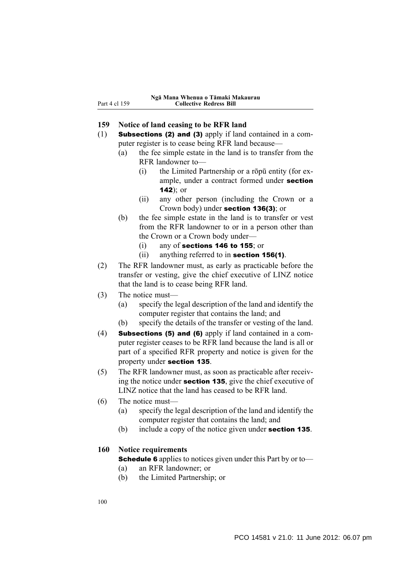### **159 Notice of land ceasing to be RFR land**

- (1) Subsections (2) and (3) apply if land contained in a computer register is to cease being RFR land because—
	- (a) the fee simple estate in the land is to transfer from the RFR landowner to—
		- (i) the Limited Partnership or a rōpū entity (for example, under a contract formed under section  $142$ ); or
		- (ii) any other person (including the Crown or a Crown body) under section 136(3); or
	- (b) the fee simple estate in the land is to transfer or vest from the RFR landowner to or in a person other than the Crown or a Crown body under—
		- (i) any of sections 146 to 155; or
		- (ii) anything referred to in section 156(1).
- (2) The RFR landowner must, as early as practicable before the transfer or vesting, give the chief executive of LINZ notice that the land is to cease being RFR land.
- (3) The notice must—
	- (a) specify the legal description of the land and identify the computer register that contains the land; and
	- (b) specify the details of the transfer or vesting of the land.
- (4) Subsections (5) and (6) apply if land contained in a computer register ceases to be RFR land because the land is all or part of a specified RFR property and notice is given for the property under section 135.
- (5) The RFR landowner must, as soon as practicable after receiving the notice under section 135, give the chief executive of LINZ notice that the land has ceased to be RFR land.
- (6) The notice must—
	- (a) specify the legal description of the land and identify the computer register that contains the land; and
	- (b) include a copy of the notice given under **section 135**.

#### **160 Notice requirements**

Schedule 6 applies to notices given under this Part by or to—

- (a) an RFR landowner; or
- (b) the Limited Partnership; or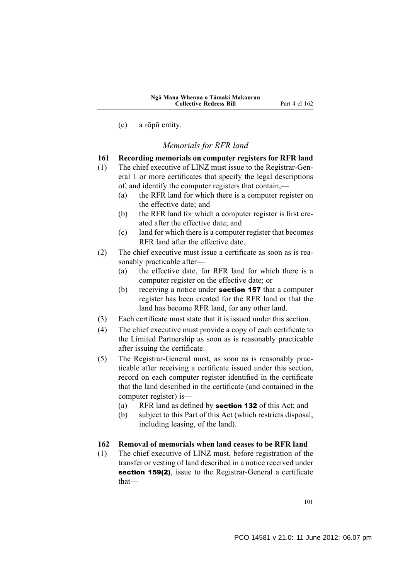(c) a rōpū entity.

### *Memorials for RFR land*

- **161 Recording memorials on computer registers for RFR land**
- (1) The chief executive of LINZ must issue to the Registrar-General 1 or more certificates that specify the legal descriptions of, and identify the computer registers that contain,—
	- (a) the RFR land for which there is a computer register on the effective date; and
	- (b) the RFR land for which a computer register is first created after the effective date; and
	- (c) land for which there is a computer register that becomes RFR land after the effective date.
- (2) The chief executive must issue a certificate as soon as is reasonably practicable after—
	- (a) the effective date, for RFR land for which there is a computer register on the effective date; or
	- (b) receiving a notice under **section 157** that a computer register has been created for the RFR land or that the land has become RFR land, for any other land.
- (3) Each certificate must state that it is issued under this section.
- (4) The chief executive must provide a copy of each certificate to the Limited Partnership as soon as is reasonably practicable after issuing the certificate.
- (5) The Registrar-General must, as soon as is reasonably practicable after receiving a certificate issued under this section, record on each computer register identified in the certificate that the land described in the certificate (and contained in the computer register) is—
	- (a) RFR land as defined by section 132 of this Act; and
	- (b) subject to this Part of this Act (which restricts disposal, including leasing, of the land).

#### **162 Removal of memorials when land ceases to be RFR land**

(1) The chief executive of LINZ must, before registration of the transfer or vesting of land described in a notice received under section 159(2), issue to the Registrar-General a certificate that—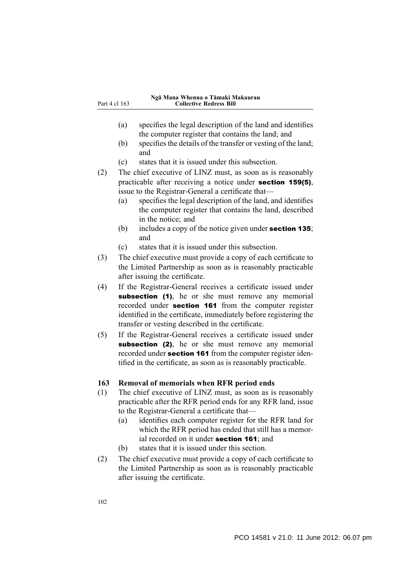- (a) specifies the legal description of the land and identifies the computer register that contains the land; and
- (b) specifies the details of the transfer or vesting of the land; and
- (c) states that it is issued under this subsection.
- (2) The chief executive of LINZ must, as soon as is reasonably practicable after receiving a notice under section 159(5), issue to the Registrar-General a certificate that—
	- (a) specifies the legal description of the land, and identifies the computer register that contains the land, described in the notice; and
	- (b) includes a copy of the notice given under **section 135**; and
	- (c) states that it is issued under this subsection.
- (3) The chief executive must provide a copy of each certificate to the Limited Partnership as soon as is reasonably practicable after issuing the certificate.
- (4) If the Registrar-General receives a certificate issued under subsection (1), he or she must remove any memorial recorded under section 161 from the computer register identified in the certificate, immediately before registering the transfer or vesting described in the certificate.
- (5) If the Registrar-General receives a certificate issued under subsection (2), he or she must remove any memorial recorded under section 161 from the computer register identified in the certificate, as soon as is reasonably practicable.

### **163 Removal of memorials when RFR period ends**

- (1) The chief executive of LINZ must, as soon as is reasonably practicable after the RFR period ends for any RFR land, issue to the Registrar-General a certificate that—
	- (a) identifies each computer register for the RFR land for which the RFR period has ended that still has a memorial recorded on it under section 161; and
	- (b) states that it is issued under this section.
- (2) The chief executive must provide a copy of each certificate to the Limited Partnership as soon as is reasonably practicable after issuing the certificate.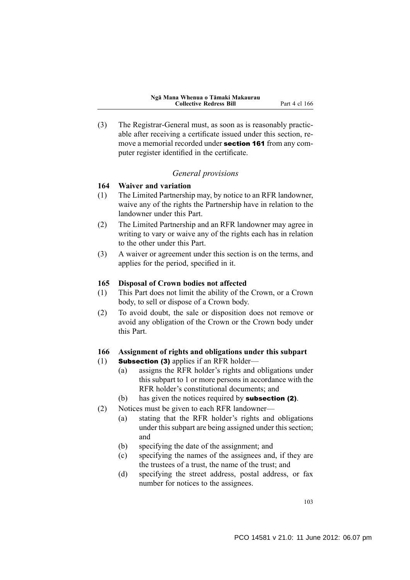(3) The Registrar-General must, as soon as is reasonably practicable after receiving a certificate issued under this section, remove a memorial recorded under **section 161** from any computer register identified in the certificate.

### *General provisions*

### **164 Waiver and variation**

- (1) The Limited Partnership may, by notice to an RFR landowner, waive any of the rights the Partnership have in relation to the landowner under this Part.
- (2) The Limited Partnership and an RFR landowner may agree in writing to vary or waive any of the rights each has in relation to the other under this Part.
- (3) A waiver or agreement under this section is on the terms, and applies for the period, specified in it.

#### **165 Disposal of Crown bodies not affected**

- (1) This Part does not limit the ability of the Crown, or a Crown body, to sell or dispose of a Crown body.
- (2) To avoid doubt, the sale or disposition does not remove or avoid any obligation of the Crown or the Crown body under this Part.

#### **166 Assignment of rights and obligations under this subpart**

- (1) Subsection (3) applies if an RFR holder—
	- (a) assigns the RFR holder's rights and obligations under this subpart to 1 or more persons in accordance with the RFR holder's constitutional documents; and
	- (b) has given the notices required by subsection (2).
- (2) Notices must be given to each RFR landowner—
	- (a) stating that the RFR holder's rights and obligations under this subpart are being assigned under this section; and
	- (b) specifying the date of the assignment; and
	- (c) specifying the names of the assignees and, if they are the trustees of a trust, the name of the trust; and
	- (d) specifying the street address, postal address, or fax number for notices to the assignees.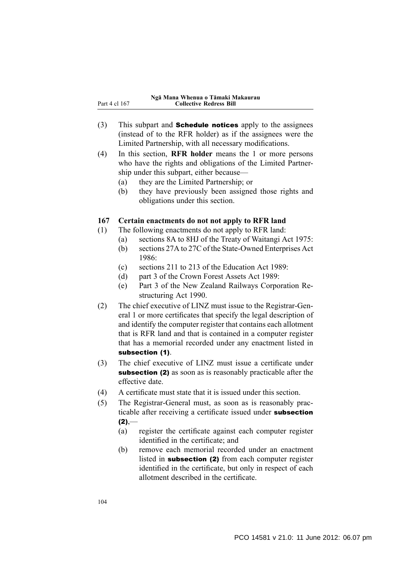- (3) This subpart and **Schedule notices** apply to the assignees (instead of to the RFR holder) as if the assignees were the Limited Partnership, with all necessary modifications.
- (4) In this section, **RFR holder** means the 1 or more persons who have the rights and obligations of the Limited Partnership under this subpart, either because—
	- (a) they are the Limited Partnership; or
	- (b) they have previously been assigned those rights and obligations under this section.

### **167 Certain enactments do not not apply to RFR land**

- (1) The following enactments do not apply to RFR land:
	- (a) sections 8A to 8HJ of the Treaty of Waitangi Act 1975:
	- (b) sections 27A to 27C of the State-Owned Enterprises Act 1986:
	- (c) sections 211 to 213 of the Education Act 1989:
	- (d) part 3 of the Crown Forest Assets Act 1989:
	- (e) Part 3 of the New Zealand Railways Corporation Restructuring Act 1990.
- (2) The chief executive of LINZ must issue to the Registrar-General 1 or more certificates that specify the legal description of and identify the computer register that contains each allotment that is RFR land and that is contained in a computer register that has a memorial recorded under any enactment listed in subsection (1).
- (3) The chief executive of LINZ must issue a certificate under subsection (2) as soon as is reasonably practicable after the effective date.
- (4) A certificate must state that it is issued under this section.
- (5) The Registrar-General must, as soon as is reasonably practicable after receiving a certificate issued under **subsection**  $(2)$ ,—
	- (a) register the certificate against each computer register identified in the certificate; and
	- (b) remove each memorial recorded under an enactment listed in subsection (2) from each computer register identified in the certificate, but only in respect of each allotment described in the certificate.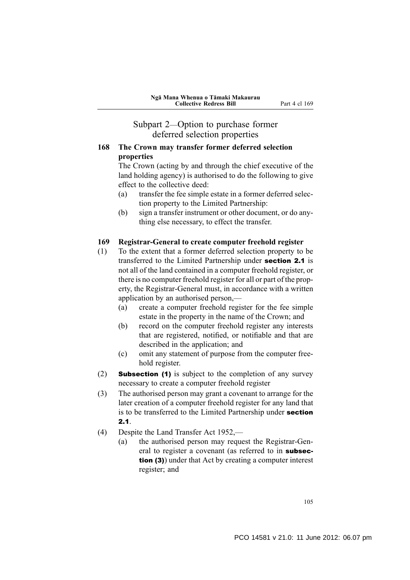# Subpart 2—Option to purchase former deferred selection properties

### **168 The Crown may transfer former deferred selection properties**

The Crown (acting by and through the chief executive of the land holding agency) is authorised to do the following to give effect to the collective deed:

- (a) transfer the fee simple estate in a former deferred selection property to the Limited Partnership:
- (b) sign a transfer instrument or other document, or do anything else necessary, to effect the transfer.

### **169 Registrar-General to create computer freehold register**

- (1) To the extent that a former deferred selection property to be transferred to the Limited Partnership under section 2.1 is not all of the land contained in a computer freehold register, or there is no computer freehold register for all or part of the property, the Registrar-General must, in accordance with a written application by an authorised person,—
	- (a) create a computer freehold register for the fee simple estate in the property in the name of the Crown; and
	- (b) record on the computer freehold register any interests that are registered, notified, or notifiable and that are described in the application; and
	- (c) omit any statement of purpose from the computer freehold register.
- (2) Subsection (1) is subject to the completion of any survey necessary to create a computer freehold register
- (3) The authorised person may grant a covenant to arrange for the later creation of a computer freehold register for any land that is to be transferred to the Limited Partnership under section 2.1.
- (4) Despite the Land Transfer Act 1952,—
	- (a) the authorised person may request the Registrar-General to register a covenant (as referred to in subsection (3)) under that Act by creating a computer interest register; and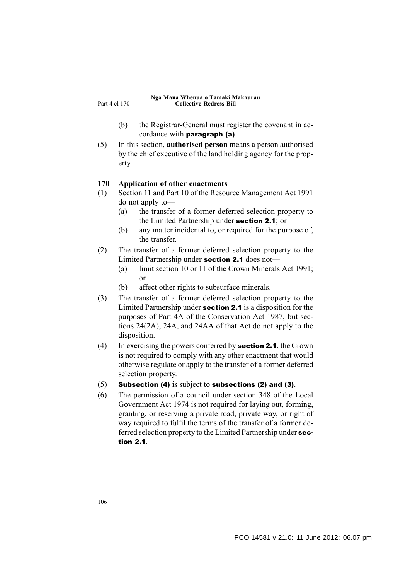- (b) the Registrar-General must register the covenant in accordance with paragraph (a)
- (5) In this section, **authorised person** means a person authorised by the chief executive of the land holding agency for the property.

#### **170 Application of other enactments**

- (1) Section 11 and Part 10 of the Resource Management Act 1991 do not apply to—
	- (a) the transfer of a former deferred selection property to the Limited Partnership under section 2.1; or
	- (b) any matter incidental to, or required for the purpose of, the transfer.
- (2) The transfer of a former deferred selection property to the Limited Partnership under section 2.1 does not—
	- (a) limit section 10 or 11 of the Crown Minerals Act 1991; or
	- (b) affect other rights to subsurface minerals.
- (3) The transfer of a former deferred selection property to the Limited Partnership under section 2.1 is a disposition for the purposes of Part 4A of the Conservation Act 1987, but sections 24(2A), 24A, and 24AA of that Act do not apply to the disposition.
- (4) In exercising the powers conferred by **section 2.1**, the Crown is not required to comply with any other enactment that would otherwise regulate or apply to the transfer of a former deferred selection property.
- (5) Subsection (4) is subject to subsections (2) and (3).
- (6) The permission of a council under section 348 of the Local Government Act 1974 is not required for laying out, forming, granting, or reserving a private road, private way, or right of way required to fulfil the terms of the transfer of a former deferred selection property to the Limited Partnership under section 2.1.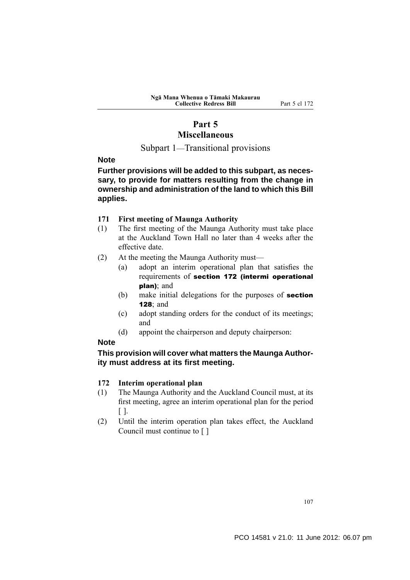## **Part 5**

## **Miscellaneous**

Subpart 1—Transitional provisions

#### **Note**

**Further provisions will be added to this subpart, as necessary, to provide for matters resulting from the change in ownership and administration of the land to which this Bill applies.**

#### **171 First meeting of Maunga Authority**

- (1) The first meeting of the Maunga Authority must take place at the Auckland Town Hall no later than 4 weeks after the effective date.
- (2) At the meeting the Maunga Authority must—
	- (a) adopt an interim operational plan that satisfies the requirements of section 172 (intermi operational plan); and
	- (b) make initial delegations for the purposes of **section** 128; and
	- (c) adopt standing orders for the conduct of its meetings; and
	- (d) appoint the chairperson and deputy chairperson:

## **Note**

#### **This provision will cover what matters the Maunga Authority must address at its first meeting.**

#### **172 Interim operational plan**

- (1) The Maunga Authority and the Auckland Council must, at its first meeting, agree an interim operational plan for the period  $\lceil \cdot \rceil$ .
- (2) Until the interim operation plan takes effect, the Auckland Council must continue to [ ]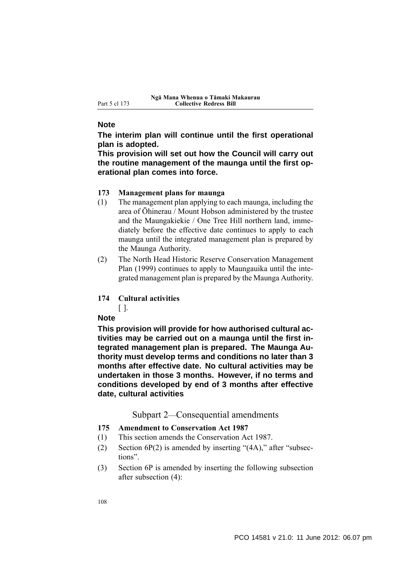#### **Note**

**The interim plan will continue until the first operational plan is adopted.**

**This provision will set out how the Council will carry out the routine management of the maunga until the first operational plan comes into force.**

#### **173 Management plans for maunga**

- (1) The management plan applying to each maunga, including the area of Ōhinerau / Mount Hobson administered by the trustee and the Maungakiekie / One Tree Hill northern land, immediately before the effective date continues to apply to each maunga until the integrated management plan is prepared by the Maunga Authority.
- (2) The North Head Historic Reserve Conservation Management Plan (1999) continues to apply to Maungauika until the integrated management plan is prepared by the Maunga Authority.

## **174 Cultural activities**

 $\lceil$   $\rceil$ .

#### **Note**

**This provision will provide for how authorised cultural activities may be carried out on a maunga until the first integrated management plan is prepared. The Maunga Authority must develop terms and conditions no later than 3 months after effective date. No cultural activities may be undertaken in those 3 months. However, if no terms and conditions developed by end of 3 months after effective date, cultural activities**

Subpart 2—Consequential amendments

- **175 Amendment to Conservation Act 1987**
- (1) This section amends the Conservation Act 1987.
- (2) Section  $6P(2)$  is amended by inserting " $(4A)$ ," after "subsections".
- (3) Section 6P is amended by inserting the following subsection after subsection (4):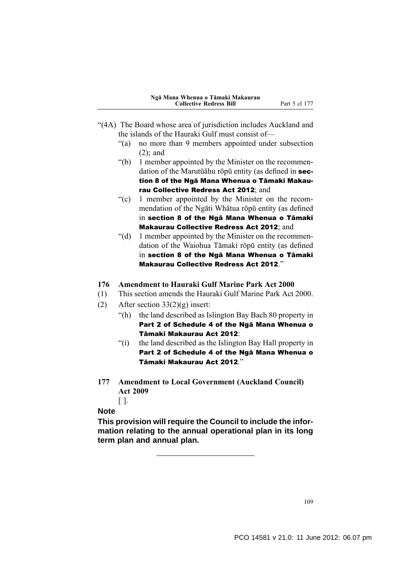- "(4A) The Board whose area of jurisdiction includes Auckland and the islands of the Hauraki Gulf must consist of—
	- "(a) no more than 9 members appointed under subsection (2); and
	- "(b) 1 member appointed by the Minister on the recommendation of the Marutūāhu rōpū entity (as defined in section 8 of the Ngā Mana Whenua o Tāmaki Makaurau Collective Redress Act 2012; and
	- "(c) 1 member appointed by the Minister on the recommendation of the Ngāti Whātua rōpū entity (as defined in section 8 of the Ngā Mana Whenua o Tāmaki Makaurau Collective Redress Act 2012; and
	- "(d) 1 member appointed by the Minister on the recommendation of the Waiohua Tāmaki rōpū entity (as defined in section 8 of the Ngā Mana Whenua o Tāmaki Makaurau Collective Redress Act 2012."

#### **176 Amendment to Hauraki Gulf Marine Park Act 2000**

- (1) This section amends the Hauraki Gulf Marine Park Act 2000.
- (2) After section  $33(2)(g)$  insert:
	- "(h) the land described as Islington Bay Bach 80 property in Part 2 of Schedule 4 of the Ngā Mana Whenua o Tāmaki Makaurau Act 2012:
	- "(i) the land described as the Islington Bay Hall property in Part 2 of Schedule 4 of the Ngā Mana Whenua o Tāmaki Makaurau Act 2012."
- **177 Amendment to Local Government (Auckland Council) Act 2009**

 $\lceil \cdot \rceil$ .

## **Note**

**This provision will require the Council to include the information relating to the annual operational plan in its long term plan and annual plan.**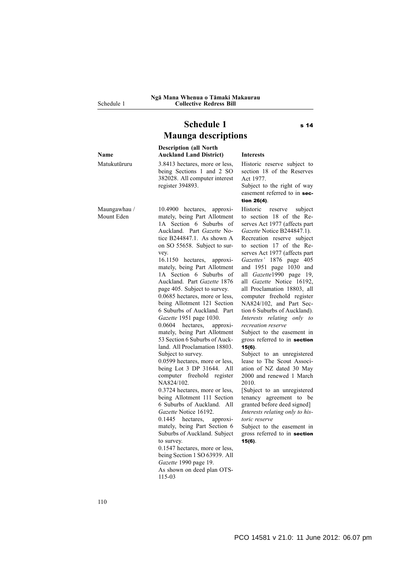Schedule 1

## **Schedule 1** s 14 **Maunga descriptions**

**Name Description (all North Auckland Land District) Interests** Matukutūruru 3.8413 hectares, more or less, being Sections 1 and 2 SO 382028. All computer interest register 394893. Historic reserve subject to section 18 of the Reserves Act 1977. Subject to the right of way easement referred to in section 26(4). Maungawhau / Mount Eden 10.4900 hectares, approximately, being Part Allotment 1A Section 6 Suburbs of Auckland. Part *Gazette* Notice B244847.1. As shown A on SO 55658. Subject to survey. 16.1150 hectares, approximately, being Part Allotment 1A Section 6 Suburbs of Auckland. Part *Gazette* 1876 page 405. Subject to survey. 0.0685 hectares, more or less, being Allotment 121 Section 6 Suburbs of Auckland. Part *Gazette* 1951 page 1030. 0.0604 hectares, approximately, being Part Allotment 53 Section 6 Suburbs of Auckland. All Proclamation 18803. Subject to survey. 0.0599 hectares, more or less, being Lot 3 DP 31644. All computer freehold register NA824/102. 0.3724 hectares, more or less, being Allotment 111 Section 6 Suburbs of Auckland. All *Gazette* Notice 16192. 0.1445 hectares, approximately, being Part Section 6 Suburbs of Auckland. Subject to survey. 0.1547 hectares, more or less, being Section 1 SO 63939. All *Gazette* 1990 page 19. As shown on deed plan OTS-115-03 Historic reserve subject to section 18 of the Reserves Act 1977 (affects part *Gazette* Notice B244847.1). Recreation reserve subject to section 17 of the Reserves Act 1977 (affects part *Gazettes'* 1876 page 405 and 1951 page 1030 and all *Gazette*1990 page 19, all *Gazette* Notice 16192, all Proclamation 18803, all computer freehold register NA824/102, and Part Section 6 Suburbs of Auckland). *Interests relating only to recreation reserve* Subject to the easement in gross referred to in section 15(6). Subject to an unregistered lease to The Scout Association of NZ dated 30 May 2000 and renewed 1 March 2010. [Subject to an unregistered tenancy agreement to be granted before deed signed] *Interests relating only to historic reserve* Subject to the easement in gross referred to in section 15(6).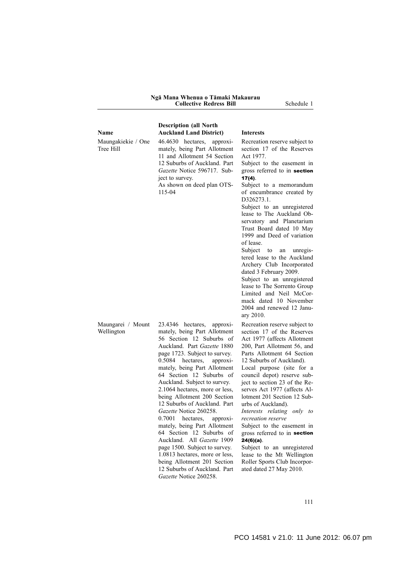#### **Ngā Mana Whenua o Tāmaki Makaurau Collective Redress Bill** Schedule 1

| <b>Description (all North</b>                                                                                                                                                                                       |                                                                                                                                                                                                                                                                                                                                                                                                                                                          |
|---------------------------------------------------------------------------------------------------------------------------------------------------------------------------------------------------------------------|----------------------------------------------------------------------------------------------------------------------------------------------------------------------------------------------------------------------------------------------------------------------------------------------------------------------------------------------------------------------------------------------------------------------------------------------------------|
| <b>Auckland Land District)</b>                                                                                                                                                                                      | <b>Interests</b>                                                                                                                                                                                                                                                                                                                                                                                                                                         |
| 46.4630 hectares, approxi-<br>mately, being Part Allotment<br>11 and Allotment 54 Section<br>12 Suburbs of Auckland. Part<br>Gazette Notice 596717. Sub-<br>ject to survey.<br>As shown on deed plan OTS-<br>115-04 | Recreation reserve subject to<br>section 17 of the Reserves<br>Act 1977.<br>Subject to the easement in<br>gross referred to in <b>section</b><br>$17(4)$ .<br>Subject to a memorandum<br>of encumbrance created by<br>D326273.1.<br>Subject to an unregistered<br>lease to The Auckland Ob-<br>servatory and Planetarium<br>Trust Board dated 10 May<br>1999 and Deed of variation<br>of lease.<br>Subject to an unregis-<br>tered lease to the Auckland |
|                                                                                                                                                                                                                     | Archery Club Incorporated                                                                                                                                                                                                                                                                                                                                                                                                                                |

Maungarei / Mount Wellington

**Name**

Tree Hill

Maungakiekie / One

23.4346 hectares, approximately, being Part Allotment 56 Section 12 Suburbs of Auckland. Part *Gazette* 1880 page 1723. Subject to survey. 0.5084 hectares, approximately, being Part Allotment 64 Section 12 Suburbs of Auckland. Subject to survey. 2.1064 hectares, more or less, being Allotment 200 Section 12 Suburbs of Auckland. Part *Gazette* Notice 260258. 0.7001 hectares, approximately, being Part Allotment 64 Section 12 Suburbs of Auckland. All *Gazette* 1909 page 1500. Subject to survey. 1.0813 hectares, more or less, being Allotment 201 Section 12 Suburbs of Auckland. Part *Gazette* Notice 260258.

tered lease to the Auckland Archery Club Incorporated dated 3 February 2009.

Subject to an unregistered lease to The Sorrento Group Limited and Neil McCormack dated 10 November 2004 and renewed 12 January 2010.

Recreation reserve subject to section 17 of the Reserves Act 1977 (affects Allotment 200, Part Allotment 56, and Parts Allotment 64 Section 12 Suburbs of Auckland).

Local purpose (site for a council depot) reserve subject to section 23 of the Reserves Act 1977 (affects Allotment 201 Section 12 Suburbs of Auckland).

*Interests relating only to recreation reserve*

Subject to the easement in gross referred to in section 24(6)(a).

Subject to an unregistered lease to the Mt Wellington Roller Sports Club Incorporated dated 27 May 2010.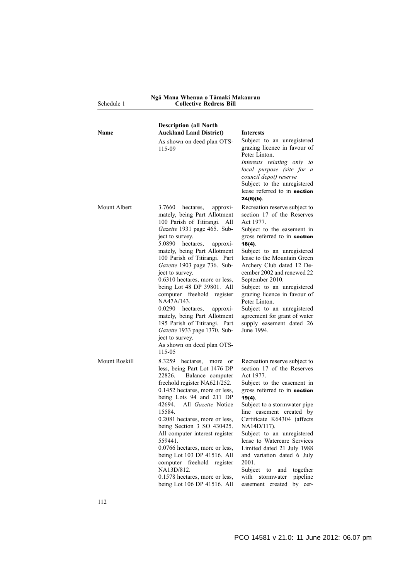| Schedule 1    | <b>Collective Redress Bill</b>                                                                                                                                                                                                                                                                                                                                                                                                                                                                                                                                                                                     |                                                                                                                                                                                                                                                                                                                                                                                                                                                                                                      |
|---------------|--------------------------------------------------------------------------------------------------------------------------------------------------------------------------------------------------------------------------------------------------------------------------------------------------------------------------------------------------------------------------------------------------------------------------------------------------------------------------------------------------------------------------------------------------------------------------------------------------------------------|------------------------------------------------------------------------------------------------------------------------------------------------------------------------------------------------------------------------------------------------------------------------------------------------------------------------------------------------------------------------------------------------------------------------------------------------------------------------------------------------------|
| Name          | <b>Description (all North</b><br><b>Auckland Land District)</b>                                                                                                                                                                                                                                                                                                                                                                                                                                                                                                                                                    | <b>Interests</b>                                                                                                                                                                                                                                                                                                                                                                                                                                                                                     |
|               | As shown on deed plan OTS-<br>115-09                                                                                                                                                                                                                                                                                                                                                                                                                                                                                                                                                                               | Subject to an unregistered<br>grazing licence in favour of<br>Peter Linton.<br>Interests relating only to<br>local purpose (site for a<br>council depot) reserve<br>Subject to the unregistered<br>lease referred to in section<br>$24(6)(b)$ .                                                                                                                                                                                                                                                      |
| Mount Albert  | 3.7660<br>hectares,<br>approxi-<br>mately, being Part Allotment<br>100 Parish of Titirangi. All<br>Gazette 1931 page 465. Sub-<br>ject to survey.<br>5.0890<br>hectares,<br>approxi-<br>mately, being Part Allotment<br>100 Parish of Titirangi. Part<br>Gazette 1903 page 736. Sub-<br>ject to survey.<br>0.6310 hectares, more or less,<br>being Lot 48 DP 39801. All<br>computer freehold register<br>NA47A/143.<br>0.0290<br>hectares,<br>approxi-<br>mately, being Part Allotment<br>195 Parish of Titirangi. Part<br>Gazette 1933 page 1370. Sub-<br>ject to survey.<br>As shown on deed plan OTS-<br>115-05 | Recreation reserve subject to<br>section 17 of the Reserves<br>Act 1977.<br>Subject to the easement in<br>gross referred to in section<br>$18(4)$ .<br>Subject to an unregistered<br>lease to the Mountain Green<br>Archery Club dated 12 De-<br>cember 2002 and renewed 22<br>September 2010.<br>Subject to an unregistered<br>grazing licence in favour of<br>Peter Linton.<br>Subject to an unregistered<br>agreement for grant of water<br>supply easement dated 26<br>June 1994.                |
| Mount Roskill | 8.3259 hectares, more or<br>less, being Part Lot 1476 DP<br>22826.<br>Balance computer<br>freehold register NA621/252.<br>0.1452 hectares, more or less,<br>being Lots 94 and 211 DP<br>42694. All Gazette Notice<br>15584.<br>0.2081 hectares, more or less,<br>being Section 3 SO 430425.<br>All computer interest register<br>559441.<br>0.0766 hectares, more or less,<br>being Lot 103 DP 41516. All<br>computer freehold register<br>NA13D/812.<br>0.1578 hectares, more or less,<br>being Lot 106 DP 41516. All                                                                                             | Recreation reserve subject to<br>section 17 of the Reserves<br>Act 1977.<br>Subject to the easement in<br>gross referred to in section<br>$19(4)$ .<br>Subject to a stormwater pipe<br>line easement created by<br>Certificate K64304 (affects<br>NA14D/117).<br>Subject to an unregistered<br>lease to Watercare Services<br>Limited dated 21 July 1988<br>and variation dated 6 July<br>2001.<br>Subject<br>to<br>and<br>together<br>with<br>stormwater<br>pipeline<br>easement created<br>by cer- |

**Ngā Mana Whenua o Tāmaki Makaurau**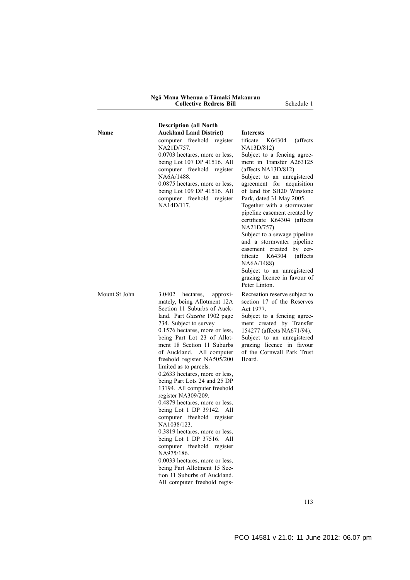| <b>Description (all North</b> |                                                                                                                                                                                                                                                                                                                                                                                                                                                                                                                                                                                                                                                                                                                                                                                                                                 |                                                                                                                                                                                                                                                                                                                                                                                                                                                                                                                                                                                               |
|-------------------------------|---------------------------------------------------------------------------------------------------------------------------------------------------------------------------------------------------------------------------------------------------------------------------------------------------------------------------------------------------------------------------------------------------------------------------------------------------------------------------------------------------------------------------------------------------------------------------------------------------------------------------------------------------------------------------------------------------------------------------------------------------------------------------------------------------------------------------------|-----------------------------------------------------------------------------------------------------------------------------------------------------------------------------------------------------------------------------------------------------------------------------------------------------------------------------------------------------------------------------------------------------------------------------------------------------------------------------------------------------------------------------------------------------------------------------------------------|
| Name                          | <b>Auckland Land District)</b>                                                                                                                                                                                                                                                                                                                                                                                                                                                                                                                                                                                                                                                                                                                                                                                                  | <b>Interests</b>                                                                                                                                                                                                                                                                                                                                                                                                                                                                                                                                                                              |
|                               | computer freehold register<br>NA21D/757.<br>0.0703 hectares, more or less,<br>being Lot 107 DP 41516. All<br>computer freehold register<br>NA6A/1488.<br>0.0875 hectares, more or less,<br>being Lot 109 DP 41516. All<br>computer freehold register<br>NA14D/117.                                                                                                                                                                                                                                                                                                                                                                                                                                                                                                                                                              | (affects)<br>tificate<br>K64304<br>NA13D/812)<br>Subject to a fencing agree-<br>ment in Transfer A263125<br>(affects $NA13D/812$ ).<br>Subject to an unregistered<br>agreement for acquisition<br>of land for SH20 Winstone<br>Park, dated 31 May 2005.<br>Together with a stormwater<br>pipeline easement created by<br>certificate K64304 (affects<br>NA21D/757).<br>Subject to a sewage pipeline<br>and a stormwater pipeline<br>easement created by cer-<br>K64304<br>(affects)<br>tificate<br>NA6A/1488).<br>Subject to an unregistered<br>grazing licence in favour of<br>Peter Linton. |
| Mount St John                 | 3.0402<br>hectares.<br>approxi-<br>mately, being Allotment 12A<br>Section 11 Suburbs of Auck-<br>land. Part Gazette 1902 page<br>734. Subject to survey.<br>0.1576 hectares, more or less,<br>being Part Lot 23 of Allot-<br>ment 18 Section 11 Suburbs<br>of Auckland. All computer<br>freehold register NA505/200<br>limited as to parcels.<br>0.2633 hectares, more or less,<br>being Part Lots 24 and 25 DP<br>13194. All computer freehold<br>register NA309/209.<br>0.4879 hectares, more or less,<br>being Lot 1 DP 39142. All<br>computer freehold register<br>NA1038/123.<br>0.3819 hectares, more or less,<br>being Lot 1 DP 37516. All<br>computer freehold register<br>NA975/186.<br>0.0033 hectares, more or less,<br>being Part Allotment 15 Sec-<br>tion 11 Suburbs of Auckland.<br>All computer freehold regis- | Recreation reserve subject to<br>section 17 of the Reserves<br>Act 1977.<br>Subject to a fencing agree-<br>ment created by Transfer<br>154277 (affects NA671/94).<br>Subject to an unregistered<br>grazing licence in favour<br>of the Cornwall Park Trust<br>Board.                                                                                                                                                                                                                                                                                                                          |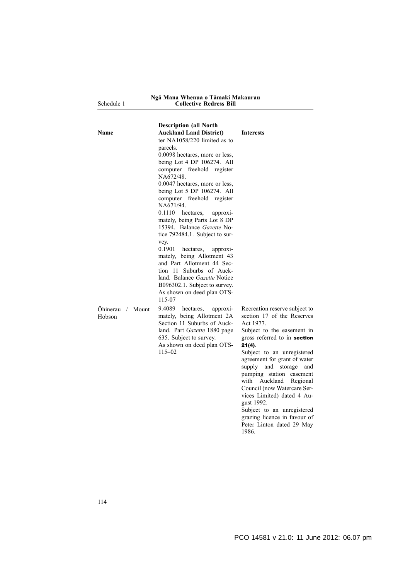| Ngā Mana Whenua o Tāmaki Makaurau |
|-----------------------------------|
| <b>Collective Redress Bill</b>    |

Schedule

| Name                       | <b>Description (all North</b><br><b>Auckland Land District)</b><br>ter $NA1058/220$ limited as to<br>parcels.<br>0.0098 hectares, more or less,<br>being Lot 4 DP 106274. All<br>computer freehold register<br>NA672/48.<br>0.0047 hectares, more or less,<br>being Lot 5 DP 106274. All<br>computer freehold register<br>NA671/94.<br>0.1110<br>hectares,<br>approxi-<br>mately, being Parts Lot 8 DP<br>15394. Balance Gazette No-<br>tice 792484.1. Subject to sur-<br>vey.<br>0.1901<br>hectares,<br>approxi-<br>mately, being Allotment 43<br>and Part Allotment 44 Sec-<br>tion 11 Suburbs of Auck-<br>land. Balance Gazette Notice<br>B096302.1. Subject to survey.<br>As shown on deed plan OTS-<br>115-07 | <b>Interests</b>                                                                                                                                                                                                                                                                                                                                                                                     |
|----------------------------|--------------------------------------------------------------------------------------------------------------------------------------------------------------------------------------------------------------------------------------------------------------------------------------------------------------------------------------------------------------------------------------------------------------------------------------------------------------------------------------------------------------------------------------------------------------------------------------------------------------------------------------------------------------------------------------------------------------------|------------------------------------------------------------------------------------------------------------------------------------------------------------------------------------------------------------------------------------------------------------------------------------------------------------------------------------------------------------------------------------------------------|
| Ohinerau / Mount<br>Hobson | 9.4089<br>hectares,<br>approxi-<br>mately, being Allotment 2A<br>Section 11 Suburbs of Auck-<br>land. Part Gazette 1880 page<br>635. Subject to survey.<br>As shown on deed plan OTS-<br>$115 - 02$                                                                                                                                                                                                                                                                                                                                                                                                                                                                                                                | Recreation reserve subject to<br>section 17 of the Reserves<br>Act 1977.<br>Subject to the easement in<br>gross referred to in section<br>$21(4)$ .<br>Subject to an unregistered<br>agreement for grant of water<br>supply and storage<br>and<br>pumping station easement<br>with<br>Auckland<br>Regional<br>Council (now Watercare Ser-<br>vices Limited) dated 4 Au-<br>gust 1992.<br>0.11<br>. 1 |

Subject to an unregistered grazing licence in favour of Peter Linton dated 29 May 1986.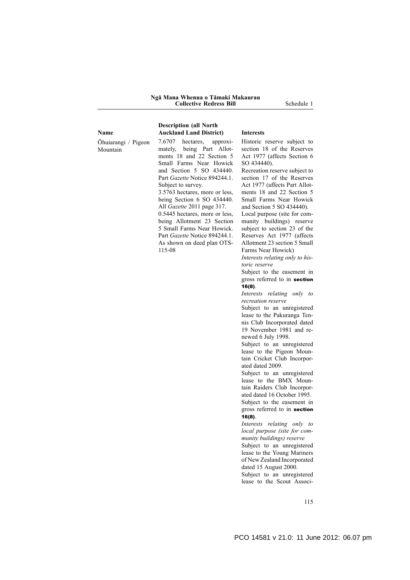#### **Ngā Mana Whenua o Tāmaki Makaurau Collective Redress Bill** Schedule 1

**Description (all North**

| <b>Name</b>                     | <b>Auckland Land District)</b>                                                                                                                                                                                                                                                                                                                                              | <b>Interests</b>                                                                                                                                                                                                                                                                                                                                                                                                       |
|---------------------------------|-----------------------------------------------------------------------------------------------------------------------------------------------------------------------------------------------------------------------------------------------------------------------------------------------------------------------------------------------------------------------------|------------------------------------------------------------------------------------------------------------------------------------------------------------------------------------------------------------------------------------------------------------------------------------------------------------------------------------------------------------------------------------------------------------------------|
| Ohuiarangi / Pigeon<br>Mountain | 7.6707 hectares, approxi-<br>being Part Allot-<br>mately,<br>ments 18 and 22 Section 5<br>Small Farms Near Howick                                                                                                                                                                                                                                                           | Historic reserve subject to<br>section 18 of the Reserves<br>Act 1977 (affects Section 6<br>SO 434440).                                                                                                                                                                                                                                                                                                                |
|                                 | and Section 5 SO 434440.<br>Part <i>Gazette</i> Notice 894244.1.<br>Subject to survey.<br>3.5763 hectares, more or less,<br>being Section $6$ SO 434440.<br>All <i>Gazette</i> 2011 page 317.<br>0.5445 hectares, more or less,<br>being Allotment 23 Section<br>5 Small Farms Near Howick.<br>Part <i>Gazette</i> Notice 894244.1.<br>As shown on deed plan OTS-<br>115-08 | Recreation reserve subject to<br>section 17 of the Reserves<br>Act 1977 (affects Part Allot-<br>ments 18 and 22 Section 5<br>Small Farms Near Howick<br>and Section 5 SO 434440).<br>Local purpose (site for com-<br>munity buildings) reserve<br>subject to section 23 of the<br>Reserves Act 1977 (affects<br>Allotment 23 section 5 Small<br>Farms Near Howick)<br>Interests relating only to his-<br>toric reserve |

Subject to the easement in gross referred to in **section** 16(8).

*Interests relating only to recreation reserve*

Subject to an unregistered lease to the Pakuranga Tennis Club Incorporated dated 19 November 1981 and renewed 6 July 1998.

Subject to an unregistered lease to the Pigeon Mountain Cricket Club Incorporated dated 2009.

Subject to an unregistered lease to the BMX Mountain Raiders Club Incorporated dated 16 October 1995. Subject to the easement in

gross referred to in section 16(8).

*Interests relating only to local purpose (site for community buildings) reserve*

Subject to an unregistered lease to the Young Mariners of New Zealand Incorporated dated 15 August 2000.

Subject to an unregistered lease to the Scout Associ-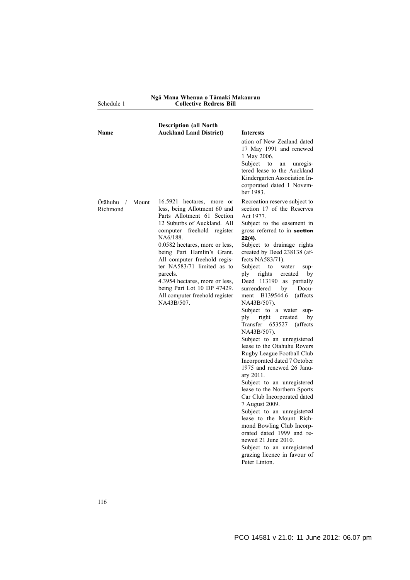Schedule 1

#### **Ngā Mana Whenua o Tāmaki Makaurau Collective Redress Bill**

| Name                                              | <b>Description (all North</b><br><b>Auckland Land District)</b>                                                                                                                                                                                                                                                                                                                                                             | <b>Interests</b><br>ation of New Zealand dated<br>17 May 1991 and renewed<br>1 May 2006.<br>Subject<br>to<br>unregis-<br>an<br>tered lease to the Auckland<br>Kindergarten Association In-<br>corporated dated 1 Novem-<br>ber 1983.                                                                                                                                                                                                                                                                                                                                                                                                                                                                                                                                                                                                                                                                                                                                                                                                         |
|---------------------------------------------------|-----------------------------------------------------------------------------------------------------------------------------------------------------------------------------------------------------------------------------------------------------------------------------------------------------------------------------------------------------------------------------------------------------------------------------|----------------------------------------------------------------------------------------------------------------------------------------------------------------------------------------------------------------------------------------------------------------------------------------------------------------------------------------------------------------------------------------------------------------------------------------------------------------------------------------------------------------------------------------------------------------------------------------------------------------------------------------------------------------------------------------------------------------------------------------------------------------------------------------------------------------------------------------------------------------------------------------------------------------------------------------------------------------------------------------------------------------------------------------------|
| <b>Otāhuhu</b><br>Mount<br>$\sqrt{2}$<br>Richmond | 16.5921 hectares, more or<br>less, being Allotment 60 and<br>Parts Allotment 61 Section<br>12 Suburbs of Auckland. All<br>computer freehold register<br>NA6/188.<br>0.0582 hectares, more or less,<br>being Part Hamlin's Grant.<br>All computer freehold regis-<br>ter NA583/71 limited as to<br>parcels.<br>4.3954 hectares, more or less,<br>being Part Lot 10 DP 47429.<br>All computer freehold register<br>NA43B/507. | Recreation reserve subject to<br>section 17 of the Reserves<br>Act 1977.<br>Subject to the easement in<br>gross referred to in section<br>$22(4)$ .<br>Subject to drainage rights<br>created by Deed 238138 (af-<br>fects NA583/71).<br>Subject<br>to<br>water<br>sup-<br>ply<br>rights<br>created<br>by<br>Deed 113190 as partially<br>surrendered<br>Docu-<br>by<br>ment B139544.6<br>(affects)<br>NA43B/507).<br>Subject to a water sup-<br>ply<br>right<br>by<br>created<br>Transfer<br>653527<br>(affects)<br>NA43B/507).<br>Subject to an unregistered<br>lease to the Otahuhu Rovers<br>Rugby League Football Club<br>Incorporated dated 7 October<br>1975 and renewed 26 Janu-<br>ary 2011.<br>Subject to an unregistered<br>lease to the Northern Sports<br>Car Club Incorporated dated<br>7 August 2009.<br>Subject to an unregistered<br>lease to the Mount Rich-<br>mond Bowling Club Incorp-<br>orated dated 1999 and re-<br>newed 21 June 2010.<br>Subject to an unregistered<br>grazing licence in favour of<br>Peter Linton. |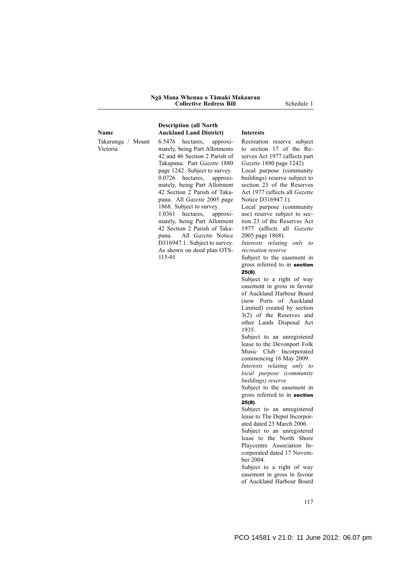#### **Ngā Mana Whenua o Tāmaki Makaurau Collective Redress Bill** Schedule 1

**Name** Takarunga / Mount Victoria

**Description (all North Auckland Land District) Interests**

6.5476 hectares, approximately, being Part Allotments 42 and 46 Section 2 Parish of Takapuna. Part *Gazette* 1880 page 1242. Subject to survey. 0.0726 hectares, approximately, being Part Allotment 42 Section 2 Parish of Takapuna. All *Gazette* 2005 page 1868. Subject to survey. 1.0361 hectares, approximately, being Part Allotment 42 Section 2 Parish of Takapuna. All *Gazette* Notice D316947.1. Subject to survey. As shown on deed plan OTS-

115-01

Recreation reserve subject to section 17 of the Reserves Act 1977 (affects part *Gazette* 1880 page 1242)

Local purpose (community buildings) reserve subject to section 23 of the Reserves Act 1977 (affects all *Gazette* Notice D316947.1).

Local purpose (community use) reserve subject to section 23 of the Reserves Act 1977 (affects all *Gazette* 2005 page 1868).

*Interests relating only to recreation reserve*

Subject to the easement in gross referred to in section 25(8).

Subject to a right of way easement in gross in favour of Auckland Harbour Board (now Ports of Auckland Limited) created by section 3(2) of the Reserves and other Lands Disposal Act 1935.

Subject to an unregistered lease to the Devonport Folk Music Club Incorporated commencing 16 May 2009. *Interests relating only to*

*local purpose (community buildings) reserve*

Subject to the easement in gross referred to in section  $25(8)$ .

Subject to an unregistered lease to The Depot Incorporated dated 23 March 2006.

Subject to an unregistered lease to the North Shore Playcentre Association Incorporated dated 17 November 2004.

Subject to a right of way easement in gross in favour of Auckland Harbour Board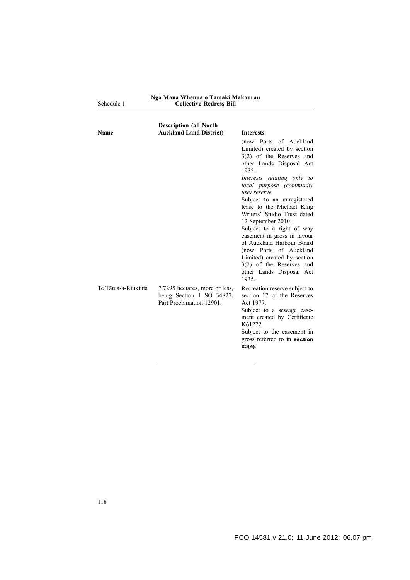| Ngā Mana Whenua o Tāmaki Makaurau |                                |  |
|-----------------------------------|--------------------------------|--|
|                                   | <b>Collective Redress Bill</b> |  |

Schedule 1

| Name                | <b>Description (all North</b><br><b>Auckland Land District)</b>                         | <b>Interests</b><br>(now Ports of Auckland<br>Limited) created by section<br>$3(2)$ of the Reserves and<br>other Lands Disposal Act<br>1935<br>Interests relating only to<br>local purpose (community<br>use) reserve<br>Subject to an unregistered<br>lease to the Michael King<br>Writers' Studio Trust dated<br>12 September 2010.<br>Subject to a right of way<br>easement in gross in favour<br>of Auckland Harbour Board<br>(now Ports of Auckland<br>Limited) created by section<br>$3(2)$ of the Reserves and<br>other Lands Disposal Act<br>1935. |
|---------------------|-----------------------------------------------------------------------------------------|------------------------------------------------------------------------------------------------------------------------------------------------------------------------------------------------------------------------------------------------------------------------------------------------------------------------------------------------------------------------------------------------------------------------------------------------------------------------------------------------------------------------------------------------------------|
| Te Tātua-a-Riukiuta | 7.7295 hectares, more or less,<br>being Section 1 SO 34827.<br>Part Proclamation 12901. | Recreation reserve subject to<br>section 17 of the Reserves<br>Act 1977.<br>Subject to a sewage ease-<br>ment created by Certificate<br>K61272.<br>Subject to the easement in<br>gross referred to in section<br>$23(4)$ .                                                                                                                                                                                                                                                                                                                                 |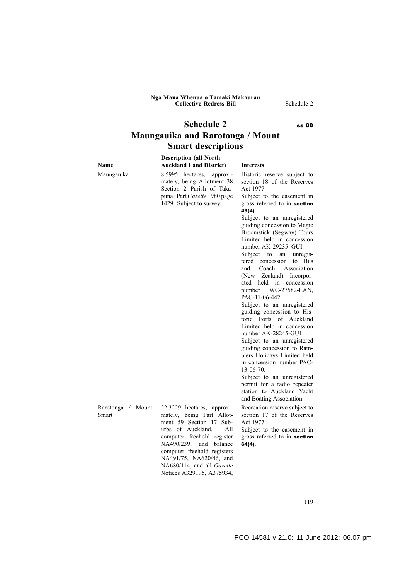#### **Ngā Mana Whenua o Tāmaki Makaurau Collective Redress Bill** Schedule 2

# **Schedule 2** ss 00 **Maungauika and Rarotonga / Mount Smart descriptions**

|                            | <b>Description (all North</b>                                                                                                                                                                                                                                                               |                                                                                                                                                                                                                                                                                                                                                                                                                                                                                                                                                                                                                                                                                                                                                                                                                                            |
|----------------------------|---------------------------------------------------------------------------------------------------------------------------------------------------------------------------------------------------------------------------------------------------------------------------------------------|--------------------------------------------------------------------------------------------------------------------------------------------------------------------------------------------------------------------------------------------------------------------------------------------------------------------------------------------------------------------------------------------------------------------------------------------------------------------------------------------------------------------------------------------------------------------------------------------------------------------------------------------------------------------------------------------------------------------------------------------------------------------------------------------------------------------------------------------|
| Name                       | <b>Auckland Land District)</b>                                                                                                                                                                                                                                                              | <b>Interests</b>                                                                                                                                                                                                                                                                                                                                                                                                                                                                                                                                                                                                                                                                                                                                                                                                                           |
| Maungauika                 | 8.5995 hectares,<br>approxi-<br>mately, being Allotment 38<br>Section 2 Parish of Taka-<br>puna. Part Gazette 1980 page<br>1429. Subject to survey.                                                                                                                                         | Historic reserve subject to<br>section 18 of the Reserves<br>Act 1977.<br>Subject to the easement in<br>gross referred to in section<br>49(4).<br>Subject to an unregistered<br>guiding concession to Magic<br>Broomstick (Segway) Tours<br>Limited held in concession<br>number AK-29235-GUI.<br>Subject to an<br>unregis-<br>tered concession<br>to Bus<br>Coach<br>Association<br>and<br>(New Zealand) Incorpor-<br>ated held in concession<br>WC-27582-LAN,<br>number<br>PAC-11-06-442.<br>Subject to an unregistered<br>guiding concession to His-<br>toric Forts of Auckland<br>Limited held in concession<br>number AK-28245-GUI.<br>Subject to an unregistered<br>guiding concession to Ram-<br>blers Holidays Limited held<br>in concession number PAC-<br>13-06-70.<br>Subject to an unregistered<br>permit for a radio repeater |
|                            |                                                                                                                                                                                                                                                                                             | station to Auckland Yacht<br>and Boating Association.                                                                                                                                                                                                                                                                                                                                                                                                                                                                                                                                                                                                                                                                                                                                                                                      |
| Rarotonga / Mount<br>Smart | 22.3229 hectares, approxi-<br>mately, being Part Allot-<br>ment 59 Section 17 Sub-<br>urbs of Auckland.<br>All<br>computer freehold register<br>NA490/239, and balance<br>computer freehold registers<br>NA491/75, NA620/46, and<br>NA680/114, and all Gazette<br>Notices A329195, A375934, | Recreation reserve subject to<br>section 17 of the Reserves<br>Act 1977.<br>Subject to the easement in<br>gross referred to in section<br>$64(4)$ .                                                                                                                                                                                                                                                                                                                                                                                                                                                                                                                                                                                                                                                                                        |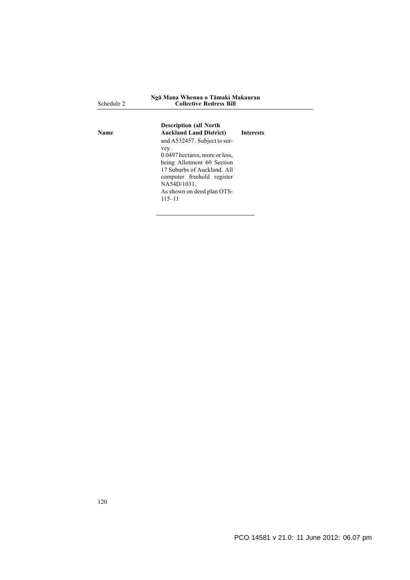| Schedule 2  | Ngā Mana Whenua o Tāmaki Makaurau<br><b>Collective Redress Bill</b> |                  |
|-------------|---------------------------------------------------------------------|------------------|
| <b>Name</b> | <b>Description (all North</b><br><b>Auckland Land District)</b>     | <b>Interests</b> |
|             | and A532457. Subject to sur-                                        |                  |
|             | vey.<br>0.0497 hectares, more or less,                              |                  |
|             | being Allotment 60 Section                                          |                  |
|             | 17 Suburbs of Auckland All                                          |                  |
|             | computer freehold register                                          |                  |
|             | NA54D/1031.                                                         |                  |
|             | As shown on deed plan OTS-                                          |                  |
|             | $115 - 11$                                                          |                  |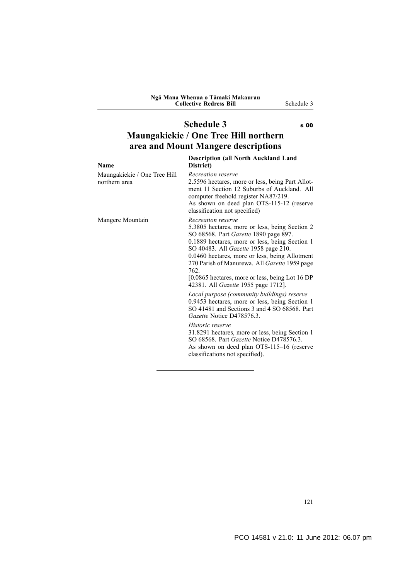# **Schedule 3** s 00 **Maungakiekie / One Tree Hill northern area and Mount Mangere descriptions**

| <b>Name</b>                                   | <b>Description (all North Auckland Land</b><br>District)                                                                                                                                                                                                                                                                                                                                                     |
|-----------------------------------------------|--------------------------------------------------------------------------------------------------------------------------------------------------------------------------------------------------------------------------------------------------------------------------------------------------------------------------------------------------------------------------------------------------------------|
| Maungakiekie / One Tree Hill<br>northern area | Recreation reserve<br>2.5596 hectares, more or less, being Part Allot-<br>ment 11 Section 12 Suburbs of Auckland. All<br>computer freehold register NA87/219.<br>As shown on deed plan OTS-115-12 (reserve<br>classification not specified)                                                                                                                                                                  |
| Mangere Mountain                              | Recreation reserve<br>5.3805 hectares, more or less, being Section 2<br>SO 68568. Part Gazette 1890 page 897.<br>0.1889 hectares, more or less, being Section 1<br>SO 40483. All Gazette 1958 page 210.<br>0.0460 hectares, more or less, being Allotment<br>270 Parish of Manurewa. All Gazette 1959 page<br>762.<br>[0.0865 hectares, more or less, being Lot 16 DP<br>42381. All Gazette 1955 page 1712]. |
|                                               | Local purpose (community buildings) reserve<br>0.9453 hectares, more or less, being Section 1<br>SO 41481 and Sections 3 and 4 SO 68568. Part<br>Gazette Notice D478576.3.                                                                                                                                                                                                                                   |
|                                               | Historic reserve<br>31.8291 hectares, more or less, being Section 1<br>SO 68568. Part <i>Gazette</i> Notice D478576.3.<br>As shown on deed plan OTS-115-16 (reserve<br>classifications not specified).                                                                                                                                                                                                       |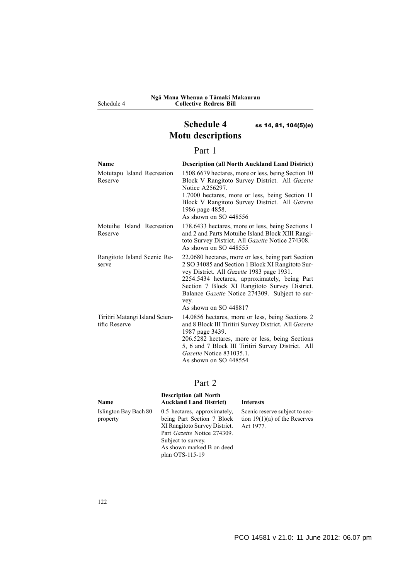Schedule 4

# **Schedule 4** ss 14, 81, 104(5)(e) **Motu descriptions**

## Part 1

| Name                                            | <b>Description (all North Auckland Land District)</b>                                                                                                                                                                                                                                                                                           |
|-------------------------------------------------|-------------------------------------------------------------------------------------------------------------------------------------------------------------------------------------------------------------------------------------------------------------------------------------------------------------------------------------------------|
| Motutapu Island Recreation<br>Reserve           | 1508.6679 hectares, more or less, being Section 10<br>Block V Rangitoto Survey District. All Gazette<br>Notice A256297.<br>1.7000 hectares, more or less, being Section 11<br>Block V Rangitoto Survey District. All Gazette<br>1986 page 4858.<br>As shown on SO 448556                                                                        |
| Motuihe Island Recreation<br>Reserve            | 178.6433 hectares, more or less, being Sections 1<br>and 2 and Parts Motuihe Island Block XIII Rangi-<br>toto Survey District. All Gazette Notice 274308.<br>As shown on $SO$ 448555                                                                                                                                                            |
| Rangitoto Island Scenic Re-<br>serve            | 22.0680 hectares, more or less, being part Section<br>2 SO 34085 and Section 1 Block XI Rangitoto Sur-<br>vey District. All <i>Gazette</i> 1983 page 1931.<br>2254.5434 hectares, approximately, being Part<br>Section 7 Block XI Rangitoto Survey District.<br>Balance Gazette Notice 274309. Subject to sur-<br>vey.<br>As shown on SO 448817 |
| Tiritiri Matangi Island Scien-<br>tific Reserve | 14.0856 hectares, more or less, being Sections 2<br>and 8 Block III Tiritiri Survey District. All Gazette<br>1987 page 3439.<br>206.5282 hectares, more or less, being Sections<br>5, 6 and 7 Block III Tiritiri Survey District. All<br>Gazette Notice 831035.1.<br>As shown on SO 448554                                                      |

# Part 2

| Name                              | <b>Description (all North</b><br><b>Auckland Land District)</b>                                                                                                                                         | <b>Interests</b>                                                               |
|-----------------------------------|---------------------------------------------------------------------------------------------------------------------------------------------------------------------------------------------------------|--------------------------------------------------------------------------------|
| Islington Bay Bach 80<br>property | 0.5 hectares, approximately,<br>being Part Section 7 Block<br>XI Rangitoto Survey District.<br>Part <i>Gazette</i> Notice 274309.<br>Subject to survey.<br>As shown marked B on deed<br>plan OTS-115-19 | Scenic reserve subject to sec-<br>tion $19(1)(a)$ of the Reserves<br>Act 1977. |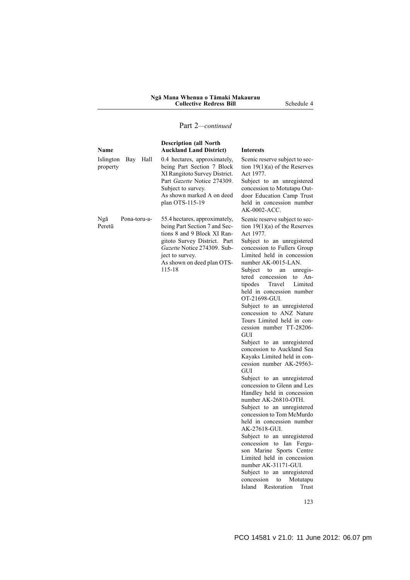#### **Ngā Mana Whenua o Tāmaki Makaurau Collective Redress Bill** Schedule 4

## Part 2*—continued*

| Name                                 | <b>Description (all North</b><br><b>Auckland Land District)</b>                                                                                                                                                         | <b>Interests</b>                                                                                                                                                                                                                                                                                                                                                                                                                                                                                                                                                                                                                                                                                                                                                                                                                                                                                                                                                                                                                                                                        |
|--------------------------------------|-------------------------------------------------------------------------------------------------------------------------------------------------------------------------------------------------------------------------|-----------------------------------------------------------------------------------------------------------------------------------------------------------------------------------------------------------------------------------------------------------------------------------------------------------------------------------------------------------------------------------------------------------------------------------------------------------------------------------------------------------------------------------------------------------------------------------------------------------------------------------------------------------------------------------------------------------------------------------------------------------------------------------------------------------------------------------------------------------------------------------------------------------------------------------------------------------------------------------------------------------------------------------------------------------------------------------------|
| Islington<br>Bay<br>Hall<br>property | 0.4 hectares, approximately,<br>being Part Section 7 Block<br>XI Rangitoto Survey District.<br>Part Gazette Notice 274309.<br>Subject to survey.<br>As shown marked A on deed<br>plan OTS-115-19                        | Scenic reserve subject to sec-<br>tion $19(1)(a)$ of the Reserves<br>Act 1977.<br>Subject to an unregistered<br>concession to Motutapu Out-<br>door Education Camp Trust<br>held in concession number<br>AK-0002-ACC.                                                                                                                                                                                                                                                                                                                                                                                                                                                                                                                                                                                                                                                                                                                                                                                                                                                                   |
| Ngā<br>Pona-toru-a-<br>Peretū        | 55.4 hectares, approximately,<br>being Part Section 7 and Sec-<br>tions 8 and 9 Block XI Ran-<br>gitoto Survey District. Part<br>Gazette Notice 274309. Sub-<br>ject to survey.<br>As shown on deed plan OTS-<br>115-18 | Scenic reserve subject to sec-<br>tion $19(1)(a)$ of the Reserves<br>Act 1977.<br>Subject to an unregistered<br>concession to Fullers Group<br>Limited held in concession<br>number AK-0015-LAN.<br>Subject<br>unregis-<br>to<br>an<br>tered concession<br>to An-<br>tipodes<br>Travel<br>Limited<br>held in concession number<br>OT-21698-GUI.<br>Subject to an unregistered<br>concession to ANZ Nature<br>Tours Limited held in con-<br>cession number TT-28206-<br>GUI<br>Subject to an unregistered<br>concession to Auckland Sea<br>Kayaks Limited held in con-<br>cession number AK-29563-<br><b>GUI</b><br>Subject to an unregistered<br>concession to Glenn and Les<br>Handley held in concession<br>number AK-26810-OTH.<br>Subject to an unregistered<br>concession to Tom McMurdo<br>held in concession number<br>AK-27618-GUI.<br>Subject to an unregistered<br>concession to Ian Fergu-<br>son Marine Sports Centre<br>Limited held in concession<br>number AK-31171-GUI.<br>Subject to an unregistered<br>concession<br>Motutapu<br>to<br>Island<br>Restoration<br>Trust |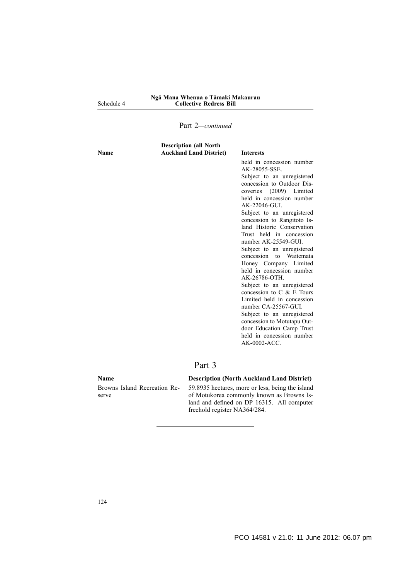#### Schedule 4 **Ngā Mana Whenua o Tāmaki Makaurau Collective Redress Bill**

#### Part 2*—continued*

| <b>Description (all North</b><br><b>Auckland Land District)</b><br>Name | <b>Interests</b>                                                                                                                                                                                                                                                                                                                                                                                                                                                                                                                                                                                                                                                                                                          |
|-------------------------------------------------------------------------|---------------------------------------------------------------------------------------------------------------------------------------------------------------------------------------------------------------------------------------------------------------------------------------------------------------------------------------------------------------------------------------------------------------------------------------------------------------------------------------------------------------------------------------------------------------------------------------------------------------------------------------------------------------------------------------------------------------------------|
|                                                                         | held in concession number<br>AK-28055-SSE.<br>Subject to an unregistered<br>concession to Outdoor Dis-<br>coveries (2009) Limited<br>held in concession number<br>$AK-22046-GU$<br>Subject to an unregistered<br>concession to Rangitoto Is-<br>land Historic Conservation<br>Trust held in concession<br>number AK-25549-GUI.<br>Subject to an unregistered<br>concession to Waitemata<br>Honey Company Limited<br>held in concession number<br>AK-26786-OTH<br>Subject to an unregistered<br>concession to $C$ & $E$ Tours<br>Limited held in concession<br>number CA-25567-GUI.<br>Subject to an unregistered<br>concession to Motutapu Out-<br>door Education Camp Trust<br>held in concession number<br>AK-0002-ACC. |

## Part 3

Browns Island Recreation Reserve

#### **Name Description (North Auckland Land District)**

59.8935 hectares, more or less, being the island of Motukorea commonly known as Browns Island and defined on DP 16315. All computer freehold register NA364/284.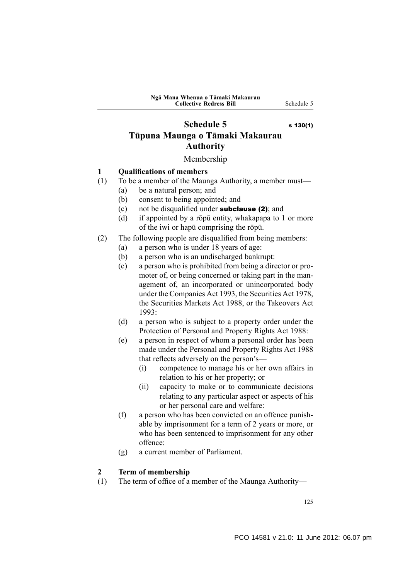# **Schedule 5** s 130(1) **Tūpuna Maunga o Tāmaki Makaurau Authority**

#### Membership

#### **1 Qualifications of members**

- (1) To be a member of the Maunga Authority, a member must—
	- (a) be a natural person; and
	- (b) consent to being appointed; and
	- (c) not be disqualified under subclause (2); and
	- (d) if appointed by a rōpū entity, whakapapa to 1 or more of the iwi or hapū comprising the rōpū.
- (2) The following people are disqualified from being members:
	- (a) a person who is under 18 years of age:
	- (b) a person who is an undischarged bankrupt:
	- (c) a person who is prohibited from being a director or promoter of, or being concerned or taking part in the management of, an incorporated or unincorporated body under the Companies Act 1993, the Securities Act 1978, the Securities Markets Act 1988, or the Takeovers Act 1993:
	- (d) a person who is subject to a property order under the Protection of Personal and Property Rights Act 1988:
	- (e) a person in respect of whom a personal order has been made under the Personal and Property Rights Act 1988 that reflects adversely on the person's—
		- (i) competence to manage his or her own affairs in relation to his or her property; or
		- (ii) capacity to make or to communicate decisions relating to any particular aspect or aspects of his or her personal care and welfare:
	- (f) a person who has been convicted on an offence punishable by imprisonment for a term of 2 years or more, or who has been sentenced to imprisonment for any other offence:
	- (g) a current member of Parliament.

#### **2 Term of membership**

(1) The term of office of a member of the Maunga Authority—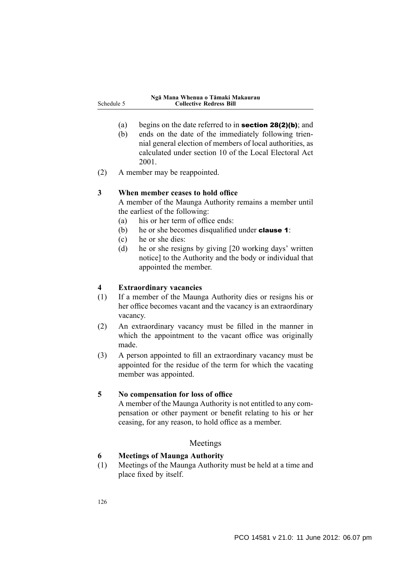- (a) begins on the date referred to in section 28(2)(b); and
- (b) ends on the date of the immediately following triennial general election of members of local authorities, as calculated under section 10 of the Local Electoral Act 2001.
- (2) A member may be reappointed.

#### **3 When member ceases to hold office**

A member of the Maunga Authority remains a member until the earliest of the following:

- (a) his or her term of office ends:
- (b) he or she becomes disqualified under **clause 1**:
- (c) he or she dies:
- (d) he or she resigns by giving [20 working days' written notice] to the Authority and the body or individual that appointed the member.

#### **4 Extraordinary vacancies**

- (1) If a member of the Maunga Authority dies or resigns his or her office becomes vacant and the vacancy is an extraordinary vacancy.
- (2) An extraordinary vacancy must be filled in the manner in which the appointment to the vacant office was originally made.
- (3) A person appointed to fill an extraordinary vacancy must be appointed for the residue of the term for which the vacating member was appointed.

#### **5 No compensation for loss of office**

A member of the Maunga Authority is not entitled to any compensation or other payment or benefit relating to his or her ceasing, for any reason, to hold office as a member.

#### Meetings

## **6 Meetings of Maunga Authority**

(1) Meetings of the Maunga Authority must be held at a time and place fixed by itself.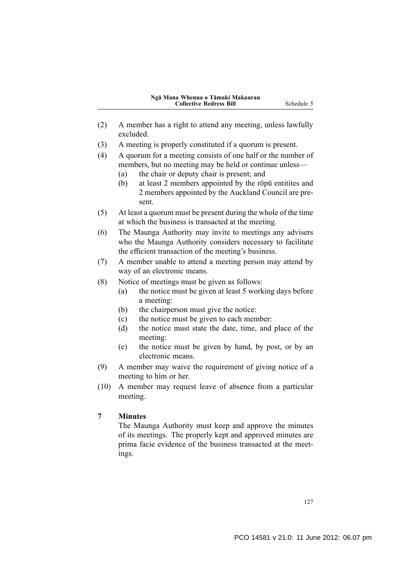- (2) A member has a right to attend any meeting, unless lawfully excluded.
- (3) A meeting is properly constituted if a quorum is present.
- (4) A quorum for a meeting consists of one half or the number of members, but no meeting may be held or continue unless—
	- (a) the chair or deputy chair is present; and
	- (b) at least 2 members appointed by the rōpū entitites and 2 members appointed by the Auckland Council are present.
- (5) At least a quorum must be present during the whole of the time at which the business is transacted at the meeting.
- (6) The Maunga Authority may invite to meetings any advisers who the Maunga Authority considers necessary to facilitate the efficient transaction of the meeting's business.
- (7) A member unable to attend a meeting person may attend by way of an electronic means.
- (8) Notice of meetings must be given as follows:
	- (a) the notice must be given at least 5 working days before a meeting:
	- (b) the chairperson must give the notice:
	- (c) the notice must be given to each member:
	- (d) the notice must state the date, time, and place of the meeting:
	- (e) the notice must be given by hand, by post, or by an electronic means.
- (9) A member may waive the requirement of giving notice of a meeting to him or her.
- (10) A member may request leave of absence from a particular meeting.

#### **7 Minutes**

The Maunga Authority must keep and approve the minutes of its meetings. The properly kept and approved minutes are prima facie evidence of the business transacted at the meetings.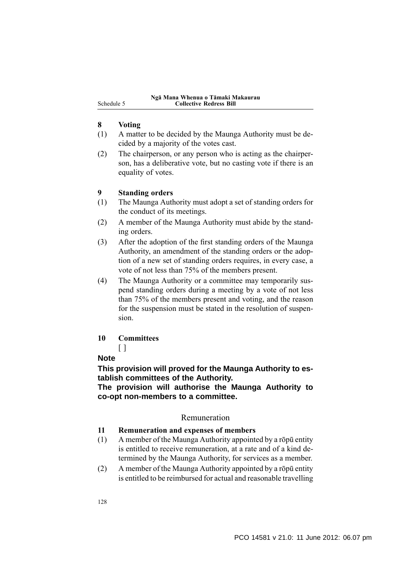#### **8 Voting**

- (1) A matter to be decided by the Maunga Authority must be decided by a majority of the votes cast.
- (2) The chairperson, or any person who is acting as the chairperson, has a deliberative vote, but no casting vote if there is an equality of votes.

#### **9 Standing orders**

- (1) The Maunga Authority must adopt a set of standing orders for the conduct of its meetings.
- (2) A member of the Maunga Authority must abide by the standing orders.
- (3) After the adoption of the first standing orders of the Maunga Authority, an amendment of the standing orders or the adoption of a new set of standing orders requires, in every case, a vote of not less than 75% of the members present.
- (4) The Maunga Authority or a committee may temporarily suspend standing orders during a meeting by a vote of not less than 75% of the members present and voting, and the reason for the suspension must be stated in the resolution of suspension.

#### **10 Committees**

# $\lceil$   $\rceil$

## **Note**

**This provision will proved for the Maunga Authority to establish committees of the Authority.**

**The provision will authorise the Maunga Authority to co-opt non-members to a committee.**

#### Remuneration

#### **11 Remuneration and expenses of members**

- (1) A member of the Maunga Authority appointed by a rōpū entity is entitled to receive remuneration, at a rate and of a kind determined by the Maunga Authority, for services as a member.
- (2) A member of the Maunga Authority appointed by a rōpū entity is entitled to be reimbursed for actual and reasonable travelling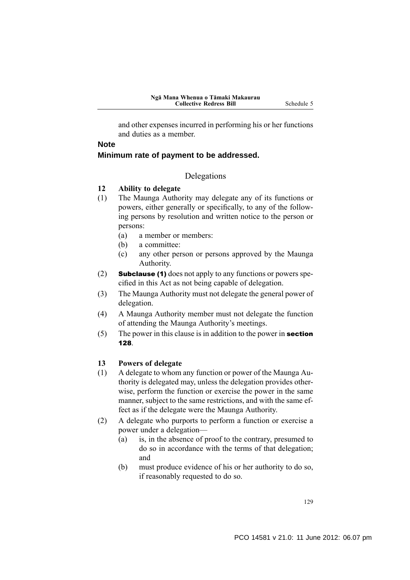and other expenses incurred in performing his or her functions and duties as a member.

## **Note Minimum rate of payment to be addressed.**

## Delegations

#### **12 Ability to delegate**

- (1) The Maunga Authority may delegate any of its functions or powers, either generally or specifically, to any of the following persons by resolution and written notice to the person or persons:
	- (a) a member or members:
	- (b) a committee:
	- (c) any other person or persons approved by the Maunga Authority.
- (2) Subclause (1) does not apply to any functions or powers specified in this Act as not being capable of delegation.
- (3) The Maunga Authority must not delegate the general power of delegation.
- (4) A Maunga Authority member must not delegate the function of attending the Maunga Authority's meetings.
- (5) The power in this clause is in addition to the power in **section** 128.

#### **13 Powers of delegate**

- (1) A delegate to whom any function or power of the Maunga Authority is delegated may, unless the delegation provides otherwise, perform the function or exercise the power in the same manner, subject to the same restrictions, and with the same effect as if the delegate were the Maunga Authority.
- (2) A delegate who purports to perform a function or exercise a power under a delegation—
	- (a) is, in the absence of proof to the contrary, presumed to do so in accordance with the terms of that delegation; and
	- (b) must produce evidence of his or her authority to do so, if reasonably requested to do so.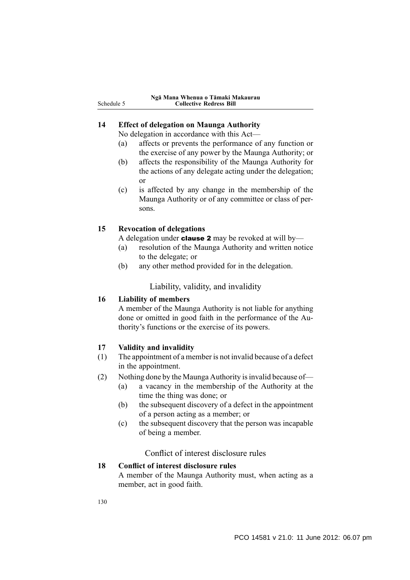|            | Ngā Mana Whenua o Tāmaki Makaurau |
|------------|-----------------------------------|
| Schedule 5 | <b>Collective Redress Bill</b>    |

#### **14 Effect of delegation on Maunga Authority**

No delegation in accordance with this Act—

- (a) affects or prevents the performance of any function or the exercise of any power by the Maunga Authority; or
- (b) affects the responsibility of the Maunga Authority for the actions of any delegate acting under the delegation; or
- (c) is affected by any change in the membership of the Maunga Authority or of any committee or class of persons.

#### **15 Revocation of delegations**

A delegation under **clause 2** may be revoked at will by—

- (a) resolution of the Maunga Authority and written notice to the delegate; or
- (b) any other method provided for in the delegation.

Liability, validity, and invalidity

#### **16 Liability of members**

A member of the Maunga Authority is not liable for anything done or omitted in good faith in the performance of the Authority's functions or the exercise of its powers.

## **17 Validity and invalidity**

- (1) The appointment of a member is not invalid because of a defect in the appointment.
- (2) Nothing done by the Maunga Authority is invalid because of—
	- (a) a vacancy in the membership of the Authority at the time the thing was done; or
	- (b) the subsequent discovery of a defect in the appointment of a person acting as a member; or
	- (c) the subsequent discovery that the person was incapable of being a member.

Conflict of interest disclosure rules

#### **18 Conflict of interest disclosure rules**

A member of the Maunga Authority must, when acting as a member, act in good faith.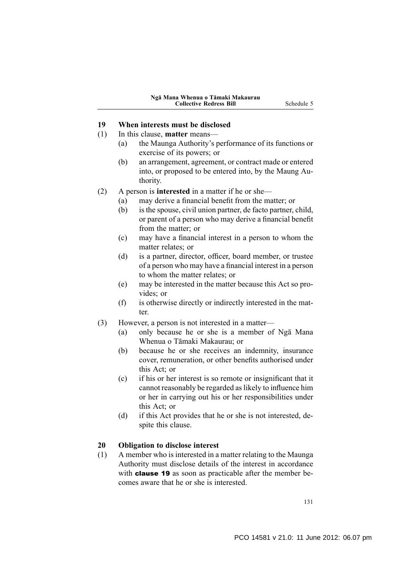## **19 When interests must be disclosed**

- (1) In this clause, **matter** means—
	- (a) the Maunga Authority's performance of its functions or exercise of its powers; or
	- (b) an arrangement, agreement, or contract made or entered into, or proposed to be entered into, by the Maung Authority.
- (2) A person is **interested** in a matter if he or she—
	- (a) may derive a financial benefit from the matter; or
	- (b) is the spouse, civil union partner, de facto partner, child, or parent of a person who may derive a financial benefit from the matter; or
	- (c) may have a financial interest in a person to whom the matter relates; or
	- (d) is a partner, director, officer, board member, or trustee of a person who may have a financial interest in a person to whom the matter relates; or
	- (e) may be interested in the matter because this Act so provides; or
	- (f) is otherwise directly or indirectly interested in the matter.
- (3) However, a person is not interested in a matter—
	- (a) only because he or she is a member of Ngā Mana Whenua o Tāmaki Makaurau; or
	- (b) because he or she receives an indemnity, insurance cover, remuneration, or other benefits authorised under this Act; or
	- (c) if his or her interest is so remote or insignificant that it cannot reasonably be regarded as likely to influence him or her in carrying out his or her responsibilities under this Act; or
	- (d) if this Act provides that he or she is not interested, despite this clause.

#### **20 Obligation to disclose interest**

(1) A member who is interested in a matter relating to the Maunga Authority must disclose details of the interest in accordance with **clause 19** as soon as practicable after the member becomes aware that he or she is interested.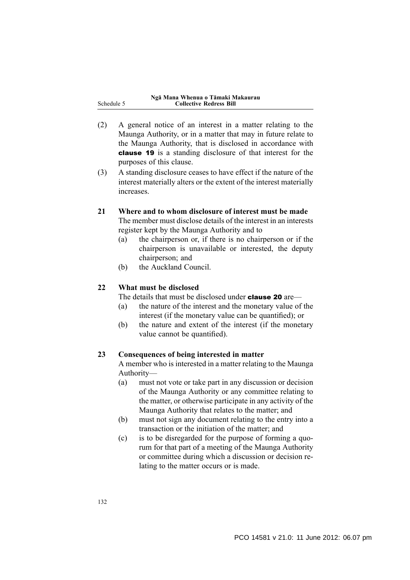| Ngā Mana Whenua o Tāmaki Makaurau |
|-----------------------------------|
| <b>Collective Redress Bill</b>    |

- (2) A general notice of an interest in a matter relating to the Maunga Authority, or in a matter that may in future relate to the Maunga Authority, that is disclosed in accordance with clause 19 is a standing disclosure of that interest for the purposes of this clause.
- (3) A standing disclosure ceases to have effect if the nature of the interest materially alters or the extent of the interest materially increases.

#### **21 Where and to whom disclosure of interest must be made**

The member must disclose details of the interest in an interests register kept by the Maunga Authority and to

- (a) the chairperson or, if there is no chairperson or if the chairperson is unavailable or interested, the deputy chairperson; and
- (b) the Auckland Council.

## **22 What must be disclosed**

Schedule

The details that must be disclosed under **clause 20** are—

- (a) the nature of the interest and the monetary value of the interest (if the monetary value can be quantified); or
- (b) the nature and extent of the interest (if the monetary value cannot be quantified).

#### **23 Consequences of being interested in matter**

A member who is interested in a matter relating to the Maunga Authority—

- (a) must not vote or take part in any discussion or decision of the Maunga Authority or any committee relating to the matter, or otherwise participate in any activity of the Maunga Authority that relates to the matter; and
- (b) must not sign any document relating to the entry into a transaction or the initiation of the matter; and
- (c) is to be disregarded for the purpose of forming a quorum for that part of a meeting of the Maunga Authority or committee during which a discussion or decision relating to the matter occurs or is made.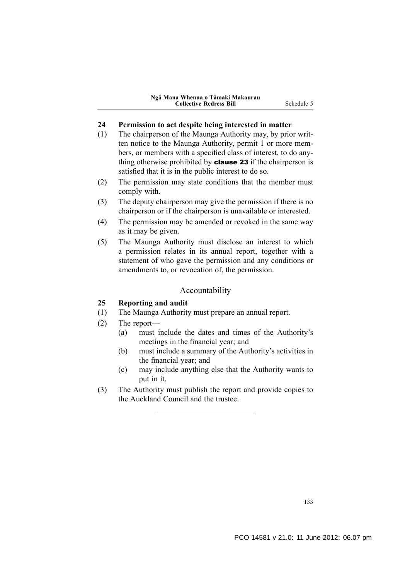#### **24 Permission to act despite being interested in matter**

- (1) The chairperson of the Maunga Authority may, by prior written notice to the Maunga Authority, permit 1 or more members, or members with a specified class of interest, to do anything otherwise prohibited by **clause 23** if the chairperson is satisfied that it is in the public interest to do so.
- (2) The permission may state conditions that the member must comply with.
- (3) The deputy chairperson may give the permission if there is no chairperson or if the chairperson is unavailable or interested.
- (4) The permission may be amended or revoked in the same way as it may be given.
- (5) The Maunga Authority must disclose an interest to which a permission relates in its annual report, together with a statement of who gave the permission and any conditions or amendments to, or revocation of, the permission.

#### Accountability

#### **25 Reporting and audit**

- (1) The Maunga Authority must prepare an annual report.
- (2) The report—
	- (a) must include the dates and times of the Authority's meetings in the financial year; and
	- (b) must include a summary of the Authority's activities in the financial year; and
	- (c) may include anything else that the Authority wants to put in it.
- (3) The Authority must publish the report and provide copies to the Auckland Council and the trustee.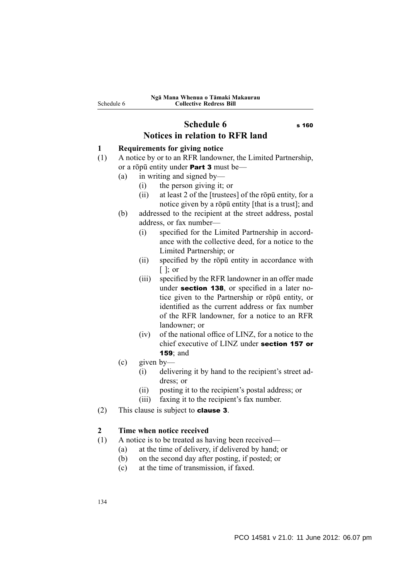# **Schedule 6** s 160 **Notices in relation to RFR land**

## **1 Requirements for giving notice**

- (1) A notice by or to an RFR landowner, the Limited Partnership, or a rōpū entity under Part 3 must be—
	- (a) in writing and signed by—
		- (i) the person giving it; or
		- (ii) at least 2 of the [trustees] of the rōpū entity, for a notice given by a rōpū entity [that is a trust]; and
	- (b) addressed to the recipient at the street address, postal address, or fax number—
		- (i) specified for the Limited Partnership in accordance with the collective deed, for a notice to the Limited Partnership; or
		- (ii) specified by the rōpū entity in accordance with [ ]; or
		- (iii) specified by the RFR landowner in an offer made under section 138, or specified in a later notice given to the Partnership or rōpū entity, or identified as the current address or fax number of the RFR landowner, for a notice to an RFR landowner; or
		- (iv) of the national office of LINZ, for a notice to the chief executive of LINZ under section 157 or 159; and
	- (c) given by—
		- (i) delivering it by hand to the recipient's street address; or
		- (ii) posting it to the recipient's postal address; or
		- (iii) faxing it to the recipient's fax number.
- (2) This clause is subject to clause 3.

#### **2 Time when notice received**

- (1) A notice is to be treated as having been received—
	- (a) at the time of delivery, if delivered by hand; or
	- (b) on the second day after posting, if posted; or
	- (c) at the time of transmission, if faxed.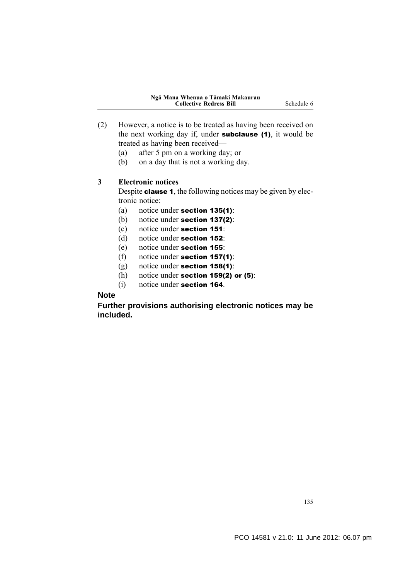- (2) However, a notice is to be treated as having been received on the next working day if, under **subclause** (1), it would be treated as having been received—
	- (a) after 5 pm on a working day; or
	- (b) on a day that is not a working day.

#### **3 Electronic notices**

Despite clause 1, the following notices may be given by electronic notice:

- (a) notice under section 135(1):
- (b) notice under section 137(2):
- (c) notice under section 151:
- (d) notice under section 152:
- (e) notice under section 155:
- (f) notice under section 157(1):
- (g) notice under section 158(1):
- (h) notice under section 159(2) or  $(5)$ :
- (i) notice under section 164.

## **Note**

**Further provisions authorising electronic notices may be included.**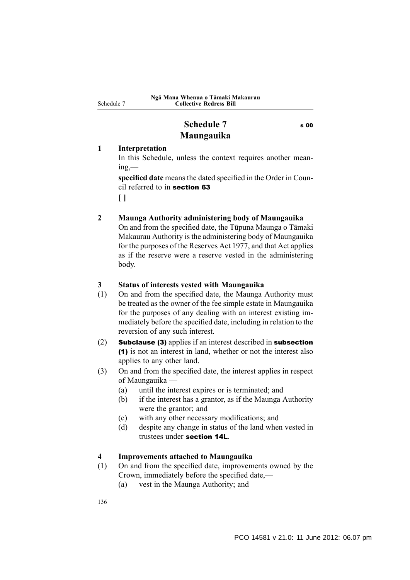Schedule 7

## **Schedule 7** s 00 **Maungauika**

## **1 Interpretation**

In this Schedule, unless the context requires another mean $ine$ —

**specified date** means the dated specified in the Order in Council referred to in section 63

**[ ]**

#### **2 Maunga Authority administering body of Maungauika**

On and from the specified date, the Tūpuna Maunga o Tāmaki Makaurau Authority is the administering body of Maungauika for the purposes of the Reserves Act 1977, and that Act applies as if the reserve were a reserve vested in the administering body.

#### **3 Status of interests vested with Maungauika**

- (1) On and from the specified date, the Maunga Authority must be treated as the owner of the fee simple estate in Maungauika for the purposes of any dealing with an interest existing immediately before the specified date, including in relation to the reversion of any such interest.
- (2) Subclause (3) applies if an interest described in subsection (1) is not an interest in land, whether or not the interest also applies to any other land.
- (3) On and from the specified date, the interest applies in respect of Maungauika —
	- (a) until the interest expires or is terminated; and
	- (b) if the interest has a grantor, as if the Maunga Authority were the grantor; and
	- (c) with any other necessary modifications; and
	- (d) despite any change in status of the land when vested in trustees under section 14L.

#### **4 Improvements attached to Maungauika**

- (1) On and from the specified date, improvements owned by the Crown, immediately before the specified date,—
	- (a) vest in the Maunga Authority; and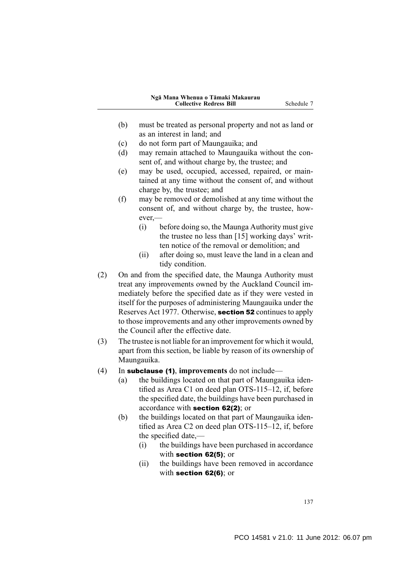- (b) must be treated as personal property and not as land or as an interest in land; and
- (c) do not form part of Maungauika; and
- (d) may remain attached to Maungauika without the consent of, and without charge by, the trustee; and
- (e) may be used, occupied, accessed, repaired, or maintained at any time without the consent of, and without charge by, the trustee; and
- (f) may be removed or demolished at any time without the consent of, and without charge by, the trustee, however,—
	- (i) before doing so, the Maunga Authority must give the trustee no less than [15] working days' written notice of the removal or demolition; and
	- (ii) after doing so, must leave the land in a clean and tidy condition.
- (2) On and from the specified date, the Maunga Authority must treat any improvements owned by the Auckland Council immediately before the specified date as if they were vested in itself for the purposes of administering Maungauika under the Reserves Act 1977. Otherwise, section 52 continues to apply to those improvements and any other improvements owned by the Council after the effective date.
- (3) The trustee is not liable for an improvement for which it would, apart from this section, be liable by reason of its ownership of Maungauika.
- (4) In subclause (1), **improvements** do not include—
	- (a) the buildings located on that part of Maungauika identified as Area C1 on deed plan OTS-115–12, if, before the specified date, the buildings have been purchased in accordance with section 62(2); or
	- (b) the buildings located on that part of Maungauika identified as Area C2 on deed plan OTS-115–12, if, before the specified date,—
		- (i) the buildings have been purchased in accordance with section 62(5); or
		- (ii) the buildings have been removed in accordance with section 62(6); or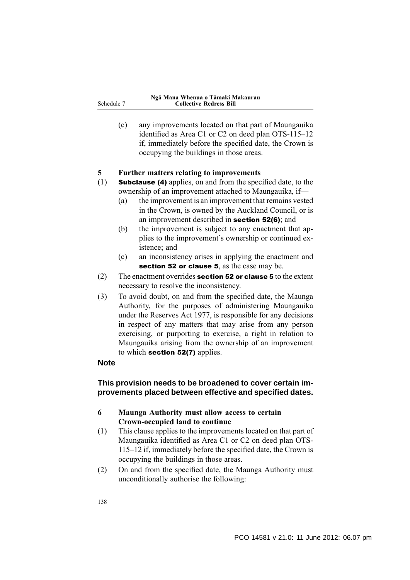(c) any improvements located on that part of Maungauika identified as Area C1 or C2 on deed plan OTS-115–12 if, immediately before the specified date, the Crown is occupying the buildings in those areas.

#### **5 Further matters relating to improvements**

- (1) Subclause (4) applies, on and from the specified date, to the ownership of an improvement attached to Maungauika, if—
	- (a) the improvement is an improvement that remains vested in the Crown, is owned by the Auckland Council, or is an improvement described in section 52(6); and
	- (b) the improvement is subject to any enactment that applies to the improvement's ownership or continued existence; and
	- (c) an inconsistency arises in applying the enactment and section 52 or clause 5, as the case may be.
- $(2)$  The enactment overrides **section 52 or clause 5** to the extent necessary to resolve the inconsistency.
- (3) To avoid doubt, on and from the specified date, the Maunga Authority, for the purposes of administering Maungauika under the Reserves Act 1977, is responsible for any decisions in respect of any matters that may arise from any person exercising, or purporting to exercise, a right in relation to Maungauika arising from the ownership of an improvement to which **section 52(7)** applies.

#### **Note**

#### **This provision needs to be broadened to cover certain improvements placed between effective and specified dates.**

#### **6 Maunga Authority must allow access to certain Crown-occupied land to continue**

- (1) This clause applies to the improvements located on that part of Maungauika identified as Area C1 or C2 on deed plan OTS-115–12 if, immediately before the specified date, the Crown is occupying the buildings in those areas.
- (2) On and from the specified date, the Maunga Authority must unconditionally authorise the following: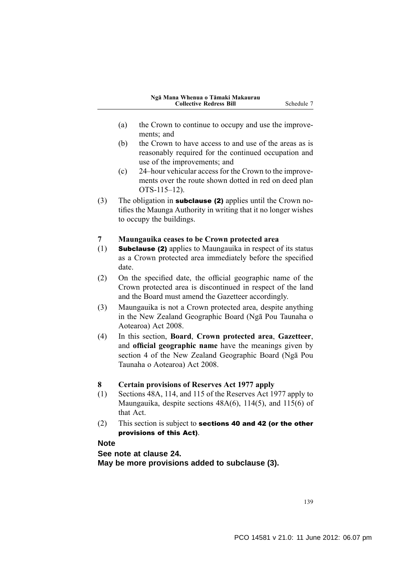- (a) the Crown to continue to occupy and use the improvements; and
- (b) the Crown to have access to and use of the areas as is reasonably required for the continued occupation and use of the improvements; and
- (c) 24–hour vehicular access for the Crown to the improvements over the route shown dotted in red on deed plan OTS-115–12).
- (3) The obligation in subclause (2) applies until the Crown notifies the Maunga Authority in writing that it no longer wishes to occupy the buildings.

#### **7 Maungauika ceases to be Crown protected area**

- (1) Subclause (2) applies to Maungauika in respect of its status as a Crown protected area immediately before the specified date.
- (2) On the specified date, the official geographic name of the Crown protected area is discontinued in respect of the land and the Board must amend the Gazetteer accordingly.
- (3) Maungauika is not a Crown protected area, despite anything in the New Zealand Geographic Board (Ngā Pou Taunaha o Aotearoa) Act 2008.
- (4) In this section, **Board**, **Crown protected area**, **Gazetteer**, and **official geographic name** have the meanings given by section 4 of the New Zealand Geographic Board (Ngā Pou Taunaha o Aotearoa) Act 2008.

#### **8 Certain provisions of Reserves Act 1977 apply**

- (1) Sections 48A, 114, and 115 of the Reserves Act 1977 apply to Maungauika, despite sections 48A(6), 114(5), and 115(6) of that Act.
- (2) This section is subject to **sections 40 and 42 (or the other** provisions of this Act).

#### **Note**

**See note at clause 24. May be more provisions added to subclause (3).**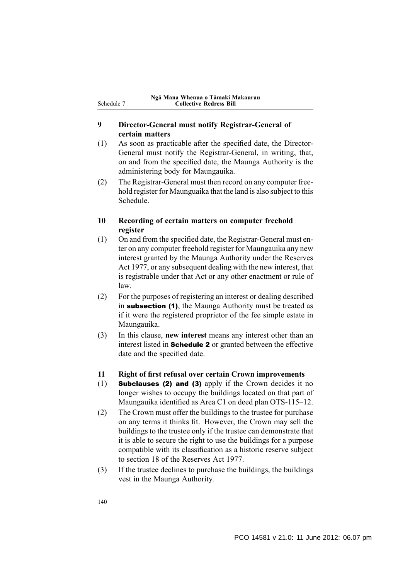#### **9 Director-General must notify Registrar-General of certain matters**

- (1) As soon as practicable after the specified date, the Director-General must notify the Registrar-General, in writing, that, on and from the specified date, the Maunga Authority is the administering body for Maungauika.
- (2) The Registrar-General must then record on any computer freehold register for Maunguaika that the land is also subject to this Schedule.

#### **10 Recording of certain matters on computer freehold register**

- (1) On and from the specified date, the Registrar-General must enter on any computer freehold register for Maungauika any new interest granted by the Maunga Authority under the Reserves Act 1977, or any subsequent dealing with the new interest, that is registrable under that Act or any other enactment or rule of law.
- (2) For the purposes of registering an interest or dealing described in subsection (1), the Maunga Authority must be treated as if it were the registered proprietor of the fee simple estate in Maungauika.
- (3) In this clause, **new interest** means any interest other than an interest listed in Schedule 2 or granted between the effective date and the specified date.
- **11 Right of first refusal over certain Crown improvements**
- (1) Subclauses (2) and (3) apply if the Crown decides it no longer wishes to occupy the buildings located on that part of Maungauika identified as Area C1 on deed plan OTS-115–12.
- (2) The Crown must offer the buildings to the trustee for purchase on any terms it thinks fit. However, the Crown may sell the buildings to the trustee only if the trustee can demonstrate that it is able to secure the right to use the buildings for a purpose compatible with its classification as a historic reserve subject to section 18 of the Reserves Act 1977.
- (3) If the trustee declines to purchase the buildings, the buildings vest in the Maunga Authority.